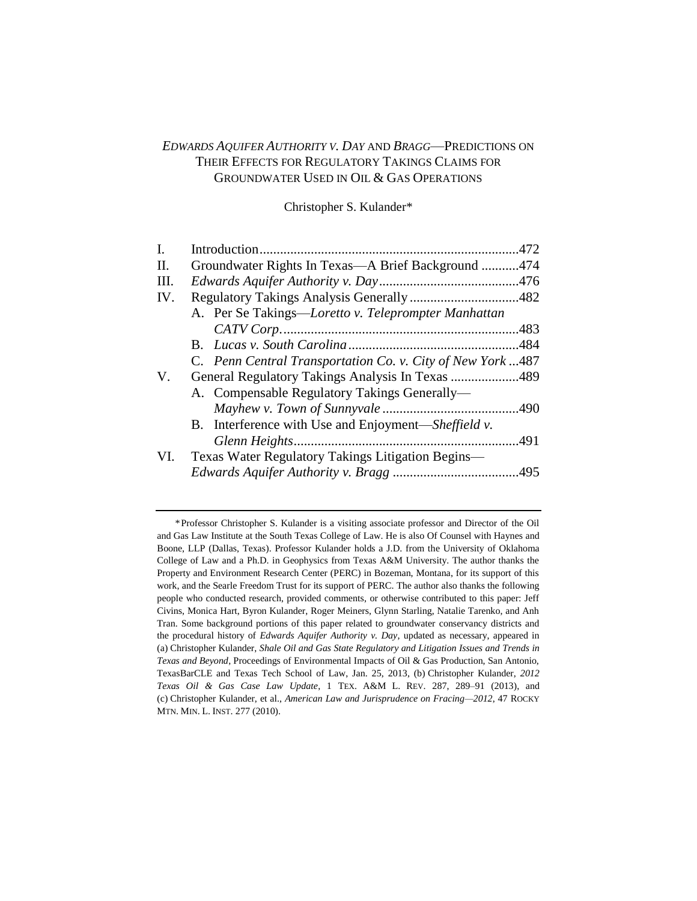# *EDWARDS AQUIFER AUTHORITY V. DAY* AND *BRAGG*—PREDICTIONS ON THEIR EFFECTS FOR REGULATORY TAKINGS CLAIMS FOR GROUNDWATER USED IN OIL & GAS OPERATIONS

Christopher S. Kulander\*

| $\mathbf{I}$ . |                                                             | .472 |  |
|----------------|-------------------------------------------------------------|------|--|
| II.            | Groundwater Rights In Texas—A Brief Background 474          |      |  |
| Ш.             |                                                             |      |  |
| IV.            |                                                             |      |  |
|                | A. Per Se Takings—Loretto v. Teleprompter Manhattan         |      |  |
|                |                                                             |      |  |
|                |                                                             |      |  |
|                | C. Penn Central Transportation Co. v. City of New York  487 |      |  |
| V.             | General Regulatory Takings Analysis In Texas 489            |      |  |
|                | A. Compensable Regulatory Takings Generally—                |      |  |
|                |                                                             | 490  |  |
|                | B. Interference with Use and Enjoyment—Sheffield v.         |      |  |
|                |                                                             | .491 |  |
| VI.            | Texas Water Regulatory Takings Litigation Begins-           |      |  |
|                |                                                             |      |  |
|                |                                                             |      |  |

<sup>\*</sup>Professor Christopher S. Kulander is a visiting associate professor and Director of the Oil and Gas Law Institute at the South Texas College of Law. He is also Of Counsel with Haynes and Boone, LLP (Dallas, Texas). Professor Kulander holds a J.D. from the University of Oklahoma College of Law and a Ph.D. in Geophysics from Texas A&M University. The author thanks the Property and Environment Research Center (PERC) in Bozeman, Montana, for its support of this work, and the Searle Freedom Trust for its support of PERC. The author also thanks the following people who conducted research, provided comments, or otherwise contributed to this paper: Jeff Civins, Monica Hart, Byron Kulander, Roger Meiners, Glynn Starling, Natalie Tarenko, and Anh Tran. Some background portions of this paper related to groundwater conservancy districts and the procedural history of *Edwards Aquifer Authority v. Day*, updated as necessary, appeared in (a) Christopher Kulander, *Shale Oil and Gas State Regulatory and Litigation Issues and Trends in Texas and Beyond*, Proceedings of Environmental Impacts of Oil & Gas Production, San Antonio, TexasBarCLE and Texas Tech School of Law, Jan. 25, 2013, (b) Christopher Kulander, *2012 Texas Oil & Gas Case Law Update*, 1 TEX. A&M L. REV. 287, 289–91 (2013), and (c) Christopher Kulander, et al., *American Law and Jurisprudence on Fracing—2012*, 47 ROCKY MTN. MIN. L. INST. 277 (2010).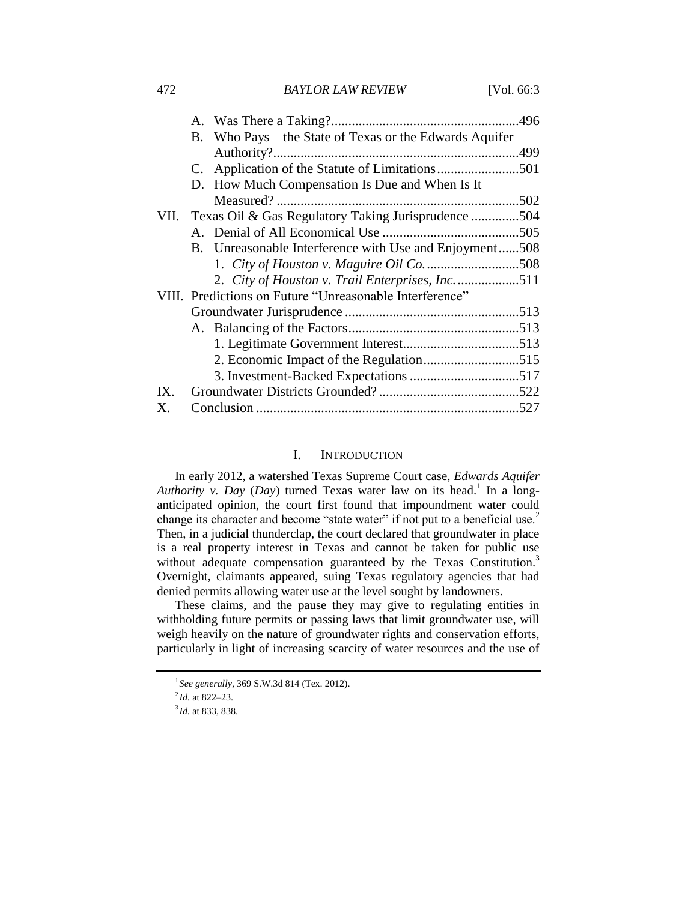472 *BAYLOR LAW REVIEW* [Vol. 66:3

|     | B. Who Pays—the State of Texas or the Edwards Aquifer    |  |
|-----|----------------------------------------------------------|--|
|     |                                                          |  |
|     |                                                          |  |
|     | D. How Much Compensation Is Due and When Is It           |  |
|     |                                                          |  |
|     | VII. Texas Oil & Gas Regulatory Taking Jurisprudence 504 |  |
|     |                                                          |  |
|     | B. Unreasonable Interference with Use and Enjoyment508   |  |
|     |                                                          |  |
|     | 2. City of Houston v. Trail Enterprises, Inc. 511        |  |
|     | VIII. Predictions on Future "Unreasonable Interference"  |  |
|     |                                                          |  |
|     |                                                          |  |
|     |                                                          |  |
|     |                                                          |  |
|     |                                                          |  |
| IX. |                                                          |  |
| X.  |                                                          |  |

#### I. INTRODUCTION

In early 2012, a watershed Texas Supreme Court case, *Edwards Aquifer*  Authority v. Day (Day) turned Texas water law on its head.<sup>1</sup> In a longanticipated opinion, the court first found that impoundment water could change its character and become "state water" if not put to a beneficial use.<sup>2</sup> Then, in a judicial thunderclap, the court declared that groundwater in place is a real property interest in Texas and cannot be taken for public use without adequate compensation guaranteed by the Texas Constitution.<sup>3</sup> Overnight, claimants appeared, suing Texas regulatory agencies that had denied permits allowing water use at the level sought by landowners.

These claims, and the pause they may give to regulating entities in withholding future permits or passing laws that limit groundwater use, will weigh heavily on the nature of groundwater rights and conservation efforts, particularly in light of increasing scarcity of water resources and the use of

<sup>1</sup> *See generally*, 369 S.W.3d 814 (Tex. 2012).

<sup>2</sup> *Id.* at 822–23.

<sup>3</sup> *Id.* at 833, 838.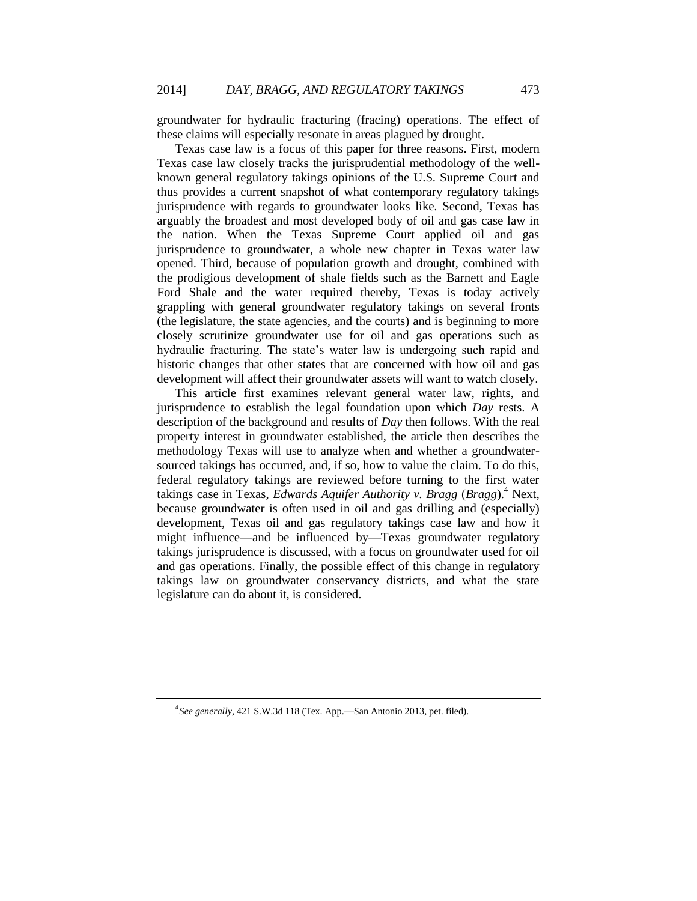groundwater for hydraulic fracturing (fracing) operations. The effect of these claims will especially resonate in areas plagued by drought.

Texas case law is a focus of this paper for three reasons. First, modern Texas case law closely tracks the jurisprudential methodology of the wellknown general regulatory takings opinions of the U.S. Supreme Court and thus provides a current snapshot of what contemporary regulatory takings jurisprudence with regards to groundwater looks like. Second, Texas has arguably the broadest and most developed body of oil and gas case law in the nation. When the Texas Supreme Court applied oil and gas jurisprudence to groundwater, a whole new chapter in Texas water law opened. Third, because of population growth and drought, combined with the prodigious development of shale fields such as the Barnett and Eagle Ford Shale and the water required thereby, Texas is today actively grappling with general groundwater regulatory takings on several fronts (the legislature, the state agencies, and the courts) and is beginning to more closely scrutinize groundwater use for oil and gas operations such as hydraulic fracturing. The state's water law is undergoing such rapid and historic changes that other states that are concerned with how oil and gas development will affect their groundwater assets will want to watch closely.

This article first examines relevant general water law, rights, and jurisprudence to establish the legal foundation upon which *Day* rests. A description of the background and results of *Day* then follows. With the real property interest in groundwater established, the article then describes the methodology Texas will use to analyze when and whether a groundwatersourced takings has occurred, and, if so, how to value the claim. To do this, federal regulatory takings are reviewed before turning to the first water takings case in Texas, *Edwards Aquifer Authority v. Bragg* (*Bragg*).<sup>4</sup> Next, because groundwater is often used in oil and gas drilling and (especially) development, Texas oil and gas regulatory takings case law and how it might influence—and be influenced by—Texas groundwater regulatory takings jurisprudence is discussed, with a focus on groundwater used for oil and gas operations. Finally, the possible effect of this change in regulatory takings law on groundwater conservancy districts, and what the state legislature can do about it, is considered.

<sup>4</sup> *See generally*, 421 S.W.3d 118 (Tex. App.—San Antonio 2013, pet. filed).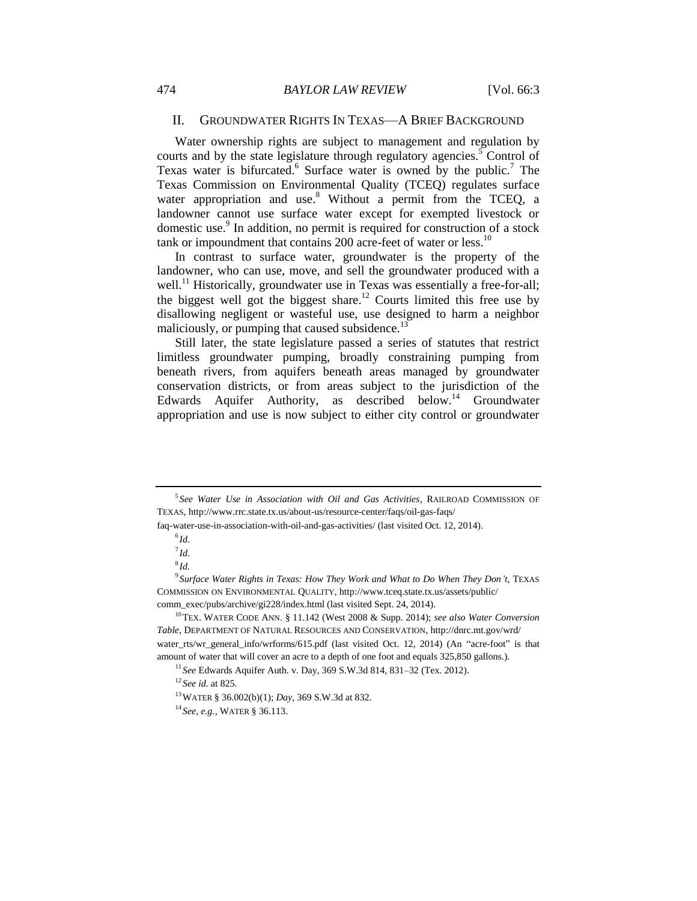#### <span id="page-3-0"></span>II. GROUNDWATER RIGHTS IN TEXAS—A BRIEF BACKGROUND

Water ownership rights are subject to management and regulation by courts and by the state legislature through regulatory agencies.<sup>5</sup> Control of Texas water is bifurcated.<sup>6</sup> Surface water is owned by the public.<sup>7</sup> The Texas Commission on Environmental Quality (TCEQ) regulates surface water appropriation and use.<sup>8</sup> Without a permit from the TCEQ, a landowner cannot use surface water except for exempted livestock or domestic use.<sup>9</sup> In addition, no permit is required for construction of a stock tank or impoundment that contains  $200$  acre-feet of water or less.<sup>10</sup>

In contrast to surface water, groundwater is the property of the landowner, who can use, move, and sell the groundwater produced with a well.<sup>11</sup> Historically, groundwater use in Texas was essentially a free-for-all; the biggest well got the biggest share.<sup>12</sup> Courts limited this free use by disallowing negligent or wasteful use, use designed to harm a neighbor maliciously, or pumping that caused subsidence. $^{13}$ 

Still later, the state legislature passed a series of statutes that restrict limitless groundwater pumping, broadly constraining pumping from beneath rivers, from aquifers beneath areas managed by groundwater conservation districts, or from areas subject to the jurisdiction of the Edwards Aquifer Authority, as described below.<sup>14</sup> Groundwater appropriation and use is now subject to either city control or groundwater

<sup>5</sup> *See Water Use in Association with Oil and Gas Activities*, RAILROAD COMMISSION OF TEXAS, http://www.rrc.state.tx.us/about-us/resource-center/faqs/oil-gas-faqs/

faq-water-use-in-association-with-oil-and-gas-activities/ (last visited Oct. 12, 2014).

<sup>6</sup> *Id.*

<sup>7</sup> *Id.*

<sup>8</sup> *Id.*

<sup>9</sup> *Surface Water Rights in Texas: How They Work and What to Do When They Don't*, TEXAS COMMISSION ON ENVIRONMENTAL QUALITY, http://www.tceq.state.tx.us/assets/public/ comm\_exec/pubs/archive/gi228/index.html (last visited Sept. 24, 2014).

<sup>10</sup>TEX. WATER CODE ANN. § 11.142 (West 2008 & Supp. 2014); *see also Water Conversion Table*, DEPARTMENT OF NATURAL RESOURCES AND CONSERVATION, http://dnrc.mt.gov/wrd/ water\_rts/wr\_general\_info/wrforms/615.pdf (last visited Oct. 12, 2014) (An "acre-foot" is that amount of water that will cover an acre to a depth of one foot and equals 325,850 gallons.).

<sup>11</sup> *See* Edwards Aquifer Auth. v. Day, 369 S.W.3d 814, 831–32 (Tex. 2012).

<sup>12</sup> *See id.* at 825.

<sup>13</sup>WATER § 36.002(b)(1); *Day*, 369 S.W.3d at 832.

<sup>14</sup> *See, e.g.*, WATER § 36.113.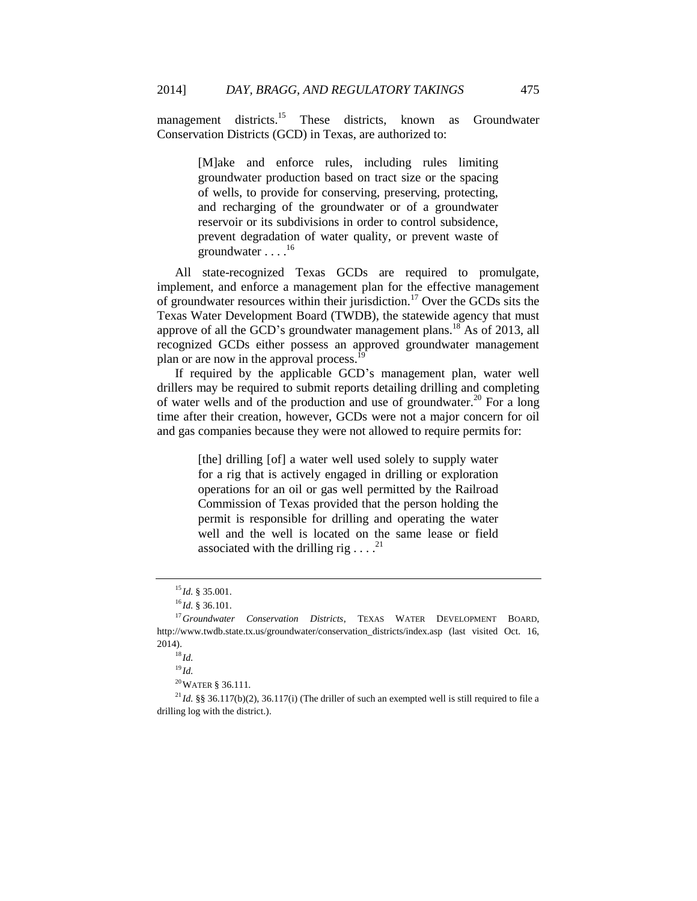management districts.<sup>15</sup> These districts, known as Groundwater Conservation Districts (GCD) in Texas, are authorized to:

> [M]ake and enforce rules, including rules limiting groundwater production based on tract size or the spacing of wells, to provide for conserving, preserving, protecting, and recharging of the groundwater or of a groundwater reservoir or its subdivisions in order to control subsidence, prevent degradation of water quality, or prevent waste of groundwater . . . .<sup>16</sup>

All state-recognized Texas GCDs are required to promulgate, implement, and enforce a management plan for the effective management of groundwater resources within their jurisdiction.<sup>17</sup> Over the GCDs sits the Texas Water Development Board (TWDB), the statewide agency that must approve of all the GCD's groundwater management plans.<sup>18</sup> As of 2013, all recognized GCDs either possess an approved groundwater management plan or are now in the approval process.

If required by the applicable GCD's management plan, water well drillers may be required to submit reports detailing drilling and completing of water wells and of the production and use of groundwater.<sup>20</sup> For a long time after their creation, however, GCDs were not a major concern for oil and gas companies because they were not allowed to require permits for:

> [the] drilling [of] a water well used solely to supply water for a rig that is actively engaged in drilling or exploration operations for an oil or gas well permitted by the Railroad Commission of Texas provided that the person holding the permit is responsible for drilling and operating the water well and the well is located on the same lease or field associated with the drilling rig.... $^{21}$

 $^{20}\rm{WATER}$  § 36.111.

<sup>21</sup> *Id.* §§ 36.117(b)(2), 36.117(i) (The driller of such an exempted well is still required to file a drilling log with the district.).

<sup>15</sup> *Id.* § 35.001.

<sup>16</sup> *Id.* § 36.101.

<sup>17</sup>*Groundwater Conservation Districts*, TEXAS WATER DEVELOPMENT BOARD, http://www.twdb.state.tx.us/groundwater/conservation\_districts/index.asp (last visited Oct. 16, 2014).

<sup>18</sup> *Id.*

<sup>19</sup> *Id.*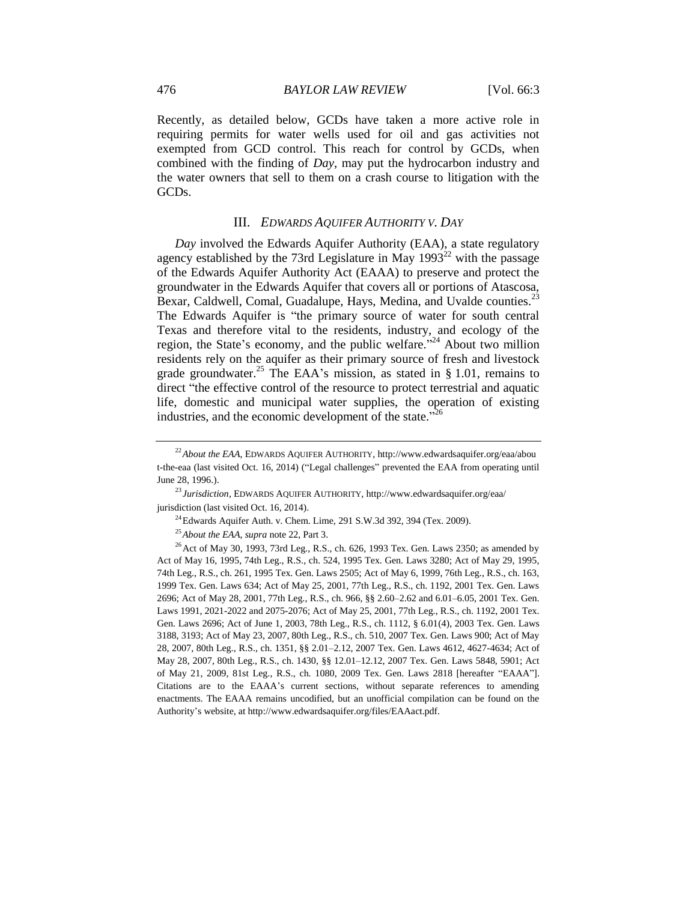Recently, as detailed below, GCDs have taken a more active role in requiring permits for water wells used for oil and gas activities not exempted from GCD control. This reach for control by GCDs, when combined with the finding of *Day*, may put the hydrocarbon industry and the water owners that sell to them on a crash course to litigation with the GCDs.

#### <span id="page-5-0"></span>III. *EDWARDS AQUIFER AUTHORITY V. DAY*

*Day* involved the Edwards Aquifer Authority (EAA), a state regulatory agency established by the 73rd Legislature in May  $1993^{22}$  with the passage of the Edwards Aquifer Authority Act (EAAA) to preserve and protect the groundwater in the Edwards Aquifer that covers all or portions of Atascosa, Bexar, Caldwell, Comal, Guadalupe, Hays, Medina, and Uvalde counties.<sup>23</sup> The Edwards Aquifer is "the primary source of water for south central Texas and therefore vital to the residents, industry, and ecology of the region, the State's economy, and the public welfare."<sup>24</sup> About two million residents rely on the aquifer as their primary source of fresh and livestock grade groundwater.<sup>25</sup> The EAA's mission, as stated in § 1.01, remains to direct "the effective control of the resource to protect terrestrial and aquatic life, domestic and municipal water supplies, the operation of existing industries, and the economic development of the state."<sup>26</sup>

<sup>&</sup>lt;sup>22</sup>*About the EAA*, EDWARDS AQUIFER AUTHORITY, http://www.edwardsaquifer.org/eaa/abou t-the-eaa (last visited Oct. 16, 2014) ("Legal challenges" prevented the EAA from operating until June 28, 1996.).

<sup>23</sup> *Jurisdiction*, EDWARDS AQUIFER AUTHORITY, http://www.edwardsaquifer.org/eaa/ jurisdiction (last visited Oct. 16, 2014).

 $^{24}$ Edwards Aquifer Auth. v. Chem. Lime, 291 S.W.3d 392, 394 (Tex. 2009).

<sup>25</sup>*About the EAA*, *supra* not[e 22,](#page-5-0) Part 3.

 $^{26}$  Act of May 30, 1993, 73rd Leg., R.S., ch. 626, 1993 Tex. Gen. Laws 2350; as amended by Act of May 16, 1995, 74th Leg., R.S., ch. 524, 1995 Tex. Gen. Laws 3280; Act of May 29, 1995, 74th Leg., R.S., ch. 261, 1995 Tex. Gen. Laws 2505; Act of May 6, 1999, 76th Leg., R.S., ch. 163, 1999 Tex. Gen. Laws 634; Act of May 25, 2001, 77th Leg., R.S., ch. 1192, 2001 Tex. Gen. Laws 2696; Act of May 28, 2001, 77th Leg., R.S., ch. 966, §§ 2.60–2.62 and 6.01–6.05, 2001 Tex. Gen. Laws 1991, 2021-2022 and 2075-2076; Act of May 25, 2001, 77th Leg., R.S., ch. 1192, 2001 Tex. Gen. Laws 2696; Act of June 1, 2003, 78th Leg., R.S., ch. 1112, § 6.01(4), 2003 Tex. Gen. Laws 3188, 3193; Act of May 23, 2007, 80th Leg., R.S., ch. 510, 2007 Tex. Gen. Laws 900; Act of May 28, 2007, 80th Leg., R.S., ch. 1351, §§ 2.01–2.12, 2007 Tex. Gen. Laws 4612, 4627-4634; Act of May 28, 2007, 80th Leg., R.S., ch. 1430, §§ 12.01–12.12, 2007 Tex. Gen. Laws 5848, 5901; Act of May 21, 2009, 81st Leg., R.S., ch. 1080, 2009 Tex. Gen. Laws 2818 [hereafter "EAAA"]. Citations are to the EAAA's current sections, without separate references to amending enactments. The EAAA remains uncodified, but an unofficial compilation can be found on the Authority's website, at http://www.edwardsaquifer.org/files/EAAact.pdf.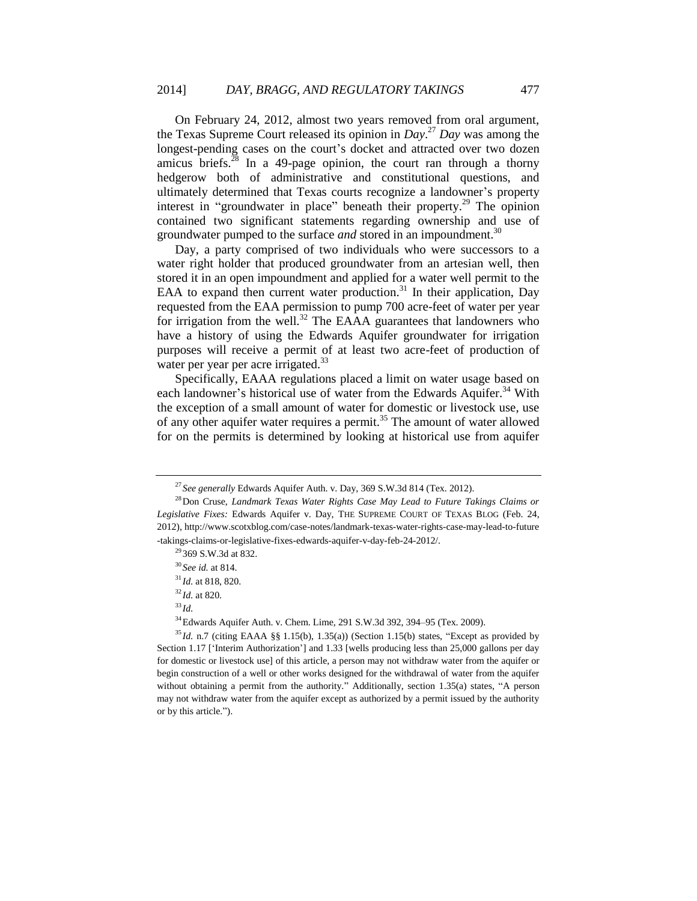On February 24, 2012, almost two years removed from oral argument, the Texas Supreme Court released its opinion in *Day*. <sup>27</sup> *Day* was among the longest-pending cases on the court's docket and attracted over two dozen amicus briefs. $^{28}$  In a 49-page opinion, the court ran through a thorny hedgerow both of administrative and constitutional questions, and ultimately determined that Texas courts recognize a landowner's property interest in "groundwater in place" beneath their property.<sup>29</sup> The opinion contained two significant statements regarding ownership and use of groundwater pumped to the surface *and* stored in an impoundment.<sup>30</sup>

Day, a party comprised of two individuals who were successors to a water right holder that produced groundwater from an artesian well, then stored it in an open impoundment and applied for a water well permit to the EAA to expand then current water production.<sup>31</sup> In their application, Day requested from the EAA permission to pump 700 acre-feet of water per year for irrigation from the well.<sup>32</sup> The EAAA guarantees that landowners who have a history of using the Edwards Aquifer groundwater for irrigation purposes will receive a permit of at least two acre-feet of production of water per year per acre irrigated.<sup>33</sup>

Specifically, EAAA regulations placed a limit on water usage based on each landowner's historical use of water from the Edwards Aquifer.<sup>34</sup> With the exception of a small amount of water for domestic or livestock use, use of any other aquifer water requires a permit.<sup>35</sup> The amount of water allowed for on the permits is determined by looking at historical use from aquifer

<sup>33</sup> *Id.*

<sup>34</sup>Edwards Aquifer Auth. v. Chem. Lime, 291 S.W.3d 392, 394–95 (Tex. 2009).

<sup>27</sup> *See generally* Edwards Aquifer Auth. v. Day, 369 S.W.3d 814 (Tex. 2012).

<sup>28</sup>Don Cruse, *Landmark Texas Water Rights Case May Lead to Future Takings Claims or Legislative Fixes:* Edwards Aquifer v. Day, THE SUPREME COURT OF TEXAS BLOG (Feb. 24, 2012), http://www.scotxblog.com/case-notes/landmark-texas-water-rights-case-may-lead-to-future -takings-claims-or-legislative-fixes-edwards-aquifer-v-day-feb-24-2012/.

<sup>29</sup> 369 S.W.3d at 832.

<sup>30</sup> *See id.* at 814.

<sup>31</sup> *Id.* at 818, 820.

<sup>32</sup> *Id.* at 820.

<sup>35</sup> *Id.* n.7 (citing EAAA §§ 1.15(b), 1.35(a)) (Section 1.15(b) states, "Except as provided by Section 1.17 ['Interim Authorization'] and 1.33 [wells producing less than 25,000 gallons per day for domestic or livestock use] of this article, a person may not withdraw water from the aquifer or begin construction of a well or other works designed for the withdrawal of water from the aquifer without obtaining a permit from the authority." Additionally, section 1.35(a) states, "A person may not withdraw water from the aquifer except as authorized by a permit issued by the authority or by this article.").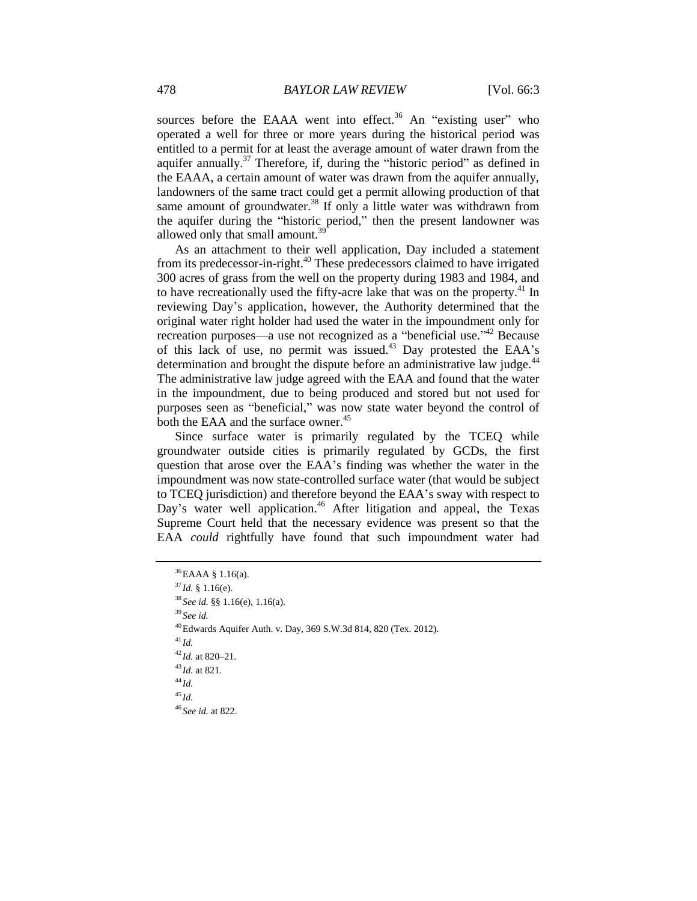sources before the EAAA went into effect.<sup>36</sup> An "existing user" who operated a well for three or more years during the historical period was entitled to a permit for at least the average amount of water drawn from the aquifer annually.<sup>37</sup> Therefore, if, during the "historic period" as defined in the EAAA, a certain amount of water was drawn from the aquifer annually, landowners of the same tract could get a permit allowing production of that same amount of groundwater. $38$  If only a little water was withdrawn from the aquifer during the "historic period," then the present landowner was allowed only that small amount.<sup>3</sup>

As an attachment to their well application, Day included a statement from its predecessor-in-right.<sup>40</sup> These predecessors claimed to have irrigated 300 acres of grass from the well on the property during 1983 and 1984, and to have recreationally used the fifty-acre lake that was on the property.<sup>41</sup> In reviewing Day's application, however, the Authority determined that the original water right holder had used the water in the impoundment only for recreation purposes—a use not recognized as a "beneficial use."<sup>42</sup> Because of this lack of use, no permit was issued.<sup>43</sup> Day protested the EAA's determination and brought the dispute before an administrative law judge.<sup>44</sup> The administrative law judge agreed with the EAA and found that the water in the impoundment, due to being produced and stored but not used for purposes seen as "beneficial," was now state water beyond the control of both the EAA and the surface owner.<sup>45</sup>

Since surface water is primarily regulated by the TCEQ while groundwater outside cities is primarily regulated by GCDs, the first question that arose over the EAA's finding was whether the water in the impoundment was now state-controlled surface water (that would be subject to TCEQ jurisdiction) and therefore beyond the EAA's sway with respect to Day's water well application.<sup>46</sup> After litigation and appeal, the Texas Supreme Court held that the necessary evidence was present so that the EAA *could* rightfully have found that such impoundment water had

```
36EAAA § 1.16(a).
37Id. § 1.16(e).
38 See id. §§ 1.16(e), 1.16(a).
39 See id.
40Edwards Aquifer Auth. v. Day, 369 S.W.3d 814, 820 (Tex. 2012).
41 Id.
42 Id. at 820–21.
43 Id. at 821.
44 Id.
45 Id.
46 See id. at 822.
```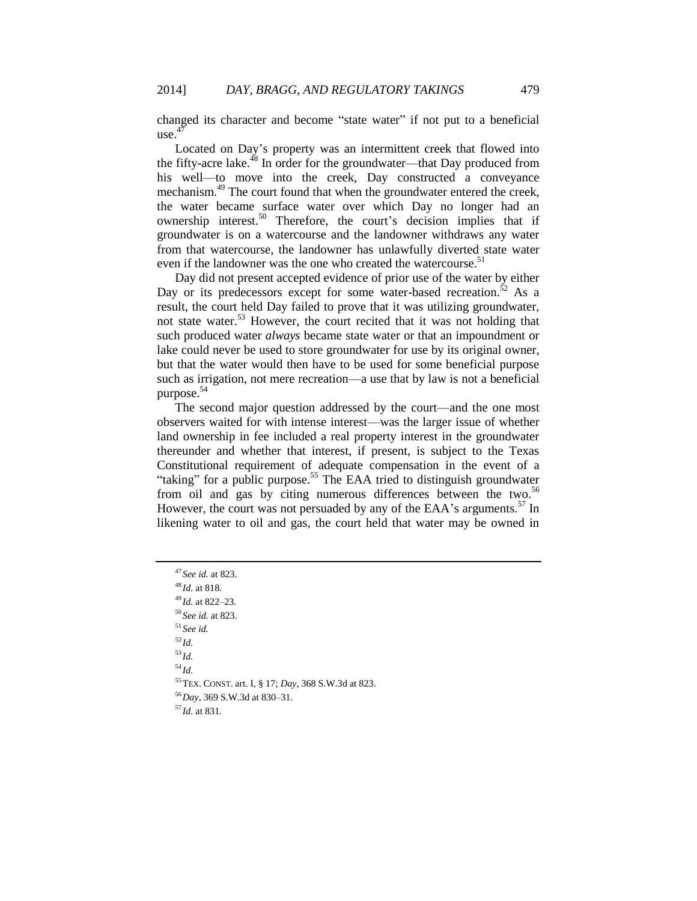changed its character and become "state water" if not put to a beneficial  $use<sup>47</sup>$ 

Located on Day's property was an intermittent creek that flowed into the fifty-acre lake.<sup>48</sup> In order for the groundwater—that Day produced from his well—to move into the creek. Day constructed a conveyance mechanism.<sup>49</sup> The court found that when the groundwater entered the creek, the water became surface water over which Day no longer had an ownership interest.<sup>50</sup> Therefore, the court's decision implies that if groundwater is on a watercourse and the landowner withdraws any water from that watercourse, the landowner has unlawfully diverted state water even if the landowner was the one who created the watercourse.<sup>51</sup>

Day did not present accepted evidence of prior use of the water by either Day or its predecessors except for some water-based recreation.<sup>52</sup> As a result, the court held Day failed to prove that it was utilizing groundwater, not state water.<sup>53</sup> However, the court recited that it was not holding that such produced water *always* became state water or that an impoundment or lake could never be used to store groundwater for use by its original owner, but that the water would then have to be used for some beneficial purpose such as irrigation, not mere recreation—a use that by law is not a beneficial purpose.<sup>54</sup>

The second major question addressed by the court—and the one most observers waited for with intense interest—was the larger issue of whether land ownership in fee included a real property interest in the groundwater thereunder and whether that interest, if present, is subject to the Texas Constitutional requirement of adequate compensation in the event of a "taking" for a public purpose.<sup>55</sup> The EAA tried to distinguish groundwater from oil and gas by citing numerous differences between the two.<sup>56</sup> However, the court was not persuaded by any of the EAA's arguments.<sup>57</sup> In likening water to oil and gas, the court held that water may be owned in

 *See id.* at 823. *Id.* at 818. *Id.* at 822–23. *See id.* at 823. <sup>51</sup> *See id.* <sup>52</sup> *Id.* <sup>53</sup> *Id.* <sup>54</sup> *Id.* TEX. CONST. art. I, § 17; *Day*, 368 S.W.3d at 823. *Day*, 369 S.W.3d at 830–31. *Id.* at 831.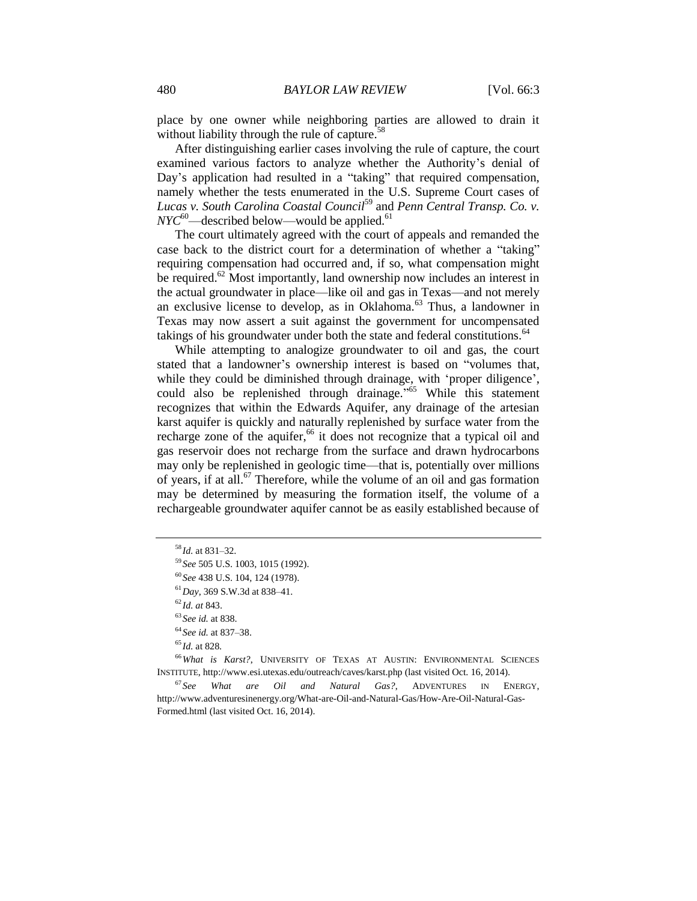place by one owner while neighboring parties are allowed to drain it without liability through the rule of capture. $58$ 

After distinguishing earlier cases involving the rule of capture, the court examined various factors to analyze whether the Authority's denial of Day's application had resulted in a "taking" that required compensation, namely whether the tests enumerated in the U.S. Supreme Court cases of *Lucas v. South Carolina Coastal Council*<sup>59</sup> and *Penn Central Transp. Co. v.*   $NYC^{60}$ —described below—would be applied.<sup>61</sup>

The court ultimately agreed with the court of appeals and remanded the case back to the district court for a determination of whether a "taking" requiring compensation had occurred and, if so, what compensation might be required.<sup>62</sup> Most importantly, land ownership now includes an interest in the actual groundwater in place—like oil and gas in Texas—and not merely an exclusive license to develop, as in Oklahoma.<sup>63</sup> Thus, a landowner in Texas may now assert a suit against the government for uncompensated takings of his groundwater under both the state and federal constitutions.<sup>64</sup>

While attempting to analogize groundwater to oil and gas, the court stated that a landowner's ownership interest is based on "volumes that, while they could be diminished through drainage, with 'proper diligence', could also be replenished through drainage." <sup>65</sup> While this statement recognizes that within the Edwards Aquifer, any drainage of the artesian karst aquifer is quickly and naturally replenished by surface water from the recharge zone of the aquifer, $66$  it does not recognize that a typical oil and gas reservoir does not recharge from the surface and drawn hydrocarbons may only be replenished in geologic time—that is, potentially over millions of years, if at all.<sup>67</sup> Therefore, while the volume of an oil and gas formation may be determined by measuring the formation itself, the volume of a rechargeable groundwater aquifer cannot be as easily established because of

<sup>58</sup> *Id.* at 831–32.

<sup>59</sup> *See* 505 U.S. 1003, 1015 (1992).

<sup>60</sup> *See* 438 U.S. 104, 124 (1978).

<sup>61</sup>*Day*, 369 S.W.3d at 838–41.

<sup>62</sup> *Id. at* 843.

<sup>63</sup> *See id.* at 838.

<sup>64</sup> *See id.* at 837–38.

<sup>65</sup> *Id.* at 828.

<sup>66</sup>*What is Karst?*, UNIVERSITY OF TEXAS AT AUSTIN: ENVIRONMENTAL SCIENCES INSTITUTE, http://www.esi.utexas.edu/outreach/caves/karst.php (last visited Oct. 16, 2014).

<sup>67</sup> *See What are Oil and Natural Gas?*, ADVENTURES IN ENERGY, http://www.adventuresinenergy.org/What-are-Oil-and-Natural-Gas/How-Are-Oil-Natural-Gas-Formed.html (last visited Oct. 16, 2014).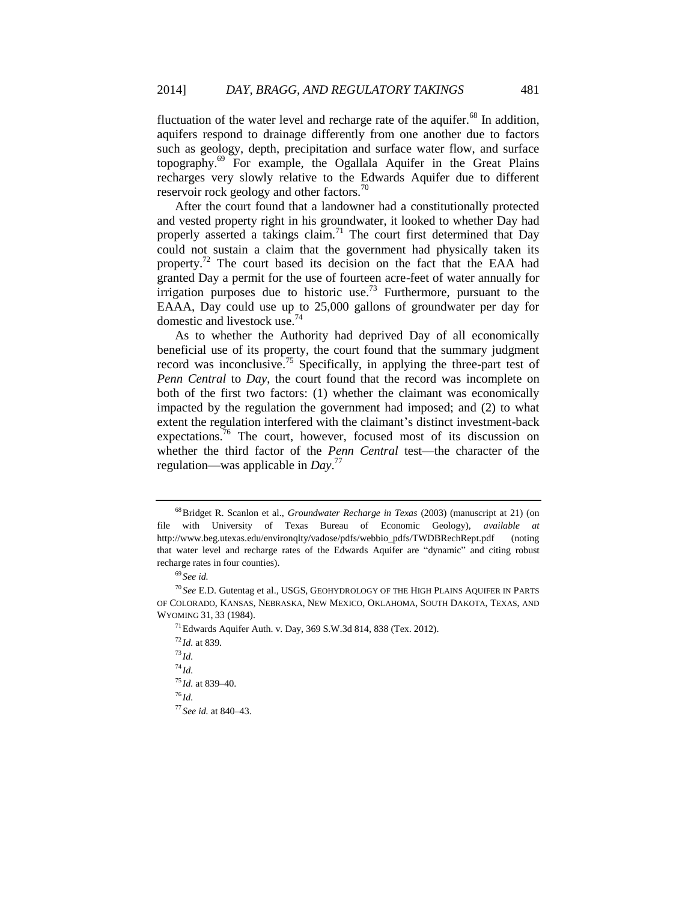fluctuation of the water level and recharge rate of the aquifer.<sup>68</sup> In addition, aquifers respond to drainage differently from one another due to factors such as geology, depth, precipitation and surface water flow, and surface topography.<sup>69</sup> For example, the Ogallala Aquifer in the Great Plains recharges very slowly relative to the Edwards Aquifer due to different reservoir rock geology and other factors.<sup>70</sup>

After the court found that a landowner had a constitutionally protected and vested property right in his groundwater, it looked to whether Day had properly asserted a takings claim.<sup>71</sup> The court first determined that Day could not sustain a claim that the government had physically taken its property.<sup>72</sup> The court based its decision on the fact that the EAA had granted Day a permit for the use of fourteen acre-feet of water annually for irrigation purposes due to historic use.<sup>73</sup> Furthermore, pursuant to the EAAA, Day could use up to 25,000 gallons of groundwater per day for domestic and livestock use.<sup>74</sup>

As to whether the Authority had deprived Day of all economically beneficial use of its property, the court found that the summary judgment record was inconclusive.<sup>75</sup> Specifically, in applying the three-part test of *Penn Central* to *Day*, the court found that the record was incomplete on both of the first two factors: (1) whether the claimant was economically impacted by the regulation the government had imposed; and (2) to what extent the regulation interfered with the claimant's distinct investment-back expectations.<sup>76</sup> The court, however, focused most of its discussion on whether the third factor of the *Penn Central* test—the character of the regulation—was applicable in *Day*. 77

<sup>68</sup>Bridget R. Scanlon et al., *Groundwater Recharge in Texas* (2003) (manuscript at 21) (on file with University of Texas Bureau of Economic Geology), *available at* http://www.beg.utexas.edu/environqlty/vadose/pdfs/webbio\_pdfs/TWDBRechRept.pdf (noting that water level and recharge rates of the Edwards Aquifer are "dynamic" and citing robust recharge rates in four counties).

<sup>69</sup> *See id.*

<sup>70</sup> *See* E.D. Gutentag et al., USGS, GEOHYDROLOGY OF THE HIGH PLAINS AQUIFER IN PARTS OF COLORADO, KANSAS, NEBRASKA, NEW MEXICO, OKLAHOMA, SOUTH DAKOTA, TEXAS, AND WYOMING 31, 33 (1984).

 $^{71}$ Edwards Aquifer Auth. v. Day, 369 S.W.3d 814, 838 (Tex. 2012).

<sup>72</sup> *Id.* at 839.

<sup>73</sup> *Id.*

<sup>74</sup> *Id.*

<sup>75</sup> *Id.* at 839–40.

<sup>76</sup> *Id.*

<sup>77</sup> *See id.* at 840–43.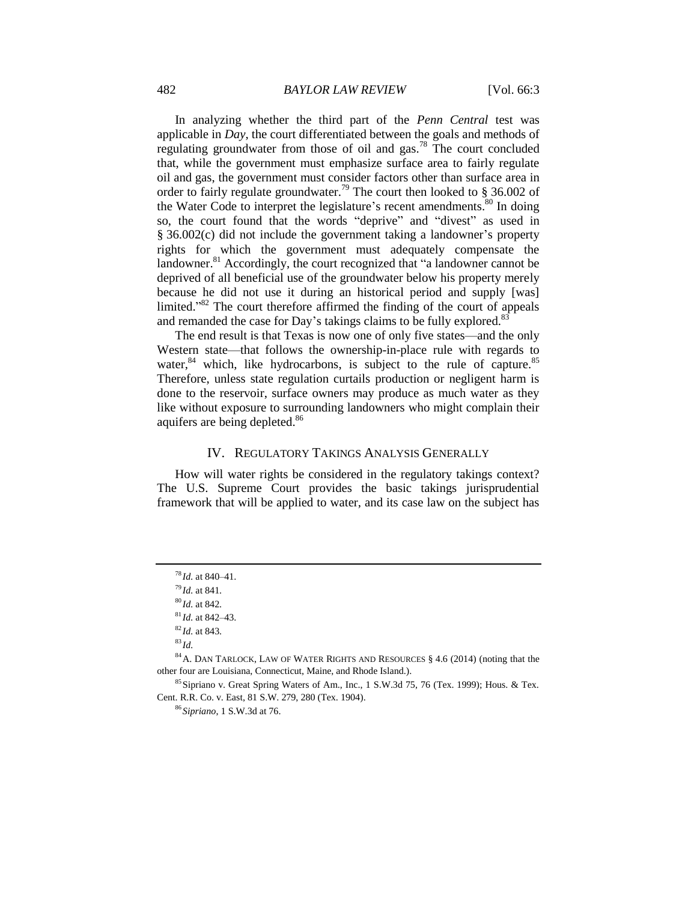In analyzing whether the third part of the *Penn Central* test was applicable in *Day*, the court differentiated between the goals and methods of regulating groundwater from those of oil and gas.<sup>78</sup> The court concluded that, while the government must emphasize surface area to fairly regulate oil and gas, the government must consider factors other than surface area in order to fairly regulate groundwater.<sup>79</sup> The court then looked to § 36.002 of the Water Code to interpret the legislature's recent amendments.<sup>80</sup> In doing so, the court found that the words "deprive" and "divest" as used in § 36.002(c) did not include the government taking a landowner's property rights for which the government must adequately compensate the landowner.<sup>81</sup> Accordingly, the court recognized that "a landowner cannot be deprived of all beneficial use of the groundwater below his property merely because he did not use it during an historical period and supply [was] limited."<sup>82</sup> The court therefore affirmed the finding of the court of appeals and remanded the case for Day's takings claims to be fully explored.<sup>8</sup>

The end result is that Texas is now one of only five states—and the only Western state—that follows the ownership-in-place rule with regards to water,<sup>84</sup> which, like hydrocarbons, is subject to the rule of capture.<sup>85</sup> Therefore, unless state regulation curtails production or negligent harm is done to the reservoir, surface owners may produce as much water as they like without exposure to surrounding landowners who might complain their aquifers are being depleted.<sup>86</sup>

#### IV. REGULATORY TAKINGS ANALYSIS GENERALLY

How will water rights be considered in the regulatory takings context? The U.S. Supreme Court provides the basic takings jurisprudential framework that will be applied to water, and its case law on the subject has

<sup>83</sup> *Id.*

<sup>78</sup> *Id.* at 840–41.

<sup>79</sup> *Id.* at 841.

<sup>80</sup> *Id.* at 842.

<sup>81</sup> *Id.* at 842–43.

<sup>82</sup> *Id.* at 843.

<sup>84</sup>A. DAN TARLOCK, LAW OF WATER RIGHTS AND RESOURCES § 4.6 (2014) (noting that the other four are Louisiana, Connecticut, Maine, and Rhode Island.).

<sup>&</sup>lt;sup>85</sup> Sipriano v. Great Spring Waters of Am., Inc., 1 S.W.3d 75, 76 (Tex. 1999); Hous. & Tex. Cent. R.R. Co. v. East, 81 S.W. 279, 280 (Tex. 1904).

<sup>86</sup> *Sipriano*, 1 S.W.3d at 76.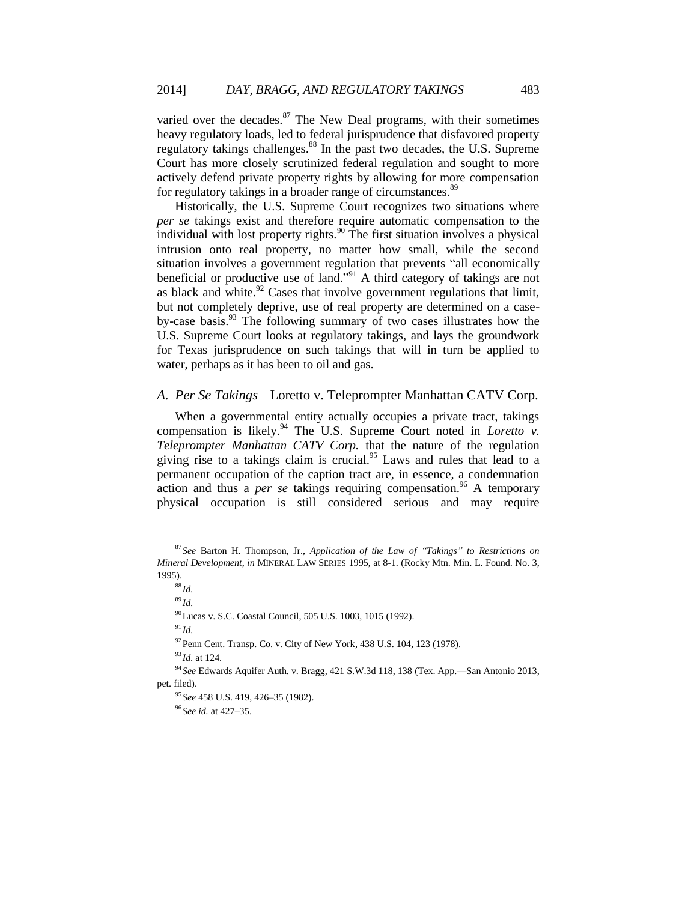<span id="page-12-0"></span>varied over the decades. $87$  The New Deal programs, with their sometimes heavy regulatory loads, led to federal jurisprudence that disfavored property regulatory takings challenges.<sup>88</sup> In the past two decades, the U.S. Supreme Court has more closely scrutinized federal regulation and sought to more actively defend private property rights by allowing for more compensation for regulatory takings in a broader range of circumstances.<sup>89</sup>

Historically, the U.S. Supreme Court recognizes two situations where *per se* takings exist and therefore require automatic compensation to the individual with lost property rights.<sup>90</sup> The first situation involves a physical intrusion onto real property, no matter how small, while the second situation involves a government regulation that prevents "all economically beneficial or productive use of land." <sup>91</sup> A third category of takings are not as black and white. $92$  Cases that involve government regulations that limit, but not completely deprive, use of real property are determined on a caseby-case basis.<sup>93</sup> The following summary of two cases illustrates how the U.S. Supreme Court looks at regulatory takings, and lays the groundwork for Texas jurisprudence on such takings that will in turn be applied to water, perhaps as it has been to oil and gas.

# *A. Per Se Takings—*Loretto v. Teleprompter Manhattan CATV Corp.

When a governmental entity actually occupies a private tract, takings compensation is likely.<sup>94</sup> The U.S. Supreme Court noted in *Loretto v*. *Teleprompter Manhattan CATV Corp.* that the nature of the regulation giving rise to a takings claim is crucial.<sup>95</sup> Laws and rules that lead to a permanent occupation of the caption tract are, in essence, a condemnation action and thus a *per se* takings requiring compensation.<sup>96</sup> A temporary physical occupation is still considered serious and may require

<sup>88</sup> *Id.*

<sup>89</sup> *Id.*

<sup>90</sup>Lucas v. S.C. Coastal Council, 505 U.S. 1003, 1015 (1992).

 $91$  *Id.* 

<sup>92</sup>Penn Cent. Transp. Co. v. City of New York*,* 438 U.S. 104, 123 (1978).

<sup>93</sup> *Id.* at 124.

<sup>94</sup> *See* Edwards Aquifer Auth. v. Bragg*,* 421 S.W.3d 118, 138 (Tex. App.—San Antonio 2013, pet. filed).

<sup>95</sup> *See* 458 U.S. 419, 426–35 (1982).

<sup>96</sup> *See id.* at 427–35.

<sup>87</sup> *See* Barton H. Thompson, Jr., *Application of the Law of "Takings" to Restrictions on Mineral Development*, *in* MINERAL LAW SERIES 1995, at 8-1. (Rocky Mtn. Min. L. Found. No. 3, 1995).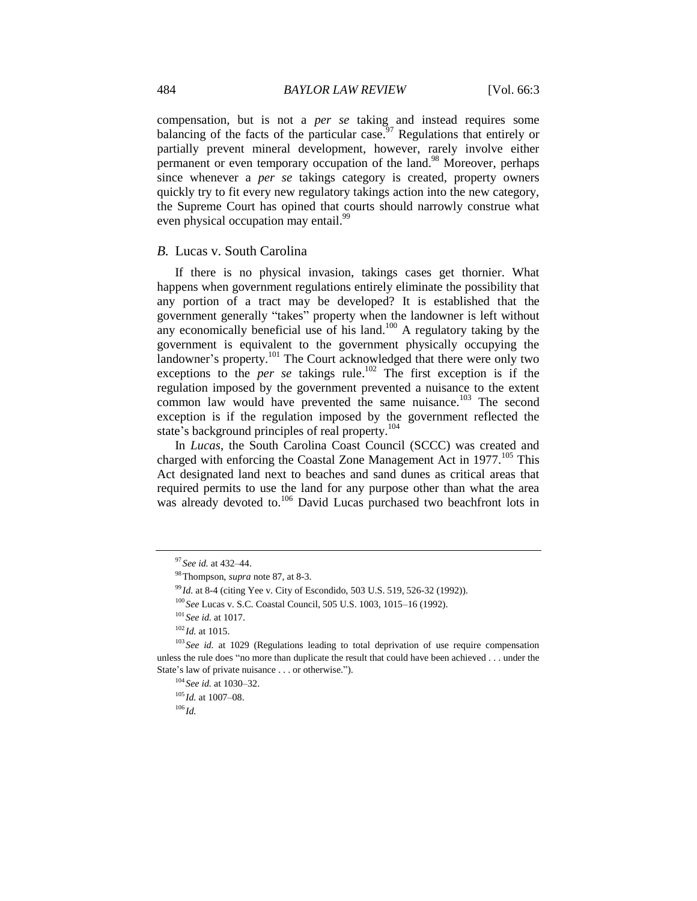compensation, but is not a *per se* taking and instead requires some balancing of the facts of the particular case.<sup>97</sup> Regulations that entirely or partially prevent mineral development, however, rarely involve either permanent or even temporary occupation of the land.<sup>98</sup> Moreover, perhaps since whenever a *per se* takings category is created, property owners quickly try to fit every new regulatory takings action into the new category, the Supreme Court has opined that courts should narrowly construe what even physical occupation may entail.<sup>99</sup>

#### *B.* Lucas v. South Carolina

If there is no physical invasion, takings cases get thornier. What happens when government regulations entirely eliminate the possibility that any portion of a tract may be developed? It is established that the government generally "takes" property when the landowner is left without any economically beneficial use of his land.<sup>100</sup> A regulatory taking by the government is equivalent to the government physically occupying the landowner's property.<sup>101</sup> The Court acknowledged that there were only two exceptions to the *per se* takings rule.<sup>102</sup> The first exception is if the regulation imposed by the government prevented a nuisance to the extent common law would have prevented the same nuisance.<sup>103</sup> The second exception is if the regulation imposed by the government reflected the state's background principles of real property.<sup>104</sup>

In *Lucas*, the South Carolina Coast Council (SCCC) was created and charged with enforcing the Coastal Zone Management Act in  $1977$ <sup>105</sup>. This Act designated land next to beaches and sand dunes as critical areas that required permits to use the land for any purpose other than what the area was already devoted to.<sup>106</sup> David Lucas purchased two beachfront lots in

<sup>97</sup> *See id.* at 432–44.

<sup>98</sup>Thompson, *supra* note 87, at 8-3.

<sup>99</sup> *Id.* at 8-4 (citing Yee v. City of Escondido, 503 U.S. 519, 526-32 (1992)).

<sup>100</sup> *See* Lucas v. S.C. Coastal Council, 505 U.S. 1003, 1015–16 (1992).

<sup>101</sup> *See id.* at 1017.

<sup>102</sup> *Id.* at 1015.

<sup>&</sup>lt;sup>103</sup> See id. at 1029 (Regulations leading to total deprivation of use require compensation unless the rule does "no more than duplicate the result that could have been achieved . . . under the State's law of private nuisance . . . or otherwise.").

<sup>104</sup> *See id.* at 1030–32.

<sup>105</sup> *Id.* at 1007–08.

 $106$  *Id.*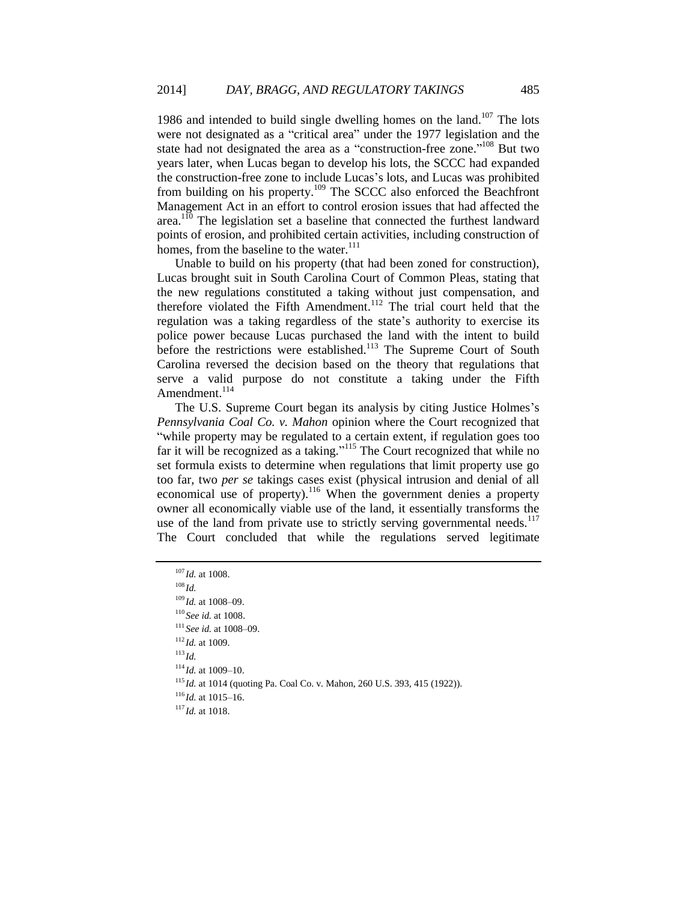1986 and intended to build single dwelling homes on the land.<sup>107</sup> The lots were not designated as a "critical area" under the 1977 legislation and the state had not designated the area as a "construction-free zone."<sup>108</sup> But two years later, when Lucas began to develop his lots, the SCCC had expanded the construction-free zone to include Lucas's lots, and Lucas was prohibited from building on his property.<sup>109</sup> The SCCC also enforced the Beachfront Management Act in an effort to control erosion issues that had affected the area.<sup>110</sup> The legislation set a baseline that connected the furthest landward points of erosion, and prohibited certain activities, including construction of homes, from the baseline to the water.<sup>111</sup>

Unable to build on his property (that had been zoned for construction), Lucas brought suit in South Carolina Court of Common Pleas, stating that the new regulations constituted a taking without just compensation, and therefore violated the Fifth Amendment.<sup>112</sup> The trial court held that the regulation was a taking regardless of the state's authority to exercise its police power because Lucas purchased the land with the intent to build before the restrictions were established.<sup>113</sup> The Supreme Court of South Carolina reversed the decision based on the theory that regulations that serve a valid purpose do not constitute a taking under the Fifth Amendment. $114$ 

The U.S. Supreme Court began its analysis by citing Justice Holmes's *Pennsylvania Coal Co. v. Mahon* opinion where the Court recognized that "while property may be regulated to a certain extent, if regulation goes too far it will be recognized as a taking."<sup>115</sup> The Court recognized that while no set formula exists to determine when regulations that limit property use go too far, two *per se* takings cases exist (physical intrusion and denial of all economical use of property).<sup>116</sup> When the government denies a property owner all economically viable use of the land, it essentially transforms the use of the land from private use to strictly serving governmental needs.<sup>117</sup> The Court concluded that while the regulations served legitimate

 *Id.* at 1008. <sup>108</sup> *Id. Id.* at 1008–09. *See id.* at 1008. *See id.* at 1008–09. *Id.* at 1009. <sup>113</sup> *Id. Id.* at 1009–10. *Id.* at 1014 (quoting Pa. Coal Co. v. Mahon, 260 U.S. 393, 415 (1922)). *Id.* at 1015–16. *Id.* at 1018.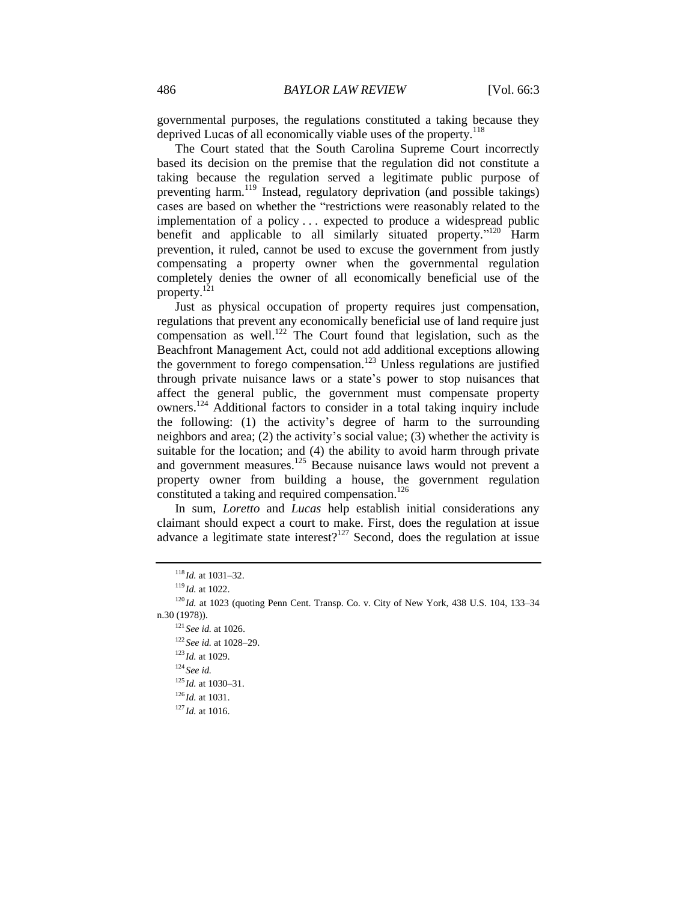governmental purposes, the regulations constituted a taking because they deprived Lucas of all economically viable uses of the property.<sup>118</sup>

The Court stated that the South Carolina Supreme Court incorrectly based its decision on the premise that the regulation did not constitute a taking because the regulation served a legitimate public purpose of preventing harm.<sup>119</sup> Instead, regulatory deprivation (and possible takings) cases are based on whether the "restrictions were reasonably related to the implementation of a policy . . . expected to produce a widespread public benefit and applicable to all similarly situated property."<sup>120</sup> Harm prevention, it ruled, cannot be used to excuse the government from justly compensating a property owner when the governmental regulation completely denies the owner of all economically beneficial use of the property.<sup>121</sup>

Just as physical occupation of property requires just compensation, regulations that prevent any economically beneficial use of land require just compensation as well.<sup>122</sup> The Court found that legislation, such as the Beachfront Management Act, could not add additional exceptions allowing the government to forego compensation.<sup>123</sup> Unless regulations are justified through private nuisance laws or a state's power to stop nuisances that affect the general public, the government must compensate property owners.<sup>124</sup> Additional factors to consider in a total taking inquiry include the following: (1) the activity's degree of harm to the surrounding neighbors and area; (2) the activity's social value; (3) whether the activity is suitable for the location; and (4) the ability to avoid harm through private and government measures.<sup>125</sup> Because nuisance laws would not prevent a property owner from building a house, the government regulation constituted a taking and required compensation.<sup>126</sup>

In sum, *Loretto* and *Lucas* help establish initial considerations any claimant should expect a court to make. First, does the regulation at issue advance a legitimate state interest? $127$  Second, does the regulation at issue

<sup>122</sup> *See id.* at 1028–29.

 $118$  *Id.* at 1031–32.

<sup>119</sup> *Id.* at 1022.

 $120$  *Id.* at 1023 (quoting Penn Cent. Transp. Co. v. City of New York, 438 U.S. 104, 133–34 n.30 (1978)).

<sup>121</sup> *See id.* at 1026.

<sup>123</sup> *Id.* at 1029.

<sup>124</sup> *See id.*

 $^{125}$ *Id.* at 1030–31.

 $^{126}$ *Id.* at 1031.

<sup>127</sup> *Id.* at 1016.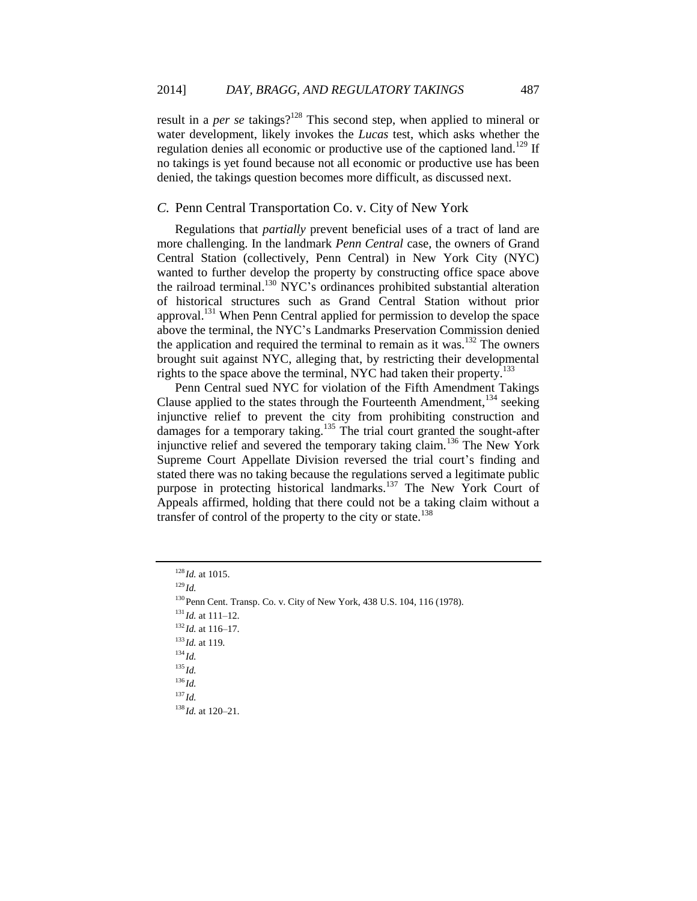result in a *per se* takings?<sup>128</sup> This second step, when applied to mineral or water development, likely invokes the *Lucas* test, which asks whether the regulation denies all economic or productive use of the captioned land.<sup>129</sup> If no takings is yet found because not all economic or productive use has been denied, the takings question becomes more difficult, as discussed next.

### *C.* Penn Central Transportation Co. v. City of New York

Regulations that *partially* prevent beneficial uses of a tract of land are more challenging. In the landmark *Penn Central* case, the owners of Grand Central Station (collectively, Penn Central) in New York City (NYC) wanted to further develop the property by constructing office space above the railroad terminal.<sup>130</sup> NYC's ordinances prohibited substantial alteration of historical structures such as Grand Central Station without prior approval.<sup>131</sup> When Penn Central applied for permission to develop the space above the terminal, the NYC's Landmarks Preservation Commission denied the application and required the terminal to remain as it was. $132$  The owners brought suit against NYC, alleging that, by restricting their developmental rights to the space above the terminal, NYC had taken their property.<sup>133</sup>

Penn Central sued NYC for violation of the Fifth Amendment Takings Clause applied to the states through the Fourteenth Amendment,  $134$  seeking injunctive relief to prevent the city from prohibiting construction and damages for a temporary taking.<sup>135</sup> The trial court granted the sought-after injunctive relief and severed the temporary taking claim.<sup>136</sup> The New York Supreme Court Appellate Division reversed the trial court's finding and stated there was no taking because the regulations served a legitimate public purpose in protecting historical landmarks.<sup>137</sup> The New York Court of Appeals affirmed, holding that there could not be a taking claim without a transfer of control of the property to the city or state. $138$ 

<sup>131</sup> *Id.* at 111–12.

<sup>132</sup> *Id.* at 116–17.

<sup>133</sup> *Id.* at 119.

<sup>134</sup> *Id.*

<sup>135</sup> *Id.*

<sup>136</sup> *Id.*

<sup>137</sup> *Id.*

<sup>138</sup> *Id.* at 120–21.

<sup>128</sup> *Id.* at 1015.

<sup>129</sup> *Id.*

<sup>130</sup>Penn Cent. Transp. Co. v. City of New York, 438 U.S. 104, 116 (1978).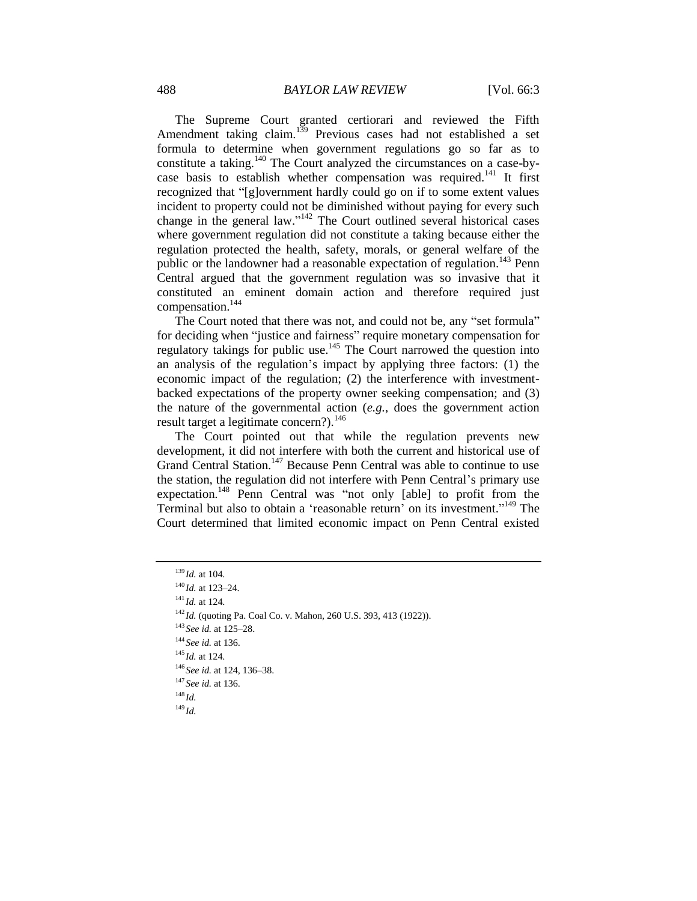The Supreme Court granted certiorari and reviewed the Fifth Amendment taking claim.<sup>139</sup> Previous cases had not established a set formula to determine when government regulations go so far as to constitute a taking.<sup>140</sup> The Court analyzed the circumstances on a case-bycase basis to establish whether compensation was required.<sup>141</sup> It first recognized that "[g]overnment hardly could go on if to some extent values incident to property could not be diminished without paying for every such change in the general law."<sup>142</sup> The Court outlined several historical cases where government regulation did not constitute a taking because either the regulation protected the health, safety, morals, or general welfare of the public or the landowner had a reasonable expectation of regulation.<sup>143</sup> Penn Central argued that the government regulation was so invasive that it constituted an eminent domain action and therefore required just compensation.<sup>144</sup>

The Court noted that there was not, and could not be, any "set formula" for deciding when "justice and fairness" require monetary compensation for regulatory takings for public use.<sup>145</sup> The Court narrowed the question into an analysis of the regulation's impact by applying three factors: (1) the economic impact of the regulation; (2) the interference with investmentbacked expectations of the property owner seeking compensation; and (3) the nature of the governmental action (*e.g.*, does the government action result target a legitimate concern?).<sup>146</sup>

The Court pointed out that while the regulation prevents new development, it did not interfere with both the current and historical use of Grand Central Station.<sup>147</sup> Because Penn Central was able to continue to use the station, the regulation did not interfere with Penn Central's primary use expectation.<sup>148</sup> Penn Central was "not only [able] to profit from the Terminal but also to obtain a 'reasonable return' on its investment." <sup>149</sup> The Court determined that limited economic impact on Penn Central existed

<sup>143</sup> *See id.* at 125–28.

<sup>145</sup> *Id.* at 124.

<sup>147</sup> *See id.* at 136.

<sup>139</sup> *Id.* at 104.

<sup>140</sup> *Id.* at 123–24.

<sup>141</sup> *Id.* at 124.

<sup>&</sup>lt;sup>142</sup> *Id.* (quoting Pa. Coal Co. v. Mahon, 260 U.S. 393, 413 (1922)).

<sup>144</sup> *See id.* at 136.

<sup>146</sup> *See id.* at 124, 136–38.

<sup>148</sup> *Id.*

<sup>149</sup> *Id.*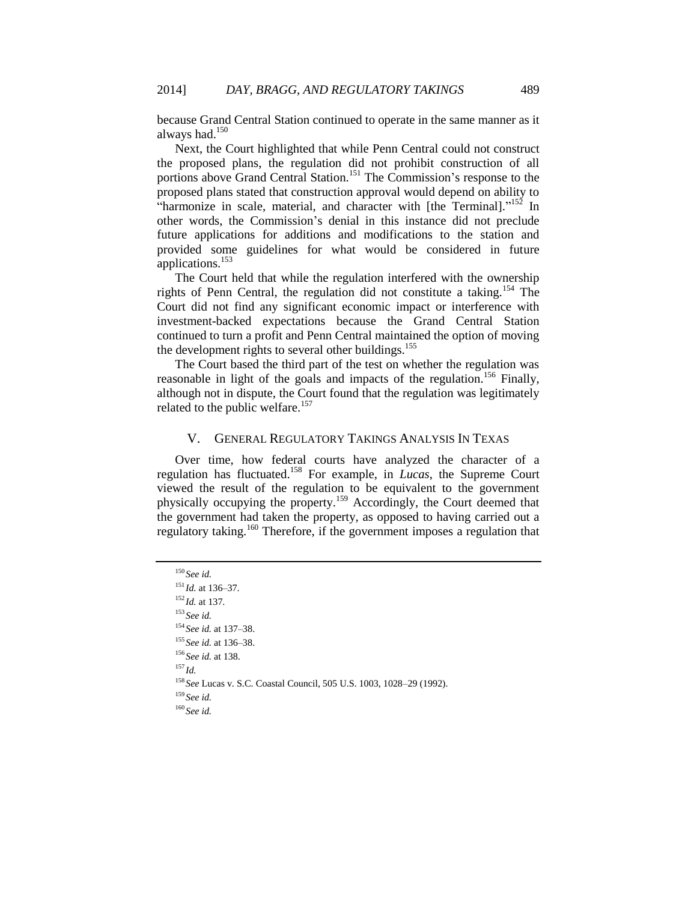because Grand Central Station continued to operate in the same manner as it always had.<sup>150</sup>

Next, the Court highlighted that while Penn Central could not construct the proposed plans, the regulation did not prohibit construction of all portions above Grand Central Station.<sup>151</sup> The Commission's response to the proposed plans stated that construction approval would depend on ability to "harmonize in scale, material, and character with [the Terminal]."<sup>152</sup> In other words, the Commission's denial in this instance did not preclude future applications for additions and modifications to the station and provided some guidelines for what would be considered in future applications.<sup>153</sup>

The Court held that while the regulation interfered with the ownership rights of Penn Central, the regulation did not constitute a taking.<sup>154</sup> The Court did not find any significant economic impact or interference with investment-backed expectations because the Grand Central Station continued to turn a profit and Penn Central maintained the option of moving the development rights to several other buildings.<sup>155</sup>

The Court based the third part of the test on whether the regulation was reasonable in light of the goals and impacts of the regulation.<sup>156</sup> Finally, although not in dispute, the Court found that the regulation was legitimately related to the public welfare.<sup>157</sup>

## V. GENERAL REGULATORY TAKINGS ANALYSIS IN TEXAS

Over time, how federal courts have analyzed the character of a regulation has fluctuated.<sup>158</sup> For example, in *Lucas*, the Supreme Court viewed the result of the regulation to be equivalent to the government physically occupying the property.<sup>159</sup> Accordingly, the Court deemed that the government had taken the property, as opposed to having carried out a regulatory taking.<sup>160</sup> Therefore, if the government imposes a regulation that

<sup>150</sup> *See id.* <sup>151</sup> *Id.* at 136–37. <sup>152</sup> *Id.* at 137. <sup>153</sup> *See id.* <sup>154</sup> *See id.* at 137–38. <sup>155</sup> *See id.* at 136–38. <sup>156</sup> *See id.* at 138. <sup>157</sup> *Id.* <sup>158</sup> *See* Lucas v. S.C. Coastal Council, 505 U.S. 1003, 1028–29 (1992). <sup>159</sup> *See id.* <sup>160</sup> *See id.*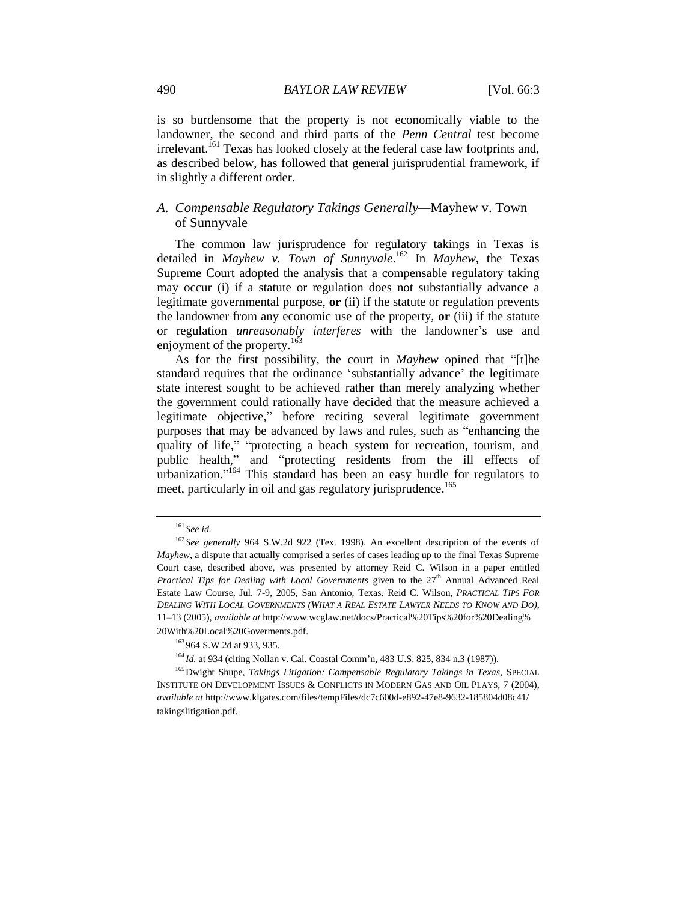is so burdensome that the property is not economically viable to the landowner, the second and third parts of the *Penn Central* test become irrelevant.<sup>161</sup> Texas has looked closely at the federal case law footprints and, as described below, has followed that general jurisprudential framework, if in slightly a different order.

# *A. Compensable Regulatory Takings Generally—*Mayhew v. Town of Sunnyvale

The common law jurisprudence for regulatory takings in Texas is detailed in *Mayhew v. Town of Sunnyvale*. <sup>162</sup> In *Mayhew*, the Texas Supreme Court adopted the analysis that a compensable regulatory taking may occur (i) if a statute or regulation does not substantially advance a legitimate governmental purpose, **or** (ii) if the statute or regulation prevents the landowner from any economic use of the property, **or** (iii) if the statute or regulation *unreasonably interferes* with the landowner's use and enjoyment of the property.<sup>163</sup>

As for the first possibility, the court in *Mayhew* opined that "[t]he standard requires that the ordinance 'substantially advance' the legitimate state interest sought to be achieved rather than merely analyzing whether the government could rationally have decided that the measure achieved a legitimate objective," before reciting several legitimate government purposes that may be advanced by laws and rules, such as "enhancing the quality of life," "protecting a beach system for recreation, tourism, and public health," and "protecting residents from the ill effects of urbanization."<sup>164</sup> This standard has been an easy hurdle for regulators to meet, particularly in oil and gas regulatory jurisprudence.<sup>165</sup>

<span id="page-19-0"></span><sup>161</sup> *See id.*

<sup>&</sup>lt;sup>162</sup> See generally 964 S.W.2d 922 (Tex. 1998). An excellent description of the events of *Mayhew*, a dispute that actually comprised a series of cases leading up to the final Texas Supreme Court case, described above, was presented by attorney Reid C. Wilson in a paper entitled *Practical Tips for Dealing with Local Governments* given to the 27<sup>th</sup> Annual Advanced Real Estate Law Course, Jul. 7-9, 2005, San Antonio, Texas. Reid C. Wilson, *PRACTICAL TIPS FOR*  DEALING WITH LOCAL GOVERNMENTS (WHAT A REAL ESTATE LAWYER NEEDS TO KNOW AND DO), 11–13 (2005), *available at* http://www.wcglaw.net/docs/Practical%20Tips%20for%20Dealing% 20With%20Local%20Goverments.pdf.

<sup>&</sup>lt;sup>163</sup> 964 S.W.2d at 933, 935.

<sup>164</sup> *Id.* at 934 (citing Nollan v. Cal. Coastal Comm'n, 483 U.S. 825, 834 n.3 (1987)).

<sup>165</sup>Dwight Shupe, *Takings Litigation: Compensable Regulatory Takings in Texas*, SPECIAL INSTITUTE ON DEVELOPMENT ISSUES & CONFLICTS IN MODERN GAS AND OIL PLAYS, 7 (2004), *available at* http://www.klgates.com/files/tempFiles/dc7c600d-e892-47e8-9632-185804d08c41/ takingslitigation.pdf.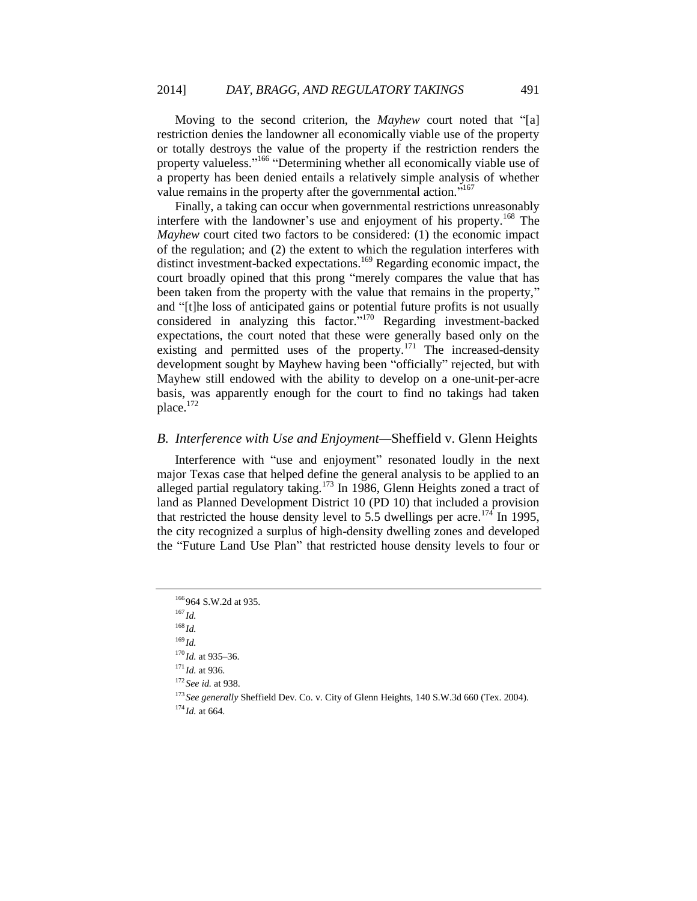Moving to the second criterion, the *Mayhew* court noted that "[a] restriction denies the landowner all economically viable use of the property or totally destroys the value of the property if the restriction renders the property valueless."<sup>166</sup> "Determining whether all economically viable use of a property has been denied entails a relatively simple analysis of whether value remains in the property after the governmental action."<sup>167</sup>

Finally, a taking can occur when governmental restrictions unreasonably interfere with the landowner's use and enjoyment of his property.<sup>168</sup> The *Mayhew* court cited two factors to be considered: (1) the economic impact of the regulation; and (2) the extent to which the regulation interferes with distinct investment-backed expectations.<sup>169</sup> Regarding economic impact, the court broadly opined that this prong "merely compares the value that has been taken from the property with the value that remains in the property," and "[t]he loss of anticipated gains or potential future profits is not usually considered in analyzing this factor."<sup>170</sup> Regarding investment-backed expectations, the court noted that these were generally based only on the existing and permitted uses of the property. $171$  The increased-density development sought by Mayhew having been "officially" rejected, but with Mayhew still endowed with the ability to develop on a one-unit-per-acre basis, was apparently enough for the court to find no takings had taken place.<sup>172</sup>

# *B. Interference with Use and Enjoyment—*Sheffield v. Glenn Heights

Interference with "use and enjoyment" resonated loudly in the next major Texas case that helped define the general analysis to be applied to an alleged partial regulatory taking.<sup>173</sup> In 1986, Glenn Heights zoned a tract of land as Planned Development District 10 (PD 10) that included a provision that restricted the house density level to 5.5 dwellings per acre.<sup>174</sup> In 1995, the city recognized a surplus of high-density dwelling zones and developed the "Future Land Use Plan" that restricted house density levels to four or

<sup>173</sup> See generally Sheffield Dev. Co. v. City of Glenn Heights, 140 S.W.3d 660 (Tex. 2004).

<sup>&</sup>lt;sup>166</sup>964 S.W.2d at 935.

<sup>167</sup> *Id.*

<sup>168</sup> *Id.*

<sup>169</sup> *Id.*

<sup>170</sup> *Id.* at 935–36.

<sup>171</sup> *Id.* at 936.

<sup>172</sup> *See id.* at 938.

 $174$  *Id.* at 664.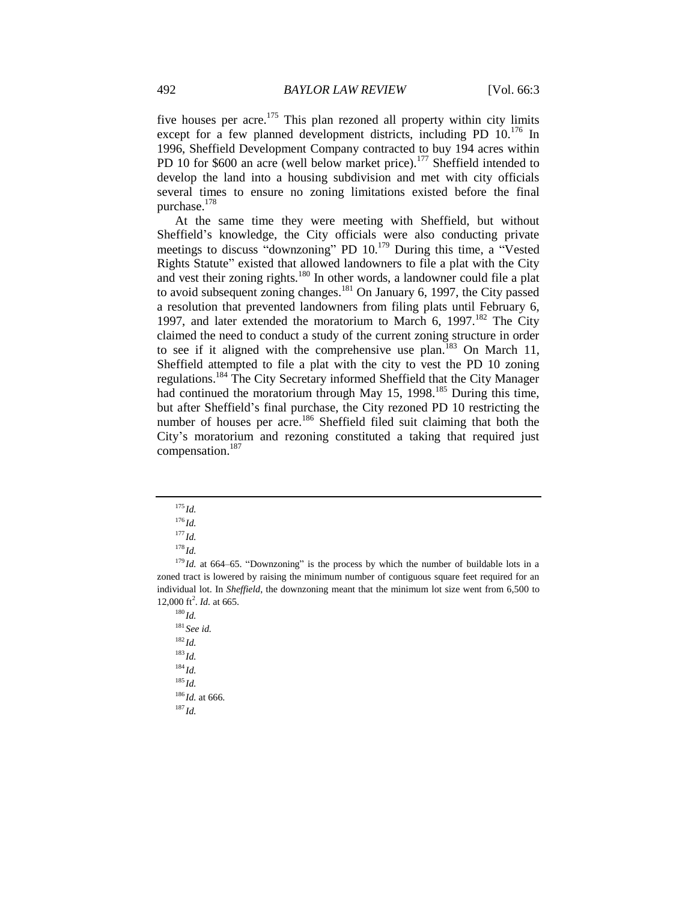five houses per acre.<sup>175</sup> This plan rezoned all property within city limits except for a few planned development districts, including PD 10.<sup>176</sup> In 1996, Sheffield Development Company contracted to buy 194 acres within PD 10 for \$600 an acre (well below market price).<sup>177</sup> Sheffield intended to develop the land into a housing subdivision and met with city officials several times to ensure no zoning limitations existed before the final purchase.<sup>178</sup>

At the same time they were meeting with Sheffield, but without Sheffield's knowledge, the City officials were also conducting private meetings to discuss "downzoning" PD 10.<sup>179</sup> During this time, a "Vested Rights Statute" existed that allowed landowners to file a plat with the City and vest their zoning rights.<sup>180</sup> In other words, a landowner could file a plat to avoid subsequent zoning changes.<sup>181</sup> On January 6, 1997, the City passed a resolution that prevented landowners from filing plats until February 6, 1997, and later extended the moratorium to March 6, 1997.<sup>182</sup> The City claimed the need to conduct a study of the current zoning structure in order to see if it aligned with the comprehensive use plan.<sup>183</sup> On March 11, Sheffield attempted to file a plat with the city to vest the PD 10 zoning regulations.<sup>184</sup> The City Secretary informed Sheffield that the City Manager had continued the moratorium through May 15, 1998.<sup>185</sup> During this time, but after Sheffield's final purchase, the City rezoned PD 10 restricting the number of houses per acre.<sup>186</sup> Sheffield filed suit claiming that both the City's moratorium and rezoning constituted a taking that required just compensation.<sup>187</sup>

<sup>180</sup> *Id.* <sup>181</sup> *See id.*  $182$  *Id.* <sup>183</sup> *Id.*  $184$  *Id.* <sup>185</sup> *Id.* <sup>186</sup> *Id.* at 666. <sup>187</sup> *Id.*

<sup>175</sup> *Id.*

<sup>176</sup> *Id.*

<sup>177</sup> *Id.*

<sup>178</sup> *Id.*

<sup>&</sup>lt;sup>179</sup> *Id.* at 664–65. "Downzoning" is the process by which the number of buildable lots in a zoned tract is lowered by raising the minimum number of contiguous square feet required for an individual lot. In *Sheffield*, the downzoning meant that the minimum lot size went from 6,500 to 12,000 ft<sup>2</sup>. *Id.* at 665.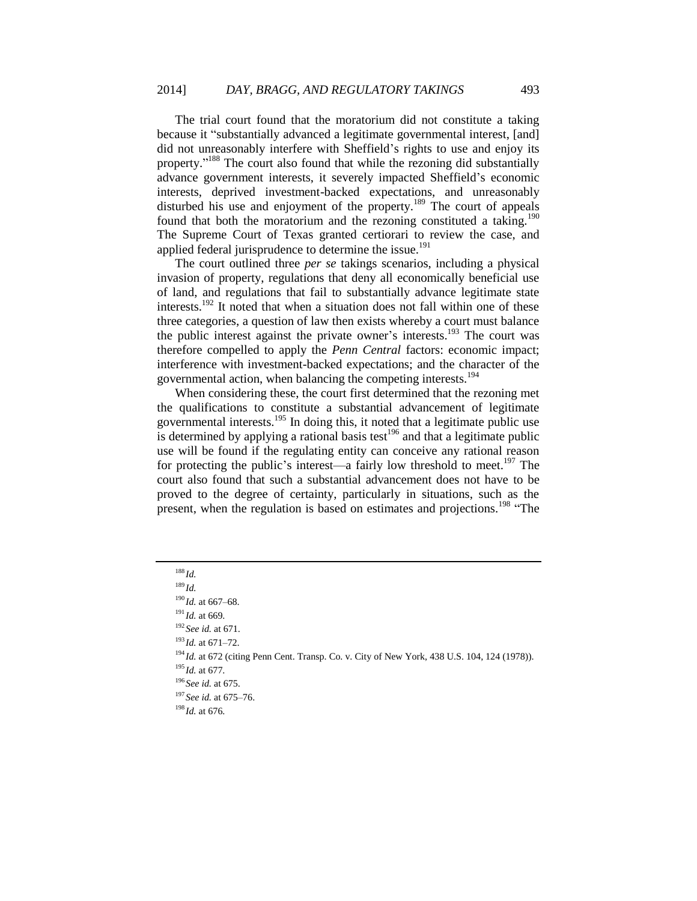The trial court found that the moratorium did not constitute a taking because it "substantially advanced a legitimate governmental interest, [and] did not unreasonably interfere with Sheffield's rights to use and enjoy its property."<sup>188</sup> The court also found that while the rezoning did substantially advance government interests, it severely impacted Sheffield's economic interests, deprived investment-backed expectations, and unreasonably disturbed his use and enjoyment of the property.<sup>189</sup> The court of appeals found that both the moratorium and the rezoning constituted a taking.<sup>190</sup> The Supreme Court of Texas granted certiorari to review the case, and applied federal jurisprudence to determine the issue.<sup>191</sup>

The court outlined three *per se* takings scenarios, including a physical invasion of property, regulations that deny all economically beneficial use of land, and regulations that fail to substantially advance legitimate state interests.<sup>192</sup> It noted that when a situation does not fall within one of these three categories, a question of law then exists whereby a court must balance the public interest against the private owner's interests.<sup>193</sup> The court was therefore compelled to apply the *Penn Central* factors: economic impact; interference with investment-backed expectations; and the character of the governmental action, when balancing the competing interests.<sup>194</sup>

When considering these, the court first determined that the rezoning met the qualifications to constitute a substantial advancement of legitimate governmental interests.<sup>195</sup> In doing this, it noted that a legitimate public use is determined by applying a rational basis test<sup>196</sup> and that a legitimate public use will be found if the regulating entity can conceive any rational reason for protecting the public's interest—a fairly low threshold to meet.<sup>197</sup> The court also found that such a substantial advancement does not have to be proved to the degree of certainty, particularly in situations, such as the present, when the regulation is based on estimates and projections.<sup>198</sup> "The

# <sup>188</sup> *Id.*

<sup>194</sup> *Id.* at 672 (citing Penn Cent. Transp. Co. v. City of New York, 438 U.S. 104, 124 (1978)).

<sup>189</sup> *Id.*

 $190$  *Id.* at 667–68.

<sup>191</sup> *Id.* at 669.

<sup>192</sup> *See id.* at 671.

<sup>193</sup> *Id.* at 671–72.

<sup>195</sup> *Id.* at 677.

<sup>196</sup> *See id.* at 675.

<sup>197</sup> *See id.* at 675–76.

<sup>198</sup> *Id.* at 676.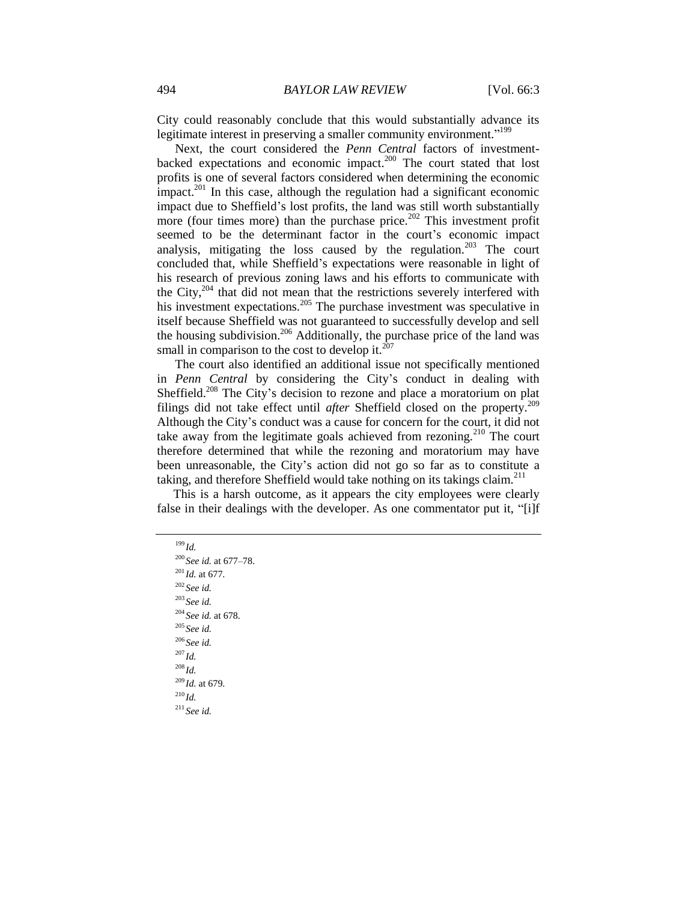City could reasonably conclude that this would substantially advance its legitimate interest in preserving a smaller community environment."<sup>199</sup>

Next, the court considered the *Penn Central* factors of investmentbacked expectations and economic impact.<sup>200</sup> The court stated that lost profits is one of several factors considered when determining the economic impact.<sup>201</sup> In this case, although the regulation had a significant economic impact due to Sheffield's lost profits, the land was still worth substantially more (four times more) than the purchase price. $^{202}$  This investment profit seemed to be the determinant factor in the court's economic impact analysis, mitigating the loss caused by the regulation.<sup>203</sup> The court concluded that, while Sheffield's expectations were reasonable in light of his research of previous zoning laws and his efforts to communicate with the City,<sup>204</sup> that did not mean that the restrictions severely interfered with his investment expectations.<sup>205</sup> The purchase investment was speculative in itself because Sheffield was not guaranteed to successfully develop and sell the housing subdivision.<sup>206</sup> Additionally, the purchase price of the land was small in comparison to the cost to develop it. $^{207}$ 

The court also identified an additional issue not specifically mentioned in *Penn Central* by considering the City's conduct in dealing with Sheffield.<sup>208</sup> The City's decision to rezone and place a moratorium on plat filings did not take effect until *after* Sheffield closed on the property.<sup>209</sup> Although the City's conduct was a cause for concern for the court, it did not take away from the legitimate goals achieved from rezoning.<sup>210</sup> The court therefore determined that while the rezoning and moratorium may have been unreasonable, the City's action did not go so far as to constitute a taking, and therefore Sheffield would take nothing on its takings claim.<sup>211</sup>

This is a harsh outcome, as it appears the city employees were clearly false in their dealings with the developer. As one commentator put it, "[i]f

<sup>199</sup> *Id.* <sup>200</sup> *See id.* at 677–78. <sup>201</sup> *Id.* at 677. <sup>202</sup> *See id.* <sup>203</sup> *See id.* <sup>204</sup> *See id.* at 678. <sup>205</sup> *See id.* <sup>206</sup> *See id.* <sup>207</sup> *Id.* <sup>208</sup> *Id.* <sup>209</sup> *Id.* at 679.  $^{210}$ *Id.* <sup>211</sup> *See id.*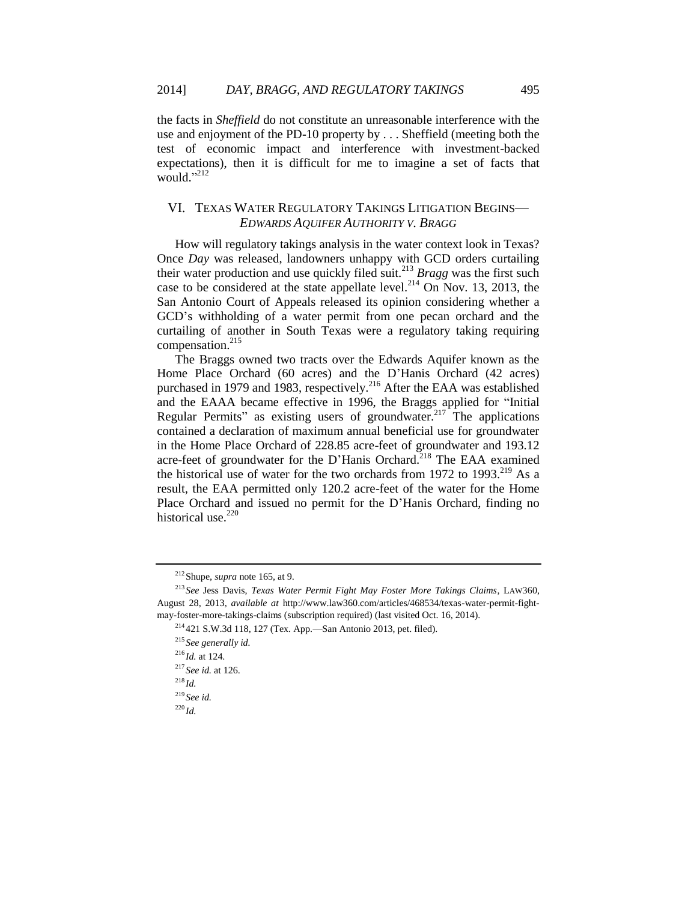the facts in *Sheffield* do not constitute an unreasonable interference with the use and enjoyment of the PD-10 property by . . . Sheffield (meeting both the test of economic impact and interference with investment-backed expectations), then it is difficult for me to imagine a set of facts that would."<sup>212</sup>

## VI. TEXAS WATER REGULATORY TAKINGS LITIGATION BEGINS— *EDWARDS AQUIFER AUTHORITY V. BRAGG*

How will regulatory takings analysis in the water context look in Texas? Once *Day* was released, landowners unhappy with GCD orders curtailing their water production and use quickly filed suit.<sup>213</sup> *Bragg* was the first such case to be considered at the state appellate level.<sup>214</sup> On Nov. 13, 2013, the San Antonio Court of Appeals released its opinion considering whether a GCD's withholding of a water permit from one pecan orchard and the curtailing of another in South Texas were a regulatory taking requiring compensation.<sup>215</sup>

The Braggs owned two tracts over the Edwards Aquifer known as the Home Place Orchard (60 acres) and the D'Hanis Orchard (42 acres) purchased in 1979 and 1983, respectively.<sup>216</sup> After the EAA was established and the EAAA became effective in 1996, the Braggs applied for "Initial Regular Permits" as existing users of groundwater.<sup>217</sup> The applications contained a declaration of maximum annual beneficial use for groundwater in the Home Place Orchard of 228.85 acre-feet of groundwater and 193.12 acre-feet of groundwater for the D'Hanis Orchard.<sup>218</sup> The EAA examined the historical use of water for the two orchards from 1972 to 1993.<sup>219</sup> As a result, the EAA permitted only 120.2 acre-feet of the water for the Home Place Orchard and issued no permit for the D'Hanis Orchard, finding no historical use. $220$ 

<sup>212</sup>Shupe, *supra* note [165,](#page-19-0) at 9.

<sup>213</sup> *See* Jess Davis, *Texas Water Permit Fight May Foster More Takings Claims*, LAW360, August 28, 2013, *available at* http://www.law360.com/articles/468534/texas-water-permit-fightmay-foster-more-takings-claims (subscription required) (last visited Oct. 16, 2014).

<sup>214</sup> 421 S.W.3d 118, 127 (Tex. App.—San Antonio 2013, pet. filed).

<sup>215</sup> *See generally id.*

<sup>216</sup> *Id.* at 124.

<sup>217</sup> *See id.* at 126.

<sup>218</sup> *Id.*

<sup>219</sup> *See id.*

<sup>220</sup> *Id.*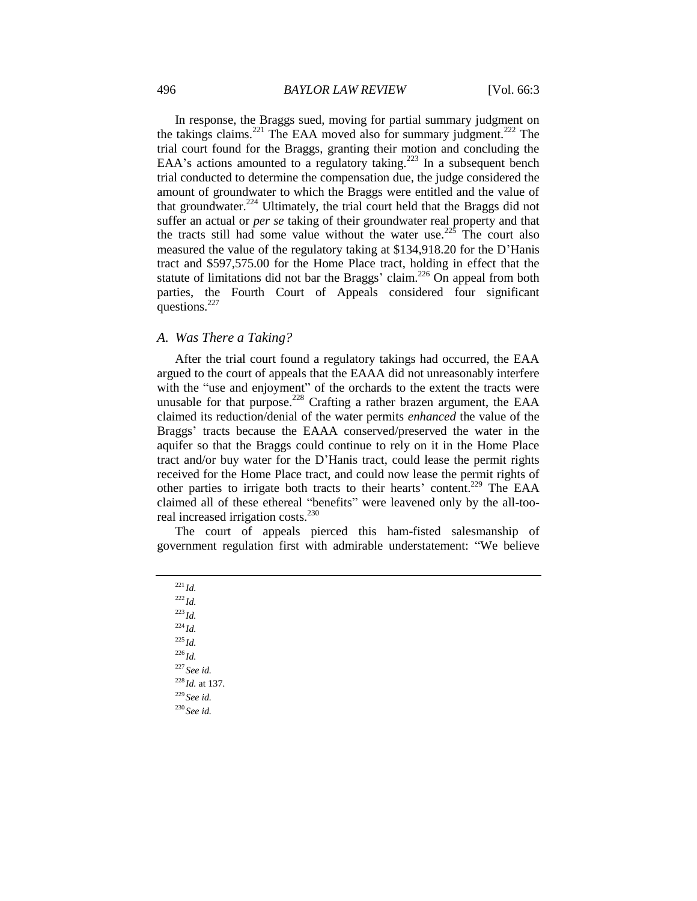In response, the Braggs sued, moving for partial summary judgment on the takings claims.<sup>221</sup> The EAA moved also for summary judgment.<sup>222</sup> The trial court found for the Braggs, granting their motion and concluding the EAA's actions amounted to a regulatory taking.<sup>223</sup> In a subsequent bench trial conducted to determine the compensation due, the judge considered the amount of groundwater to which the Braggs were entitled and the value of that groundwater. $224$  Ultimately, the trial court held that the Braggs did not suffer an actual or *per se* taking of their groundwater real property and that the tracts still had some value without the water use.<sup>225</sup> The court also measured the value of the regulatory taking at \$134,918.20 for the D'Hanis tract and \$597,575.00 for the Home Place tract, holding in effect that the statute of limitations did not bar the Braggs' claim.<sup>226</sup> On appeal from both parties, the Fourth Court of Appeals considered four significant questions.<sup>227</sup>

# *A. Was There a Taking?*

After the trial court found a regulatory takings had occurred, the EAA argued to the court of appeals that the EAAA did not unreasonably interfere with the "use and enjoyment" of the orchards to the extent the tracts were unusable for that purpose.<sup>228</sup> Crafting a rather brazen argument, the EAA claimed its reduction/denial of the water permits *enhanced* the value of the Braggs' tracts because the EAAA conserved/preserved the water in the aquifer so that the Braggs could continue to rely on it in the Home Place tract and/or buy water for the D'Hanis tract, could lease the permit rights received for the Home Place tract, and could now lease the permit rights of other parties to irrigate both tracts to their hearts' content.<sup>229</sup> The EAA claimed all of these ethereal "benefits" were leavened only by the all-tooreal increased irrigation costs.<sup>230</sup>

The court of appeals pierced this ham-fisted salesmanship of government regulation first with admirable understatement: "We believe

<sup>221</sup> *Id.*  $^{222}$ *Id.* <sup>223</sup> *Id.*  $^{224}$ *Id.* <sup>225</sup> *Id.*  $^{226}$ *Id.* <sup>227</sup> *See id.* <sup>228</sup> *Id.* at 137. <sup>229</sup> *See id.* <sup>230</sup> *See id.*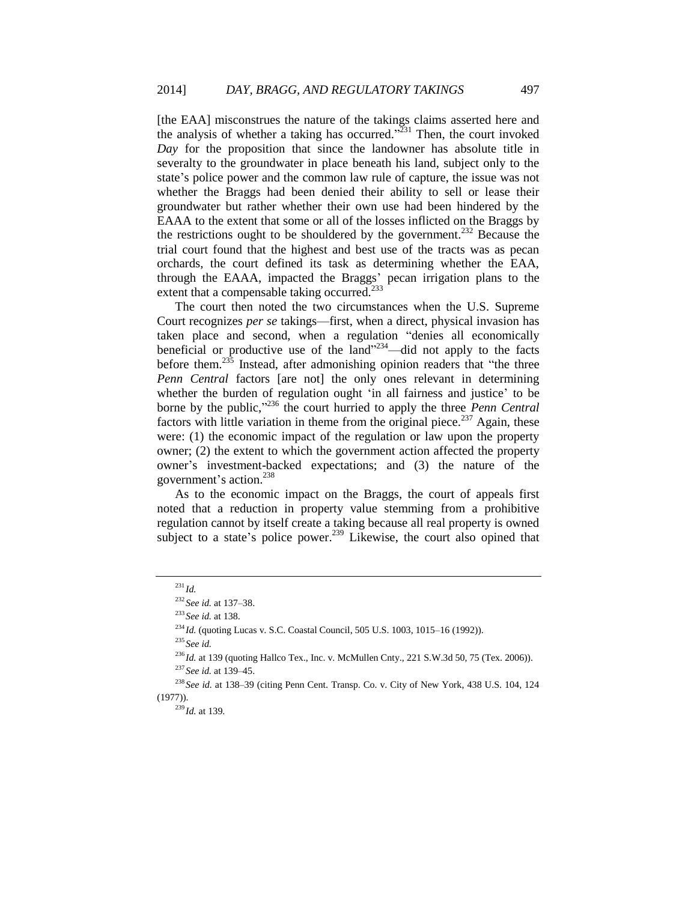[the EAA] misconstrues the nature of the takings claims asserted here and the analysis of whether a taking has occurred.<sup> $\frac{331}{231}$ </sup> Then, the court invoked *Day* for the proposition that since the landowner has absolute title in severalty to the groundwater in place beneath his land, subject only to the state's police power and the common law rule of capture, the issue was not whether the Braggs had been denied their ability to sell or lease their groundwater but rather whether their own use had been hindered by the EAAA to the extent that some or all of the losses inflicted on the Braggs by the restrictions ought to be shouldered by the government.<sup>232</sup> Because the trial court found that the highest and best use of the tracts was as pecan orchards, the court defined its task as determining whether the EAA, through the EAAA, impacted the Braggs' pecan irrigation plans to the extent that a compensable taking occurred.<sup>233</sup>

The court then noted the two circumstances when the U.S. Supreme Court recognizes *per se* takings—first, when a direct, physical invasion has taken place and second, when a regulation "denies all economically beneficial or productive use of the land" $234$ —did not apply to the facts before them.<sup>235</sup> Instead, after admonishing opinion readers that "the three *Penn Central* factors [are not] the only ones relevant in determining whether the burden of regulation ought 'in all fairness and justice' to be borne by the public,"<sup>236</sup> the court hurried to apply the three *Penn Central* factors with little variation in theme from the original piece.<sup>237</sup> Again, these were: (1) the economic impact of the regulation or law upon the property owner; (2) the extent to which the government action affected the property owner's investment-backed expectations; and (3) the nature of the government's action.<sup>238</sup>

As to the economic impact on the Braggs, the court of appeals first noted that a reduction in property value stemming from a prohibitive regulation cannot by itself create a taking because all real property is owned subject to a state's police power.<sup>239</sup> Likewise, the court also opined that

<sup>235</sup> *See id.*

<sup>237</sup> *See id.* at 139–45.

<sup>231</sup> *Id.*

<sup>232</sup> *See id.* at 137–38.

<sup>233</sup> *See id.* at 138.

<sup>234</sup> *Id.* (quoting Lucas v. S.C. Coastal Council, 505 U.S. 1003, 1015–16 (1992)).

<sup>&</sup>lt;sup>236</sup>*Id.* at 139 (quoting Hallco Tex., Inc. v. McMullen Cnty., 221 S.W.3d 50, 75 (Tex. 2006)).

<sup>238</sup> *See id.* at 138–39 (citing Penn Cent. Transp. Co. v. City of New York, 438 U.S. 104, 124 (1977)).

<sup>239</sup> *Id.* at 139.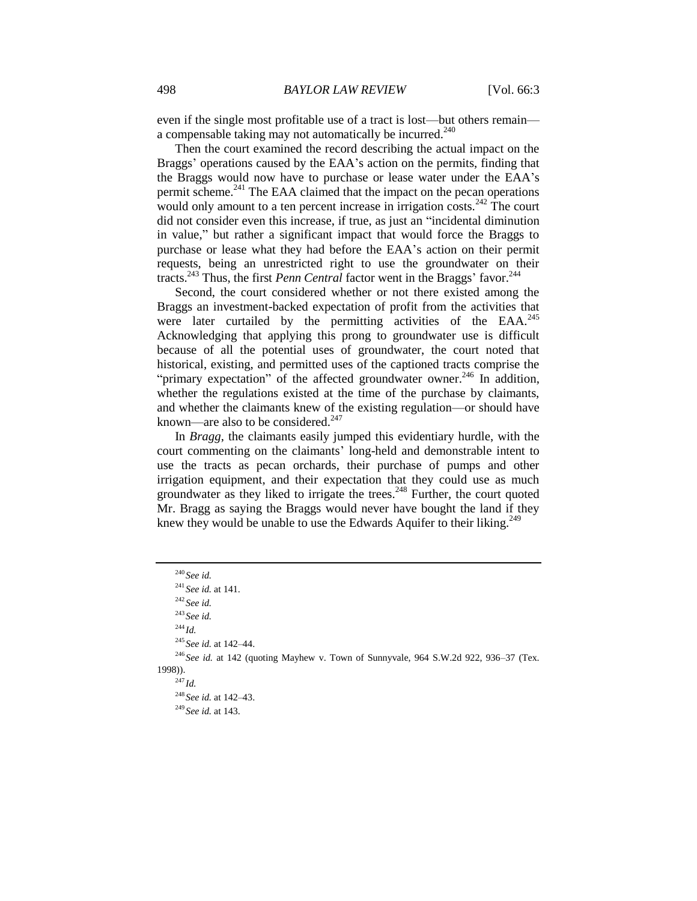even if the single most profitable use of a tract is lost—but others remain a compensable taking may not automatically be incurred. $240$ 

Then the court examined the record describing the actual impact on the Braggs' operations caused by the EAA's action on the permits, finding that the Braggs would now have to purchase or lease water under the EAA's permit scheme.<sup>241</sup> The EAA claimed that the impact on the pecan operations would only amount to a ten percent increase in irrigation costs.<sup>242</sup> The court did not consider even this increase, if true, as just an "incidental diminution in value," but rather a significant impact that would force the Braggs to purchase or lease what they had before the EAA's action on their permit requests, being an unrestricted right to use the groundwater on their tracts.<sup>243</sup> Thus, the first *Penn Central* factor went in the Braggs' favor.<sup>244</sup>

Second, the court considered whether or not there existed among the Braggs an investment-backed expectation of profit from the activities that were later curtailed by the permitting activities of the EAA.<sup>245</sup> Acknowledging that applying this prong to groundwater use is difficult because of all the potential uses of groundwater, the court noted that historical, existing, and permitted uses of the captioned tracts comprise the "primary expectation" of the affected groundwater owner.<sup>246</sup> In addition, whether the regulations existed at the time of the purchase by claimants, and whether the claimants knew of the existing regulation—or should have known—are also to be considered. $247$ 

In *Bragg*, the claimants easily jumped this evidentiary hurdle, with the court commenting on the claimants' long-held and demonstrable intent to use the tracts as pecan orchards, their purchase of pumps and other irrigation equipment, and their expectation that they could use as much groundwater as they liked to irrigate the trees. $^{248}$  Further, the court quoted Mr. Bragg as saying the Braggs would never have bought the land if they knew they would be unable to use the Edwards Aquifer to their liking.<sup>249</sup>

<sup>240</sup> *See id.* <sup>241</sup> *See id.* at 141. <sup>242</sup> *See id.* <sup>243</sup> *See id.* <sup>244</sup> *Id.* <sup>245</sup> *See id.* at 142–44. <sup>246</sup> See id. at 142 (quoting Mayhew v. Town of Sunnyvale, 964 S.W.2d 922, 936–37 (Tex. 1998)). <sup>247</sup> *Id.* <sup>248</sup> *See id.* at 142–43.

<sup>249</sup> *See id.* at 143.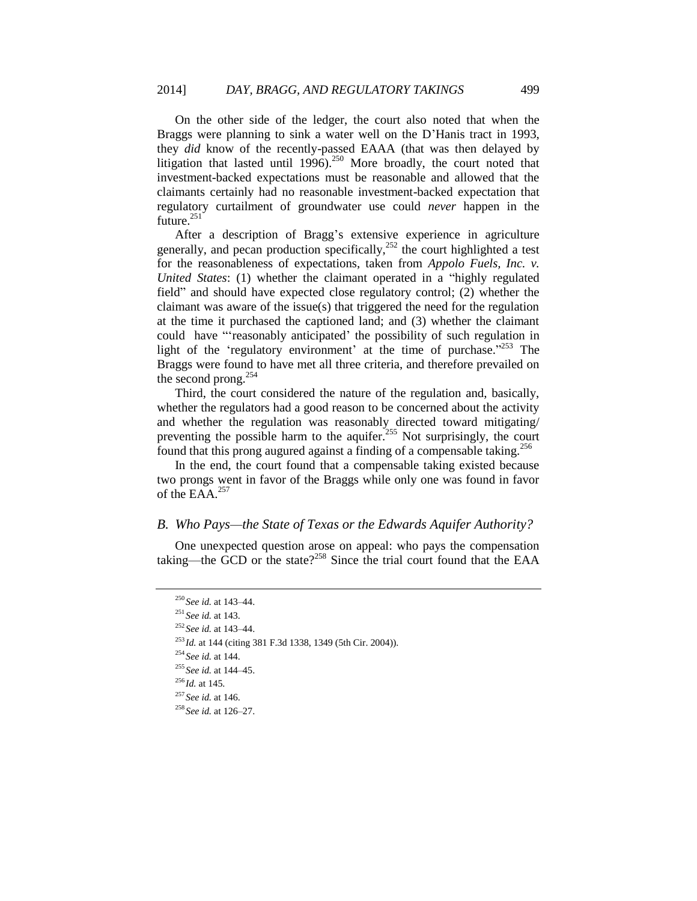On the other side of the ledger, the court also noted that when the Braggs were planning to sink a water well on the D'Hanis tract in 1993, they *did* know of the recently-passed EAAA (that was then delayed by litigation that lasted until  $1996$ .<sup>250</sup> More broadly, the court noted that investment-backed expectations must be reasonable and allowed that the claimants certainly had no reasonable investment-backed expectation that regulatory curtailment of groundwater use could *never* happen in the future. $^{251}$ 

After a description of Bragg's extensive experience in agriculture generally, and pecan production specifically, <sup>252</sup> the court highlighted a test for the reasonableness of expectations, taken from *Appolo Fuels, Inc. v. United States*: (1) whether the claimant operated in a "highly regulated field" and should have expected close regulatory control; (2) whether the claimant was aware of the issue(s) that triggered the need for the regulation at the time it purchased the captioned land; and (3) whether the claimant could have "'reasonably anticipated' the possibility of such regulation in light of the 'regulatory environment' at the time of purchase."<sup>253</sup> The Braggs were found to have met all three criteria, and therefore prevailed on the second prong.<sup>254</sup>

Third, the court considered the nature of the regulation and, basically, whether the regulators had a good reason to be concerned about the activity and whether the regulation was reasonably directed toward mitigating/ preventing the possible harm to the aquifer.<sup>255</sup> Not surprisingly, the court found that this prong augured against a finding of a compensable taking.<sup>256</sup>

In the end, the court found that a compensable taking existed because two prongs went in favor of the Braggs while only one was found in favor of the EAA. $^{257}$ 

### *B. Who Pays—the State of Texas or the Edwards Aquifer Authority?*

One unexpected question arose on appeal: who pays the compensation taking—the GCD or the state?<sup>258</sup> Since the trial court found that the EAA

<sup>250</sup> *See id.* at 143–44.

<sup>251</sup> *See id.* at 143.

<sup>252</sup> *See id.* at 143–44.

<sup>253</sup> *Id.* at 144 (citing 381 F.3d 1338, 1349 (5th Cir. 2004)).

<sup>254</sup> *See id.* at 144.

<sup>255</sup> *See id.* at 144–45.

<sup>256</sup> *Id.* at 145.

<sup>257</sup> *See id.* at 146.

<sup>258</sup> *See id.* at 126–27.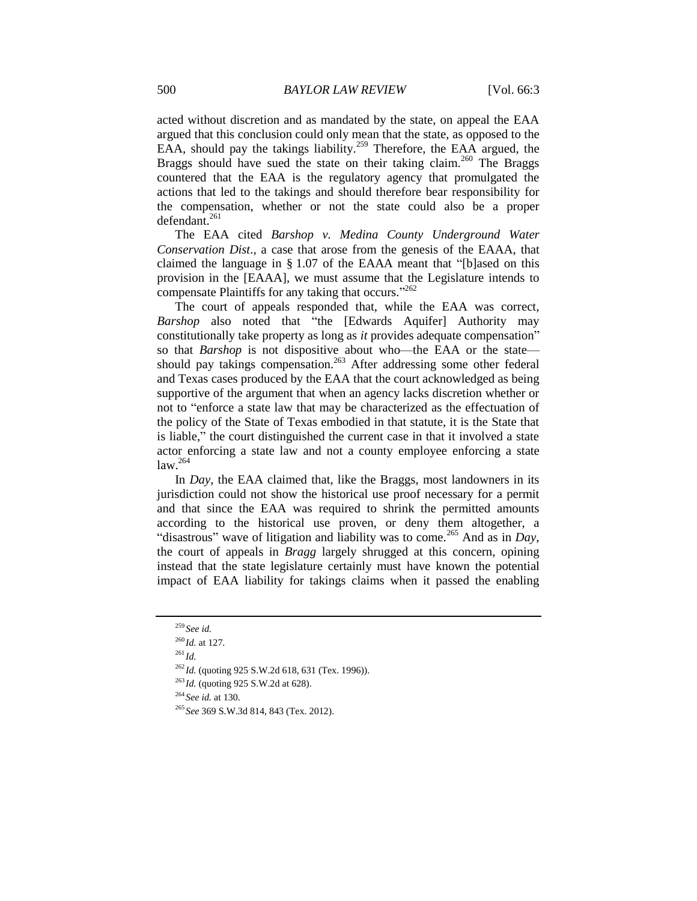acted without discretion and as mandated by the state, on appeal the EAA argued that this conclusion could only mean that the state, as opposed to the EAA, should pay the takings liability.<sup>259</sup> Therefore, the EAA argued, the Braggs should have sued the state on their taking claim.<sup>260</sup> The Braggs countered that the EAA is the regulatory agency that promulgated the actions that led to the takings and should therefore bear responsibility for the compensation, whether or not the state could also be a proper  $defendant.<sup>261</sup>$ 

The EAA cited *Barshop v. Medina County Underground Water Conservation Dist*., a case that arose from the genesis of the EAAA, that claimed the language in § 1.07 of the EAAA meant that "[b]ased on this provision in the [EAAA], we must assume that the Legislature intends to compensate Plaintiffs for any taking that occurs."<sup>262</sup>

The court of appeals responded that, while the EAA was correct, *Barshop* also noted that "the [Edwards Aquifer] Authority may constitutionally take property as long as *it* provides adequate compensation" so that *Barshop* is not dispositive about who—the EAA or the state should pay takings compensation.<sup>263</sup> After addressing some other federal and Texas cases produced by the EAA that the court acknowledged as being supportive of the argument that when an agency lacks discretion whether or not to "enforce a state law that may be characterized as the effectuation of the policy of the State of Texas embodied in that statute, it is the State that is liable," the court distinguished the current case in that it involved a state actor enforcing a state law and not a county employee enforcing a state  $law.<sup>264</sup>$ 

In *Day*, the EAA claimed that, like the Braggs, most landowners in its jurisdiction could not show the historical use proof necessary for a permit and that since the EAA was required to shrink the permitted amounts according to the historical use proven, or deny them altogether, a "disastrous" wave of litigation and liability was to come.<sup>265</sup> And as in *Day*, the court of appeals in *Bragg* largely shrugged at this concern, opining instead that the state legislature certainly must have known the potential impact of EAA liability for takings claims when it passed the enabling

<sup>264</sup> *See id.* at 130.

<sup>259</sup> *See id.*

<sup>260</sup> *Id.* at 127.

<sup>261</sup> *Id.*

<sup>262</sup> *Id.* (quoting 925 S.W.2d 618, 631 (Tex. 1996)).

<sup>&</sup>lt;sup>263</sup>*Id.* (quoting 925 S.W.2d at 628).

<sup>265</sup> *See* 369 S.W.3d 814, 843 (Tex. 2012).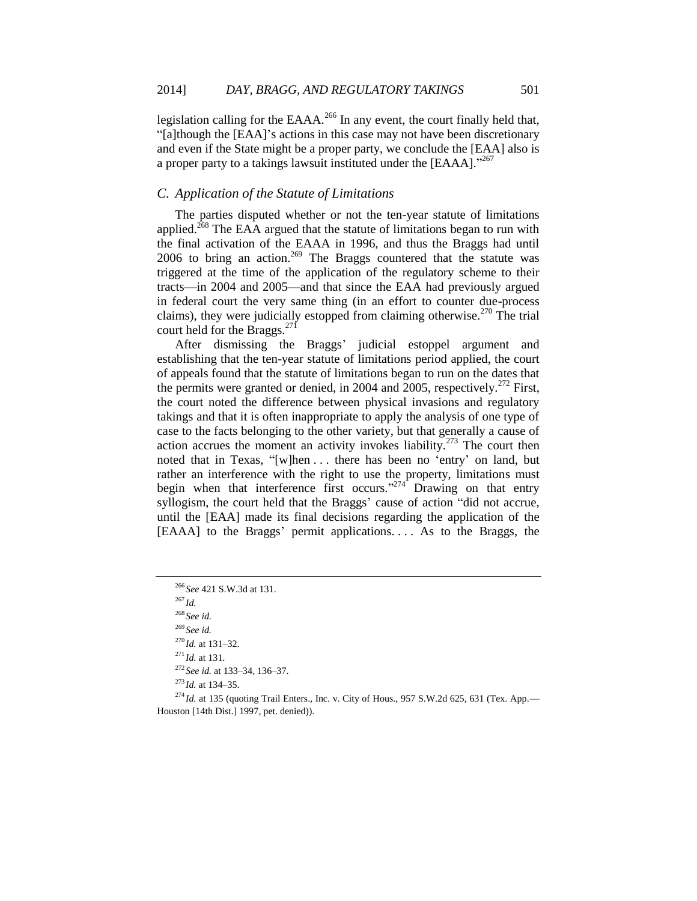legislation calling for the EAAA.<sup>266</sup> In any event, the court finally held that, "[a]though the [EAA]'s actions in this case may not have been discretionary and even if the State might be a proper party, we conclude the [EAA] also is a proper party to a takings lawsuit instituted under the [EAAA]."<sup>267</sup>

## *C. Application of the Statute of Limitations*

The parties disputed whether or not the ten-year statute of limitations applied.<sup>268</sup> The EAA argued that the statute of limitations began to run with the final activation of the EAAA in 1996, and thus the Braggs had until 2006 to bring an action.<sup>269</sup> The Braggs countered that the statute was triggered at the time of the application of the regulatory scheme to their tracts—in 2004 and 2005—and that since the EAA had previously argued in federal court the very same thing (in an effort to counter due-process claims), they were judicially estopped from claiming otherwise.<sup>270</sup> The trial court held for the Braggs.<sup>271</sup>

After dismissing the Braggs' judicial estoppel argument and establishing that the ten-year statute of limitations period applied, the court of appeals found that the statute of limitations began to run on the dates that the permits were granted or denied, in 2004 and 2005, respectively.<sup>272</sup> First, the court noted the difference between physical invasions and regulatory takings and that it is often inappropriate to apply the analysis of one type of case to the facts belonging to the other variety, but that generally a cause of action accrues the moment an activity invokes liability.<sup>273</sup> The court then noted that in Texas, "[w]hen . . . there has been no 'entry' on land, but rather an interference with the right to use the property, limitations must begin when that interference first occurs."<sup>274</sup> Drawing on that entry syllogism, the court held that the Braggs' cause of action "did not accrue, until the [EAA] made its final decisions regarding the application of the [EAAA] to the Braggs' permit applications.... As to the Braggs, the

<sup>266</sup> *See* 421 S.W.3d at 131.

<sup>267</sup> *Id.*

<sup>268</sup> *See id.*

<sup>269</sup> *See id.*

<sup>270</sup> *Id.* at 131–32.

<sup>271</sup> *Id.* at 131.

<sup>272</sup> *See id.* at 133–34, 136–37.

<sup>273</sup> *Id.* at 134–35.

<sup>&</sup>lt;sup>274</sup> *Id.* at 135 (quoting Trail Enters., Inc. v. City of Hous., 957 S.W.2d 625, 631 (Tex. App.— Houston [14th Dist.] 1997, pet. denied)).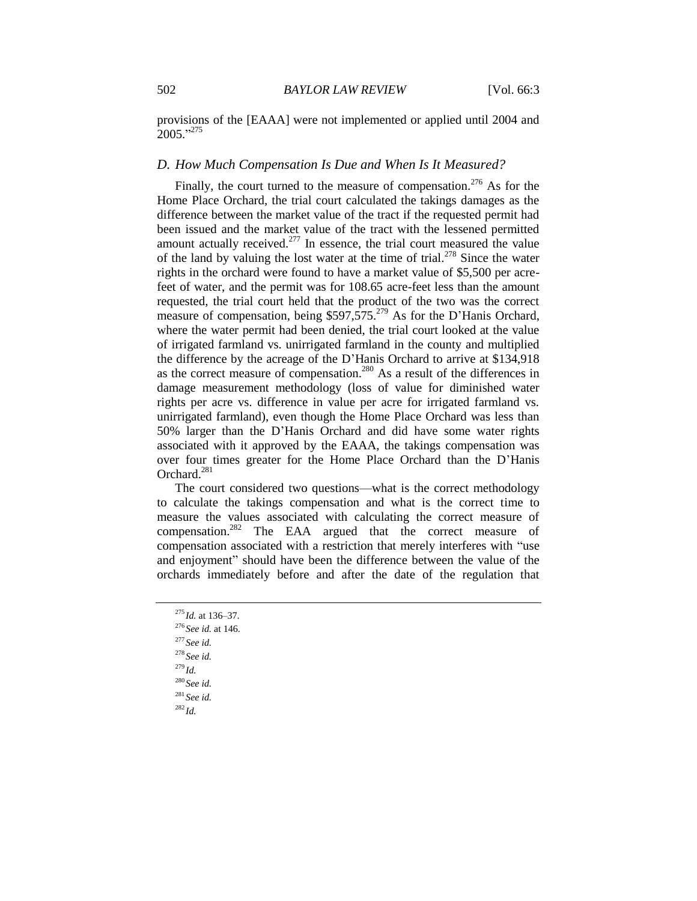provisions of the [EAAA] were not implemented or applied until 2004 and  $2005$ ."<sup>275</sup>

## *D. How Much Compensation Is Due and When Is It Measured?*

Finally, the court turned to the measure of compensation.<sup>276</sup> As for the Home Place Orchard, the trial court calculated the takings damages as the difference between the market value of the tract if the requested permit had been issued and the market value of the tract with the lessened permitted amount actually received. $277$  In essence, the trial court measured the value of the land by valuing the lost water at the time of trial.<sup>278</sup> Since the water rights in the orchard were found to have a market value of \$5,500 per acrefeet of water, and the permit was for 108.65 acre-feet less than the amount requested, the trial court held that the product of the two was the correct measure of compensation, being \$597,575.<sup>279</sup> As for the D'Hanis Orchard, where the water permit had been denied, the trial court looked at the value of irrigated farmland vs. unirrigated farmland in the county and multiplied the difference by the acreage of the D'Hanis Orchard to arrive at \$134,918 as the correct measure of compensation.<sup>280</sup> As a result of the differences in damage measurement methodology (loss of value for diminished water rights per acre vs. difference in value per acre for irrigated farmland vs. unirrigated farmland), even though the Home Place Orchard was less than 50% larger than the D'Hanis Orchard and did have some water rights associated with it approved by the EAAA, the takings compensation was over four times greater for the Home Place Orchard than the D'Hanis Orchard.<sup>281</sup>

The court considered two questions—what is the correct methodology to calculate the takings compensation and what is the correct time to measure the values associated with calculating the correct measure of compensation.<sup>282</sup> The EAA argued that the correct measure of compensation associated with a restriction that merely interferes with "use and enjoyment" should have been the difference between the value of the orchards immediately before and after the date of the regulation that

<sup>277</sup> *See id.* <sup>278</sup> *See id.*

- <sup>279</sup> *Id.*
- <sup>280</sup> *See id.*
- <sup>281</sup> *See id.*
- $^{282}$ *Id.*

<sup>275</sup> *Id.* at 136–37.

<sup>276</sup> *See id.* at 146.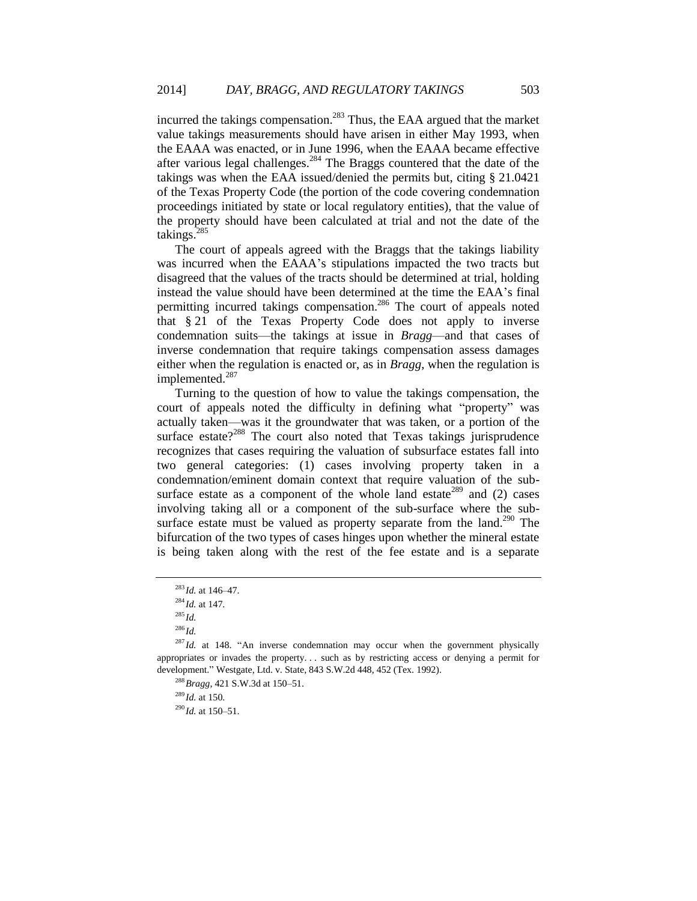incurred the takings compensation.<sup>283</sup> Thus, the EAA argued that the market value takings measurements should have arisen in either May 1993, when the EAAA was enacted, or in June 1996, when the EAAA became effective after various legal challenges.<sup>284</sup> The Braggs countered that the date of the takings was when the EAA issued/denied the permits but, citing § 21.0421 of the Texas Property Code (the portion of the code covering condemnation proceedings initiated by state or local regulatory entities), that the value of the property should have been calculated at trial and not the date of the takings.<sup>285</sup>

The court of appeals agreed with the Braggs that the takings liability was incurred when the EAAA's stipulations impacted the two tracts but disagreed that the values of the tracts should be determined at trial, holding instead the value should have been determined at the time the EAA's final permitting incurred takings compensation.<sup>286</sup> The court of appeals noted that § 21 of the Texas Property Code does not apply to inverse condemnation suits—the takings at issue in *Bragg*—and that cases of inverse condemnation that require takings compensation assess damages either when the regulation is enacted or, as in *Bragg*, when the regulation is implemented.<sup>287</sup>

Turning to the question of how to value the takings compensation, the court of appeals noted the difficulty in defining what "property" was actually taken—was it the groundwater that was taken, or a portion of the surface estate?<sup>288</sup> The court also noted that Texas takings jurisprudence recognizes that cases requiring the valuation of subsurface estates fall into two general categories: (1) cases involving property taken in a condemnation/eminent domain context that require valuation of the subsurface estate as a component of the whole land estate<sup>289</sup> and  $(2)$  cases involving taking all or a component of the sub-surface where the subsurface estate must be valued as property separate from the land.<sup>290</sup> The bifurcation of the two types of cases hinges upon whether the mineral estate is being taken along with the rest of the fee estate and is a separate

<sup>283</sup> *Id.* at 146–47.

<sup>284</sup> *Id.* at 147.

<sup>285</sup> *Id.*

<sup>286</sup> *Id.*

 $287$  *Id.* at 148. "An inverse condemnation may occur when the government physically appropriates or invades the property. . . such as by restricting access or denying a permit for development." Westgate, Ltd. v. State, 843 S.W.2d 448, 452 (Tex. 1992).

<sup>288</sup>*Bragg*, 421 S.W.3d at 150–51.

<sup>289</sup> *Id.* at 150.

 $^{290}$ *Id.* at 150–51.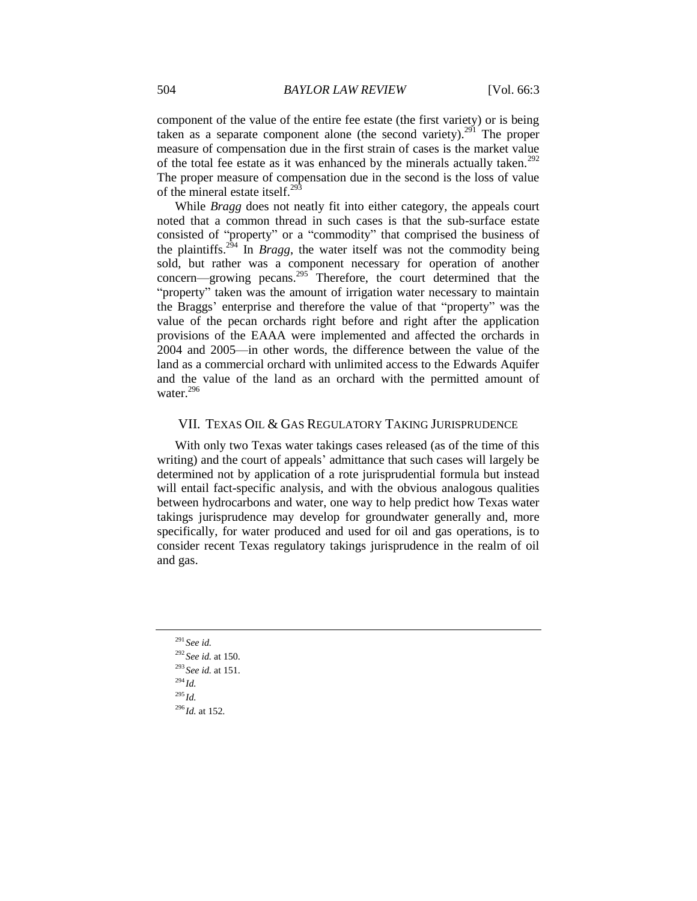component of the value of the entire fee estate (the first variety) or is being taken as a separate component alone (the second variety).<sup>291</sup> The proper measure of compensation due in the first strain of cases is the market value of the total fee estate as it was enhanced by the minerals actually taken.<sup>292</sup> The proper measure of compensation due in the second is the loss of value of the mineral estate itself.<sup>293</sup>

While *Bragg* does not neatly fit into either category, the appeals court noted that a common thread in such cases is that the sub-surface estate consisted of "property" or a "commodity" that comprised the business of the plaintiffs.<sup>294</sup> In *Bragg*, the water itself was not the commodity being sold, but rather was a component necessary for operation of another concern—growing pecans.<sup>295</sup> Therefore, the court determined that the "property" taken was the amount of irrigation water necessary to maintain the Braggs' enterprise and therefore the value of that "property" was the value of the pecan orchards right before and right after the application provisions of the EAAA were implemented and affected the orchards in 2004 and 2005—in other words, the difference between the value of the land as a commercial orchard with unlimited access to the Edwards Aquifer and the value of the land as an orchard with the permitted amount of water.<sup>296</sup>

#### VII. TEXAS OIL & GAS REGULATORY TAKING JURISPRUDENCE

With only two Texas water takings cases released (as of the time of this writing) and the court of appeals' admittance that such cases will largely be determined not by application of a rote jurisprudential formula but instead will entail fact-specific analysis, and with the obvious analogous qualities between hydrocarbons and water, one way to help predict how Texas water takings jurisprudence may develop for groundwater generally and, more specifically, for water produced and used for oil and gas operations, is to consider recent Texas regulatory takings jurisprudence in the realm of oil and gas.

<sup>291</sup> *See id.* <sup>292</sup> *See id.* at 150. <sup>293</sup> *See id.* at 151. <sup>294</sup> *Id.* <sup>295</sup> *Id.* <sup>296</sup> *Id.* at 152.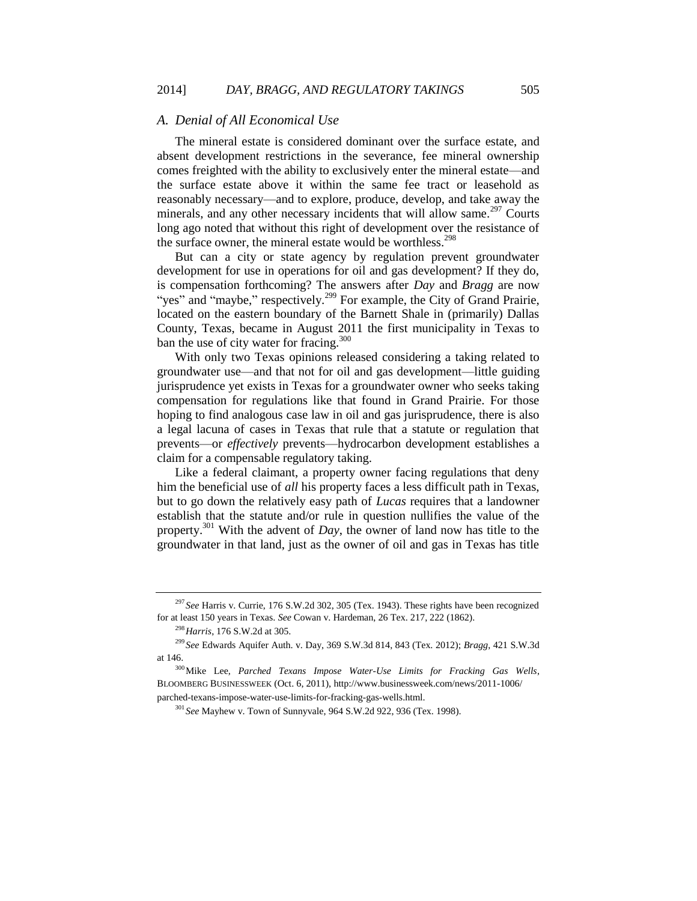#### *A. Denial of All Economical Use*

The mineral estate is considered dominant over the surface estate, and absent development restrictions in the severance, fee mineral ownership comes freighted with the ability to exclusively enter the mineral estate—and the surface estate above it within the same fee tract or leasehold as reasonably necessary—and to explore, produce, develop, and take away the minerals, and any other necessary incidents that will allow same.<sup>297</sup> Courts long ago noted that without this right of development over the resistance of the surface owner, the mineral estate would be worthless.<sup>298</sup>

But can a city or state agency by regulation prevent groundwater development for use in operations for oil and gas development? If they do, is compensation forthcoming? The answers after *Day* and *Bragg* are now "yes" and "maybe," respectively.<sup>299</sup> For example, the City of Grand Prairie, located on the eastern boundary of the Barnett Shale in (primarily) Dallas County, Texas, became in August 2011 the first municipality in Texas to ban the use of city water for fracing.<sup>300</sup>

<span id="page-34-0"></span>With only two Texas opinions released considering a taking related to groundwater use—and that not for oil and gas development—little guiding jurisprudence yet exists in Texas for a groundwater owner who seeks taking compensation for regulations like that found in Grand Prairie. For those hoping to find analogous case law in oil and gas jurisprudence, there is also a legal lacuna of cases in Texas that rule that a statute or regulation that prevents—or *effectively* prevents—hydrocarbon development establishes a claim for a compensable regulatory taking.

Like a federal claimant, a property owner facing regulations that deny him the beneficial use of *all* his property faces a less difficult path in Texas, but to go down the relatively easy path of *Lucas* requires that a landowner establish that the statute and/or rule in question nullifies the value of the property.<sup>301</sup> With the advent of *Day*, the owner of land now has title to the groundwater in that land, just as the owner of oil and gas in Texas has title

<sup>297</sup> *See* Harris v. Currie, 176 S.W.2d 302, 305 (Tex. 1943). These rights have been recognized for at least 150 years in Texas. *See* Cowan v. Hardeman, 26 Tex. 217, 222 (1862).

<sup>298</sup>*Harris*, 176 S.W.2d at 305.

<sup>299</sup> *See* Edwards Aquifer Auth. v. Day, 369 S.W.3d 814, 843 (Tex. 2012); *Bragg*, 421 S.W.3d at 146.

<sup>300</sup>Mike Lee, *Parched Texans Impose Water-Use Limits for Fracking Gas Wells*, BLOOMBERG BUSINESSWEEK (Oct. 6, 2011), http://www.businessweek.com/news/2011-1006/ parched-texans-impose-water-use-limits-for-fracking-gas-wells.html.

<sup>301</sup> *See* Mayhew v. Town of Sunnyvale, 964 S.W.2d 922, 936 (Tex. 1998).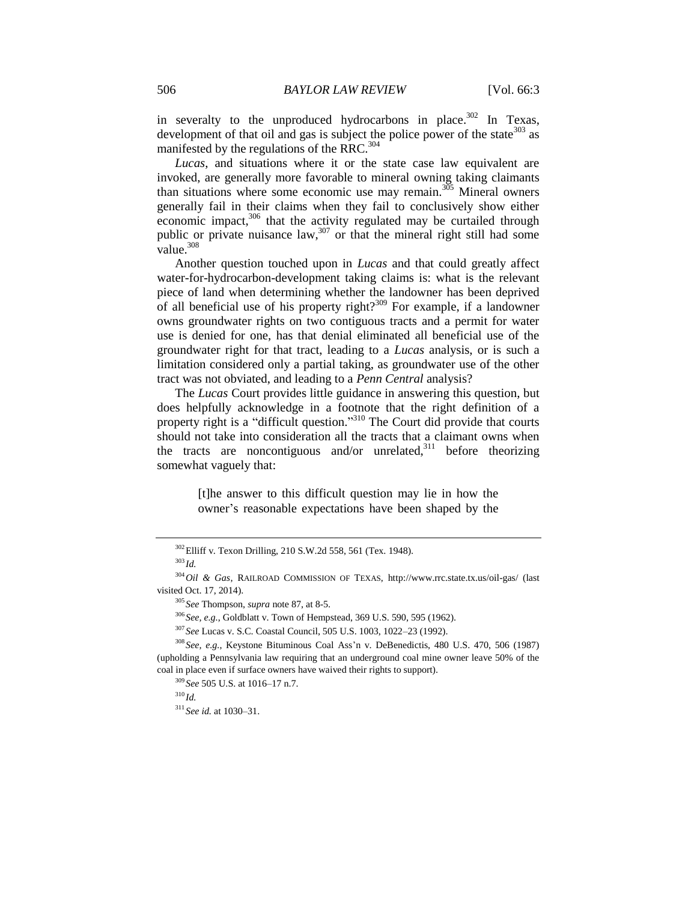in severalty to the unproduced hydrocarbons in place.<sup>302</sup> In Texas, development of that oil and gas is subject the police power of the state  $303$  as manifested by the regulations of the RRC.<sup>304</sup>

*Lucas*, and situations where it or the state case law equivalent are invoked, are generally more favorable to mineral owning taking claimants than situations where some economic use may remain.<sup>305</sup> Mineral owners generally fail in their claims when they fail to conclusively show either economic impact,<sup>306</sup> that the activity regulated may be curtailed through public or private nuisance  $\text{law}^{307}$  or that the mineral right still had some value. $308$ 

Another question touched upon in *Lucas* and that could greatly affect water-for-hydrocarbon-development taking claims is: what is the relevant piece of land when determining whether the landowner has been deprived of all beneficial use of his property right?<sup>309</sup> For example, if a landowner owns groundwater rights on two contiguous tracts and a permit for water use is denied for one, has that denial eliminated all beneficial use of the groundwater right for that tract, leading to a *Lucas* analysis, or is such a limitation considered only a partial taking, as groundwater use of the other tract was not obviated, and leading to a *Penn Central* analysis?

The *Lucas* Court provides little guidance in answering this question, but does helpfully acknowledge in a footnote that the right definition of a property right is a "difficult question."<sup>310</sup> The Court did provide that courts should not take into consideration all the tracts that a claimant owns when the tracts are noncontiguous and/or unrelated, $311$  before theorizing somewhat vaguely that:

> [t]he answer to this difficult question may lie in how the owner's reasonable expectations have been shaped by the

<sup>306</sup> *See, e.g.*, Goldblatt v. Town of Hempstead, 369 U.S. 590, 595 (1962).

<sup>302</sup>Elliff v. Texon Drilling, 210 S.W.2d 558, 561 (Tex. 1948).

<sup>303</sup> *Id.*

<sup>304</sup>*Oil & Gas*, RAILROAD COMMISSION OF TEXAS, http://www.rrc.state.tx.us/oil-gas/ (last visited Oct. 17, 2014).

<sup>305</sup> *See* Thompson, *supra* not[e 87,](#page-12-0) at 8-5.

<sup>307</sup> *See* Lucas v. S.C. Coastal Council, 505 U.S. 1003, 1022–23 (1992).

<sup>308</sup> *See, e.g.*, Keystone Bituminous Coal Ass'n v. DeBenedictis, 480 U.S. 470, 506 (1987) (upholding a Pennsylvania law requiring that an underground coal mine owner leave 50% of the coal in place even if surface owners have waived their rights to support).

<sup>309</sup> *See* 505 U.S. at 1016–17 n.7.

 $310$  *Id.* 

<sup>311</sup> *See id.* at 1030–31.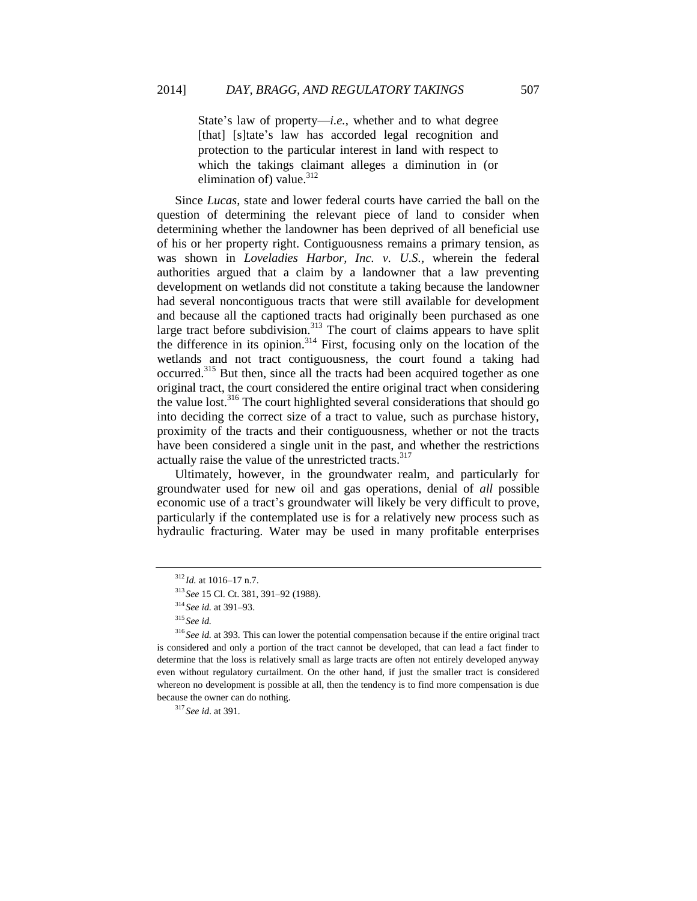State's law of property—*i.e.*, whether and to what degree [that] [s]tate's law has accorded legal recognition and protection to the particular interest in land with respect to which the takings claimant alleges a diminution in (or elimination of) value. $312$ 

Since *Lucas*, state and lower federal courts have carried the ball on the question of determining the relevant piece of land to consider when determining whether the landowner has been deprived of all beneficial use of his or her property right. Contiguousness remains a primary tension, as was shown in *Loveladies Harbor, Inc. v. U.S.*, wherein the federal authorities argued that a claim by a landowner that a law preventing development on wetlands did not constitute a taking because the landowner had several noncontiguous tracts that were still available for development and because all the captioned tracts had originally been purchased as one large tract before subdivision.<sup>313</sup> The court of claims appears to have split the difference in its opinion.<sup>314</sup> First, focusing only on the location of the wetlands and not tract contiguousness, the court found a taking had occurred.<sup>315</sup> But then, since all the tracts had been acquired together as one original tract, the court considered the entire original tract when considering the value lost.<sup>316</sup> The court highlighted several considerations that should go into deciding the correct size of a tract to value, such as purchase history, proximity of the tracts and their contiguousness, whether or not the tracts have been considered a single unit in the past, and whether the restrictions actually raise the value of the unrestricted tracts.<sup>317</sup>

Ultimately, however, in the groundwater realm, and particularly for groundwater used for new oil and gas operations, denial of *all* possible economic use of a tract's groundwater will likely be very difficult to prove, particularly if the contemplated use is for a relatively new process such as hydraulic fracturing. Water may be used in many profitable enterprises

<sup>317</sup> *See id*. at 391*.*

 $^{312}$ *Id.* at 1016–17 n.7.

<sup>313</sup> *See* 15 Cl. Ct. 381, 391–92 (1988).

<sup>314</sup> *See id.* at 391–93.

<sup>315</sup> *See id.*

<sup>316</sup> *See id.* at 393*.* This can lower the potential compensation because if the entire original tract is considered and only a portion of the tract cannot be developed, that can lead a fact finder to determine that the loss is relatively small as large tracts are often not entirely developed anyway even without regulatory curtailment. On the other hand, if just the smaller tract is considered whereon no development is possible at all, then the tendency is to find more compensation is due because the owner can do nothing.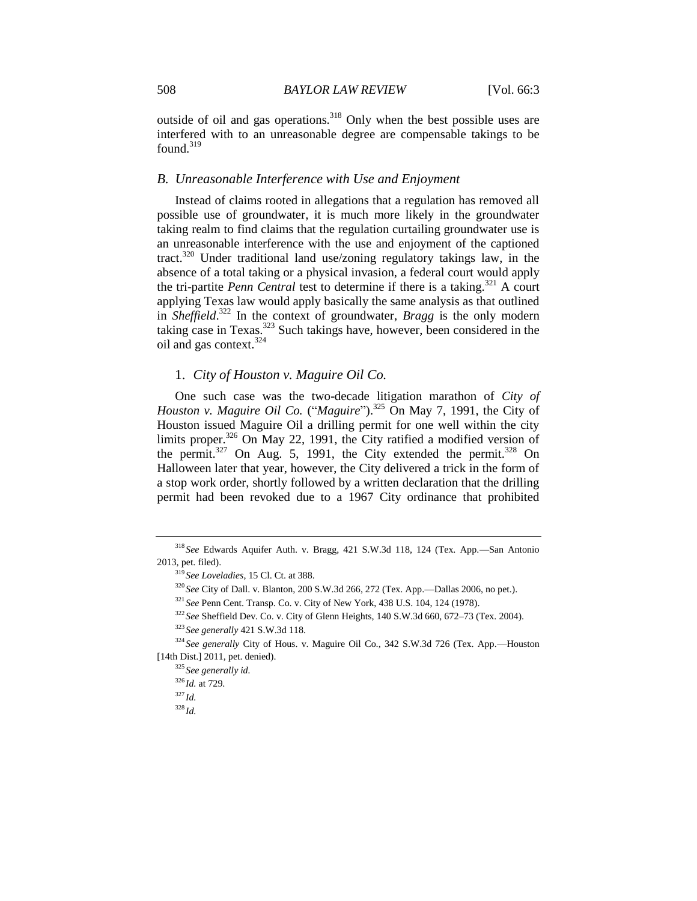outside of oil and gas operations.<sup>318</sup> Only when the best possible uses are interfered with to an unreasonable degree are compensable takings to be found.<sup>319</sup>

#### *B. Unreasonable Interference with Use and Enjoyment*

Instead of claims rooted in allegations that a regulation has removed all possible use of groundwater, it is much more likely in the groundwater taking realm to find claims that the regulation curtailing groundwater use is an unreasonable interference with the use and enjoyment of the captioned tract.<sup>320</sup> Under traditional land use/zoning regulatory takings law, in the absence of a total taking or a physical invasion, a federal court would apply the tri-partite *Penn Central* test to determine if there is a taking.<sup>321</sup> A court applying Texas law would apply basically the same analysis as that outlined in *Sheffield*. <sup>322</sup> In the context of groundwater, *Bragg* is the only modern taking case in Texas.<sup>323</sup> Such takings have, however, been considered in the oil and gas context.<sup>324</sup>

## 1. *City of Houston v. Maguire Oil Co.*

One such case was the two-decade litigation marathon of *City of Houston v. Maguire Oil Co.* ("*Maguire*"). <sup>325</sup> On May 7, 1991, the City of Houston issued Maguire Oil a drilling permit for one well within the city limits proper.<sup>326</sup> On May 22, 1991, the City ratified a modified version of the permit.<sup>327</sup> On Aug. 5, 1991, the City extended the permit.<sup>328</sup> On Halloween later that year, however, the City delivered a trick in the form of a stop work order, shortly followed by a written declaration that the drilling permit had been revoked due to a 1967 City ordinance that prohibited

<sup>318</sup> *See* Edwards Aquifer Auth. v. Bragg, 421 S.W.3d 118, 124 (Tex. App.—San Antonio 2013, pet. filed).

<sup>319</sup> *See Loveladies*, 15 Cl. Ct. at 388.

<sup>320</sup> *See* City of Dall. v. Blanton, 200 S.W.3d 266, 272 (Tex. App.—Dallas 2006, no pet.).

<sup>321</sup> *See* Penn Cent. Transp. Co. v. City of New York, 438 U.S. 104, 124 (1978).

<sup>322</sup> *See* Sheffield Dev. Co. v. City of Glenn Heights, 140 S.W.3d 660, 672–73 (Tex. 2004).

<sup>323</sup> *See generally* 421 S.W.3d 118.

<sup>324</sup> *See generally* City of Hous. v. Maguire Oil Co., 342 S.W.3d 726 (Tex. App.—Houston [14th Dist.] 2011, pet. denied).

<sup>325</sup> *See generally id.*

<sup>326</sup> *Id.* at 729.

<sup>327</sup> *Id.*

<sup>328</sup> *Id.*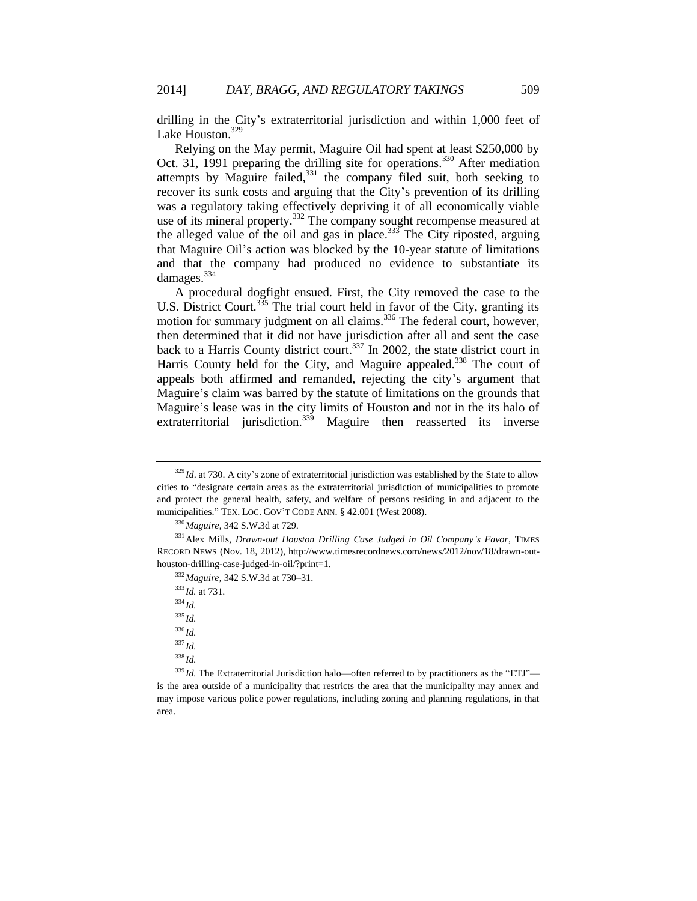drilling in the City's extraterritorial jurisdiction and within 1,000 feet of Lake Houston.<sup>329</sup>

Relying on the May permit, Maguire Oil had spent at least \$250,000 by Oct. 31, 1991 preparing the drilling site for operations.<sup>330</sup> After mediation attempts by Maguire failed.<sup>331</sup> the company filed suit, both seeking to recover its sunk costs and arguing that the City's prevention of its drilling was a regulatory taking effectively depriving it of all economically viable use of its mineral property.<sup>332</sup> The company sought recompense measured at the alleged value of the oil and gas in place. $333$  The City riposted, arguing that Maguire Oil's action was blocked by the 10-year statute of limitations and that the company had produced no evidence to substantiate its damages.<sup>334</sup>

A procedural dogfight ensued. First, the City removed the case to the U.S. District Court.<sup>335</sup> The trial court held in favor of the City, granting its motion for summary judgment on all claims.<sup>336</sup> The federal court, however, then determined that it did not have jurisdiction after all and sent the case back to a Harris County district court.<sup>337</sup> In 2002, the state district court in Harris County held for the City, and Maguire appealed.<sup>338</sup> The court of appeals both affirmed and remanded, rejecting the city's argument that Maguire's claim was barred by the statute of limitations on the grounds that Maguire's lease was in the city limits of Houston and not in the its halo of extraterritorial jurisdiction.<sup>339</sup> Maguire then reasserted its inverse

<sup>332</sup>*Maguire*, 342 S.W.3d at 730–31.

<sup>333</sup> *Id.* at 731.

<sup>334</sup> *Id.*

<sup>335</sup> *Id.*

<sup>336</sup> *Id.*

<sup>337</sup> *Id.*

<sup>338</sup> *Id.*

 $339$  *Id.* The Extraterritorial Jurisdiction halo—often referred to by practitioners as the "ETJ" is the area outside of a municipality that restricts the area that the municipality may annex and may impose various police power regulations, including zoning and planning regulations, in that area.

<sup>&</sup>lt;sup>329</sup> *Id.* at 730. A city's zone of extraterritorial jurisdiction was established by the State to allow cities to "designate certain areas as the extraterritorial jurisdiction of municipalities to promote and protect the general health, safety, and welfare of persons residing in and adjacent to the municipalities." TEX. LOC. GOV'T CODE ANN. § 42.001 (West 2008).

<sup>330</sup>*Maguire*, 342 S.W.3d at 729.

<sup>331</sup>Alex Mills, *Drawn-out Houston Drilling Case Judged in Oil Company's Favor*, TIMES RECORD NEWS (Nov. 18, 2012), http://www.timesrecordnews.com/news/2012/nov/18/drawn-outhouston-drilling-case-judged-in-oil/?print=1.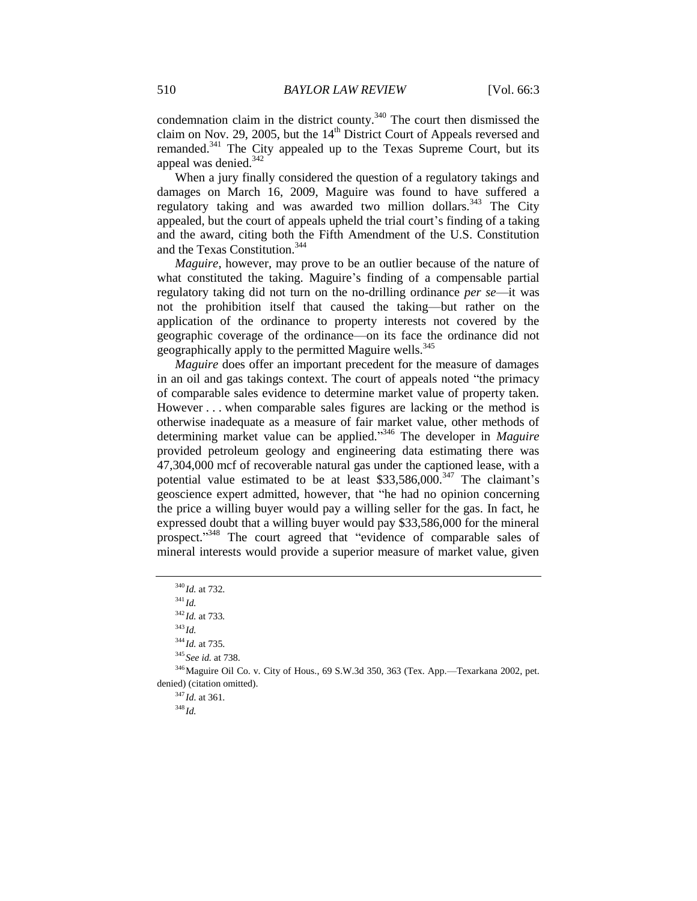condemnation claim in the district county.<sup>340</sup> The court then dismissed the claim on Nov. 29, 2005, but the  $14<sup>th</sup>$  District Court of Appeals reversed and remanded.<sup>341</sup> The City appealed up to the Texas Supreme Court, but its appeal was denied.<sup>342</sup>

When a jury finally considered the question of a regulatory takings and damages on March 16, 2009, Maguire was found to have suffered a regulatory taking and was awarded two million dollars.<sup>343</sup> The City appealed, but the court of appeals upheld the trial court's finding of a taking and the award, citing both the Fifth Amendment of the U.S. Constitution and the Texas Constitution.<sup>344</sup>

*Maguire*, however, may prove to be an outlier because of the nature of what constituted the taking. Maguire's finding of a compensable partial regulatory taking did not turn on the no-drilling ordinance *per se*—it was not the prohibition itself that caused the taking—but rather on the application of the ordinance to property interests not covered by the geographic coverage of the ordinance—on its face the ordinance did not geographically apply to the permitted Maguire wells.<sup>345</sup>

*Maguire* does offer an important precedent for the measure of damages in an oil and gas takings context. The court of appeals noted "the primacy of comparable sales evidence to determine market value of property taken. However . . . when comparable sales figures are lacking or the method is otherwise inadequate as a measure of fair market value, other methods of determining market value can be applied." <sup>346</sup> The developer in *Maguire* provided petroleum geology and engineering data estimating there was 47,304,000 mcf of recoverable natural gas under the captioned lease, with a potential value estimated to be at least  $$33,586,000$ .<sup>347</sup> The claimant's geoscience expert admitted, however, that "he had no opinion concerning the price a willing buyer would pay a willing seller for the gas. In fact, he expressed doubt that a willing buyer would pay \$33,586,000 for the mineral prospect."<sup>348</sup> The court agreed that "evidence of comparable sales of mineral interests would provide a superior measure of market value, given

<sup>348</sup> *Id.*

<sup>340</sup> *Id.* at 732.

<sup>341</sup> *Id.*

<sup>342</sup> *Id.* at 733*.*

<sup>343</sup> *Id.*

<sup>344</sup> *Id.* at 735.

<sup>345</sup> *See id.* at 738.

<sup>346</sup>Maguire Oil Co. v. City of Hous., 69 S.W.3d 350, 363 (Tex. App.—Texarkana 2002, pet. denied) (citation omitted).

<sup>347</sup> *Id.* at 361.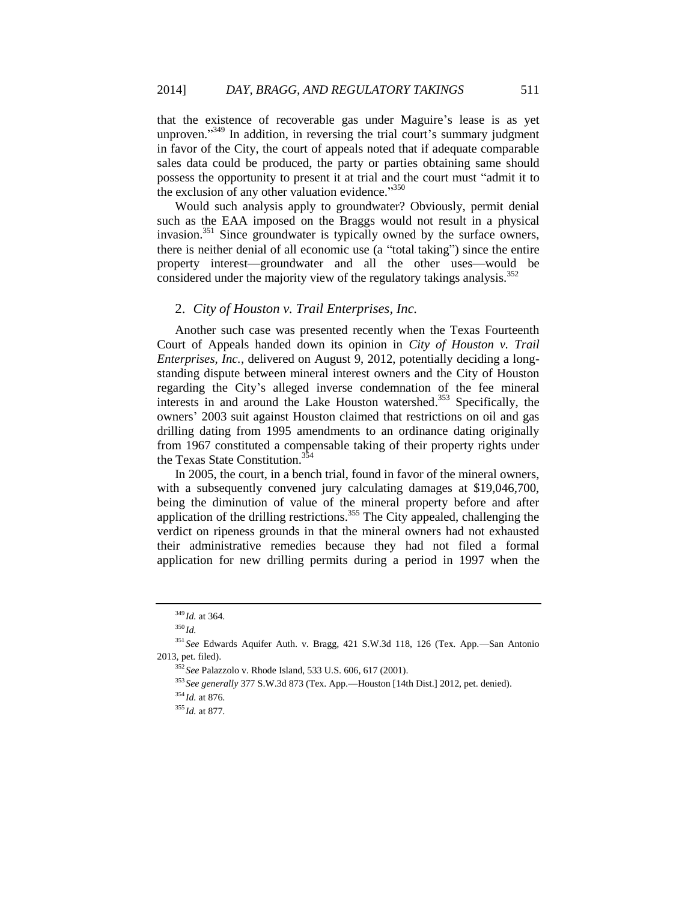that the existence of recoverable gas under Maguire's lease is as yet unproven."<sup>349</sup> In addition, in reversing the trial court's summary judgment in favor of the City, the court of appeals noted that if adequate comparable sales data could be produced, the party or parties obtaining same should possess the opportunity to present it at trial and the court must "admit it to the exclusion of any other valuation evidence."350

Would such analysis apply to groundwater? Obviously, permit denial such as the EAA imposed on the Braggs would not result in a physical invasion.<sup>351</sup> Since groundwater is typically owned by the surface owners, there is neither denial of all economic use (a "total taking") since the entire property interest—groundwater and all the other uses—would be considered under the majority view of the regulatory takings analysis.<sup>352</sup>

### 2. *City of Houston v. Trail Enterprises, Inc.*

Another such case was presented recently when the Texas Fourteenth Court of Appeals handed down its opinion in *City of Houston v. Trail Enterprises, Inc.*, delivered on August 9, 2012, potentially deciding a longstanding dispute between mineral interest owners and the City of Houston regarding the City's alleged inverse condemnation of the fee mineral interests in and around the Lake Houston watershed. <sup>353</sup> Specifically, the owners' 2003 suit against Houston claimed that restrictions on oil and gas drilling dating from 1995 amendments to an ordinance dating originally from 1967 constituted a compensable taking of their property rights under the Texas State Constitution.<sup>354</sup>

In 2005, the court, in a bench trial, found in favor of the mineral owners, with a subsequently convened jury calculating damages at \$19,046,700, being the diminution of value of the mineral property before and after application of the drilling restrictions.<sup>355</sup> The City appealed, challenging the verdict on ripeness grounds in that the mineral owners had not exhausted their administrative remedies because they had not filed a formal application for new drilling permits during a period in 1997 when the

<sup>349</sup> *Id.* at 364.

<sup>350</sup> *Id.*

<sup>351</sup> *See* Edwards Aquifer Auth. v. Bragg, 421 S.W.3d 118, 126 (Tex. App.—San Antonio 2013, pet. filed).

<sup>352</sup> *See* Palazzolo v. Rhode Island, 533 U.S. 606, 617 (2001).

<sup>353</sup> *See generally* 377 S.W.3d 873 (Tex. App.—Houston [14th Dist.] 2012, pet. denied).

<sup>354</sup> *Id.* at 876.

<sup>355</sup> *Id.* at 877.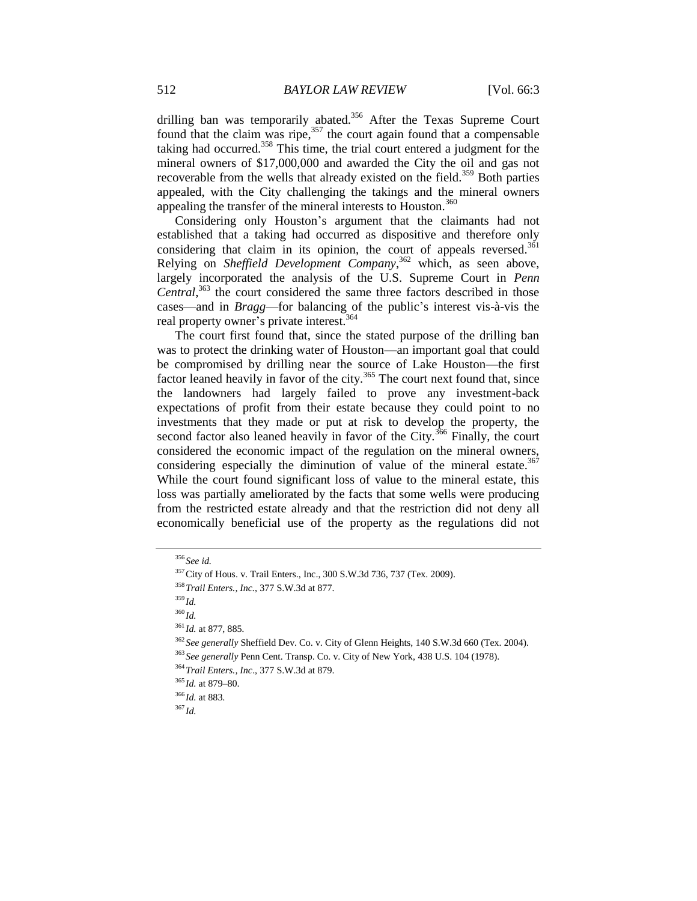drilling ban was temporarily abated.<sup>356</sup> After the Texas Supreme Court found that the claim was ripe,<sup>357</sup> the court again found that a compensable taking had occurred.<sup>358</sup> This time, the trial court entered a judgment for the mineral owners of \$17,000,000 and awarded the City the oil and gas not recoverable from the wells that already existed on the field.<sup>359</sup> Both parties appealed, with the City challenging the takings and the mineral owners appealing the transfer of the mineral interests to Houston.<sup>360</sup>

Considering only Houston's argument that the claimants had not established that a taking had occurred as dispositive and therefore only considering that claim in its opinion, the court of appeals reversed.<sup>361</sup> Relying on *Sheffield Development Company*, <sup>362</sup> which, as seen above, largely incorporated the analysis of the U.S. Supreme Court in *Penn Central*, <sup>363</sup> the court considered the same three factors described in those cases—and in *Bragg*—for balancing of the public's interest vis-à-vis the real property owner's private interest.<sup>364</sup>

The court first found that, since the stated purpose of the drilling ban was to protect the drinking water of Houston—an important goal that could be compromised by drilling near the source of Lake Houston—the first factor leaned heavily in favor of the city. $365$  The court next found that, since the landowners had largely failed to prove any investment-back expectations of profit from their estate because they could point to no investments that they made or put at risk to develop the property, the second factor also leaned heavily in favor of the City.<sup>366</sup> Finally, the court considered the economic impact of the regulation on the mineral owners, considering especially the diminution of value of the mineral estate. $367$ While the court found significant loss of value to the mineral estate, this loss was partially ameliorated by the facts that some wells were producing from the restricted estate already and that the restriction did not deny all economically beneficial use of the property as the regulations did not

<sup>359</sup> *Id.*

<sup>360</sup> *Id.*

<sup>356</sup> *See id.*

<sup>357</sup>City of Hous. v. Trail Enters., Inc., 300 S.W.3d 736, 737 (Tex. 2009).

<sup>358</sup>*Trail Enters., Inc.*, 377 S.W.3d at 877.

<sup>361</sup> *Id.* at 877, 885*.*

<sup>362</sup> *See generally* Sheffield Dev. Co. v. City of Glenn Heights, 140 S.W.3d 660 (Tex. 2004).

<sup>363</sup> *See generally* Penn Cent. Transp. Co. v. City of New York, 438 U.S. 104 (1978).

<sup>364</sup>*Trail Enters., Inc*., 377 S.W.3d at 879.

<sup>365</sup> *Id.* at 879–80.

<sup>366</sup> *Id.* at 883.

<sup>367</sup> *Id.*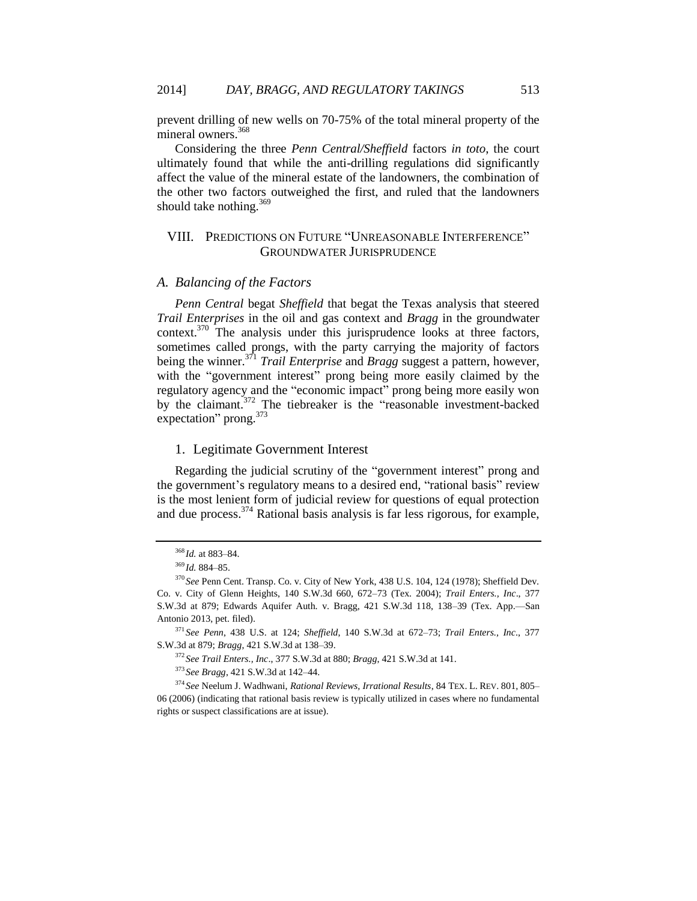prevent drilling of new wells on 70-75% of the total mineral property of the mineral owners.<sup>368</sup>

Considering the three *Penn Central/Sheffield* factors *in toto*, the court ultimately found that while the anti-drilling regulations did significantly affect the value of the mineral estate of the landowners, the combination of the other two factors outweighed the first, and ruled that the landowners should take nothing.<sup>369</sup>

# VIII. PREDICTIONS ON FUTURE "UNREASONABLE INTERFERENCE" GROUNDWATER JURISPRUDENCE

#### *A. Balancing of the Factors*

*Penn Central* begat *Sheffield* that begat the Texas analysis that steered *Trail Enterprises* in the oil and gas context and *Bragg* in the groundwater context.<sup>370</sup> The analysis under this jurisprudence looks at three factors, sometimes called prongs, with the party carrying the majority of factors being the winner.<sup>371</sup> *Trail Enterprise* and *Bragg* suggest a pattern, however, with the "government interest" prong being more easily claimed by the regulatory agency and the "economic impact" prong being more easily won by the claimant.<sup>372</sup> The tiebreaker is the "reasonable investment-backed" expectation" prong.<sup>373</sup>

### 1. Legitimate Government Interest

Regarding the judicial scrutiny of the "government interest" prong and the government's regulatory means to a desired end, "rational basis" review is the most lenient form of judicial review for questions of equal protection and due process.  $374$  Rational basis analysis is far less rigorous, for example,

<sup>372</sup> *See Trail Enters., Inc*., 377 S.W.3d at 880; *Bragg*, 421 S.W.3d at 141.

<sup>373</sup> *See Bragg*, 421 S.W.3d at 142–44.

<sup>374</sup> *See* Neelum J. Wadhwani, *Rational Reviews, Irrational Results*, 84 TEX. L. REV. 801, 805– 06 (2006) (indicating that rational basis review is typically utilized in cases where no fundamental rights or suspect classifications are at issue).

<sup>368</sup> *Id.* at 883–84.

<sup>369</sup> *Id.* 884–85.

<sup>370</sup> *See* Penn Cent. Transp. Co. v. City of New York, 438 U.S. 104, 124 (1978); Sheffield Dev. Co. v. City of Glenn Heights, 140 S.W.3d 660, 672–73 (Tex. 2004); *Trail Enters., Inc*., 377 S.W.3d at 879; Edwards Aquifer Auth. v. Bragg, 421 S.W.3d 118, 138–39 (Tex. App.—San Antonio 2013, pet. filed).

<sup>371</sup> *See Penn*, 438 U.S. at 124; *Sheffield*, 140 S.W.3d at 672–73; *Trail Enters., Inc*., 377 S.W.3d at 879; *Bragg*, 421 S.W.3d at 138–39.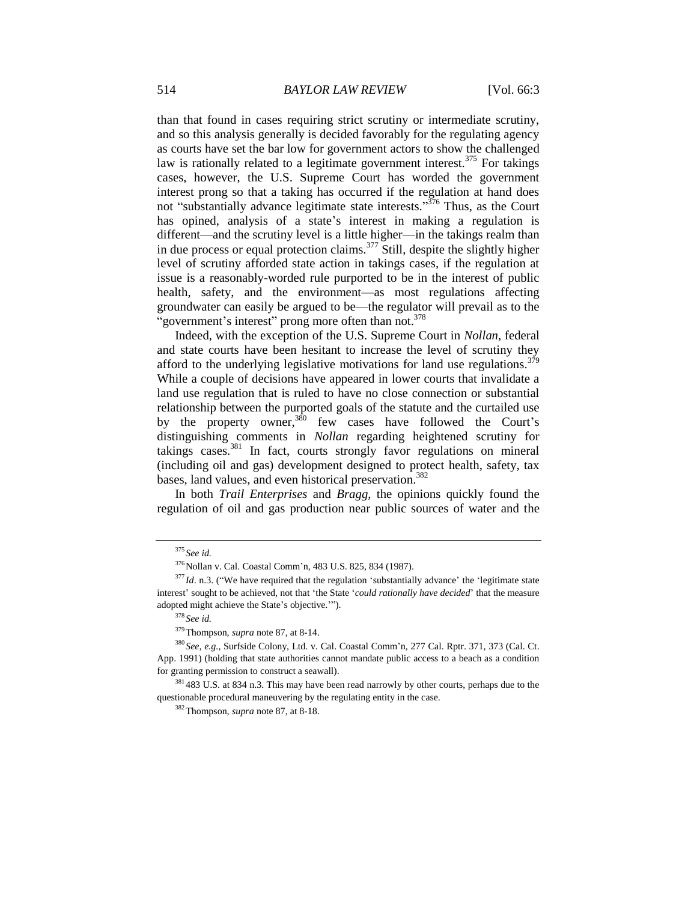than that found in cases requiring strict scrutiny or intermediate scrutiny, and so this analysis generally is decided favorably for the regulating agency as courts have set the bar low for government actors to show the challenged law is rationally related to a legitimate government interest.<sup>375</sup> For takings cases, however, the U.S. Supreme Court has worded the government interest prong so that a taking has occurred if the regulation at hand does not "substantially advance legitimate state interests."<sup>376</sup> Thus, as the Court has opined, analysis of a state's interest in making a regulation is different—and the scrutiny level is a little higher—in the takings realm than in due process or equal protection claims.<sup> $377$ </sup> Still, despite the slightly higher level of scrutiny afforded state action in takings cases, if the regulation at issue is a reasonably-worded rule purported to be in the interest of public health, safety, and the environment—as most regulations affecting groundwater can easily be argued to be—the regulator will prevail as to the "government's interest" prong more often than not.<sup>378</sup>

Indeed, with the exception of the U.S. Supreme Court in *Nollan*, federal and state courts have been hesitant to increase the level of scrutiny they afford to the underlying legislative motivations for land use regulations.<sup>379</sup> While a couple of decisions have appeared in lower courts that invalidate a land use regulation that is ruled to have no close connection or substantial relationship between the purported goals of the statute and the curtailed use by the property owner,  $380$  few cases have followed the Court's distinguishing comments in *Nollan* regarding heightened scrutiny for takings cases.<sup>381</sup> In fact, courts strongly favor regulations on mineral (including oil and gas) development designed to protect health, safety, tax bases, land values, and even historical preservation.<sup>382</sup>

In both *Trail Enterprises* and *Bragg*, the opinions quickly found the regulation of oil and gas production near public sources of water and the

<sup>375</sup> *See id.*

<sup>&</sup>lt;sup>376</sup>Nollan v. Cal. Coastal Comm'n, 483 U.S. 825, 834 (1987).

<sup>&</sup>lt;sup>377</sup>*Id*. n.3. ("We have required that the regulation 'substantially advance' the 'legitimate state interest' sought to be achieved, not that 'the State '*could rationally have decided*' that the measure adopted might achieve the State's objective.'").

<sup>378</sup> *See id.*

<sup>379</sup>Thompson, *supra* not[e 87,](#page-12-0) at 8-14.

<sup>380</sup> *See, e.g.*, Surfside Colony, Ltd. v. Cal. Coastal Comm'n, 277 Cal. Rptr. 371, 373 (Cal. Ct. App. 1991) (holding that state authorities cannot mandate public access to a beach as a condition for granting permission to construct a seawall).

<sup>&</sup>lt;sup>381</sup> 483 U.S. at 834 n.3. This may have been read narrowly by other courts, perhaps due to the questionable procedural maneuvering by the regulating entity in the case.

<sup>382</sup>Thompson, *supra* not[e 87,](#page-12-0) at 8-18.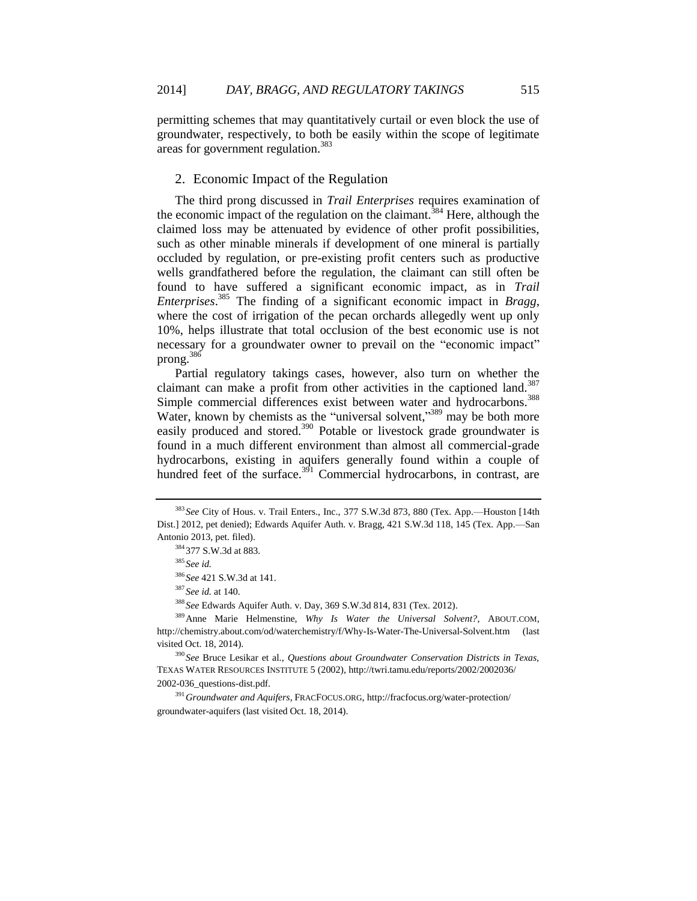permitting schemes that may quantitatively curtail or even block the use of groundwater, respectively, to both be easily within the scope of legitimate areas for government regulation.<sup>383</sup>

### 2. Economic Impact of the Regulation

The third prong discussed in *Trail Enterprises* requires examination of the economic impact of the regulation on the claimant.<sup>384</sup> Here, although the claimed loss may be attenuated by evidence of other profit possibilities, such as other minable minerals if development of one mineral is partially occluded by regulation, or pre-existing profit centers such as productive wells grandfathered before the regulation, the claimant can still often be found to have suffered a significant economic impact, as in *Trail Enterprises*. <sup>385</sup> The finding of a significant economic impact in *Bragg*, where the cost of irrigation of the pecan orchards allegedly went up only 10%, helps illustrate that total occlusion of the best economic use is not necessary for a groundwater owner to prevail on the "economic impact" prong.<sup>386</sup>

<span id="page-44-1"></span>Partial regulatory takings cases, however, also turn on whether the claimant can make a profit from other activities in the captioned land.<sup>387</sup> Simple commercial differences exist between water and hydrocarbons.<sup>388</sup> Water, known by chemists as the "universal solvent,"<sup>389</sup> may be both more easily produced and stored.<sup>390</sup> Potable or livestock grade groundwater is found in a much different environment than almost all commercial-grade hydrocarbons, existing in aquifers generally found within a couple of hundred feet of the surface. $391$  Commercial hydrocarbons, in contrast, are

<sup>383</sup> *See* City of Hous. v. Trail Enters., Inc., 377 S.W.3d 873, 880 (Tex. App.—Houston [14th Dist.] 2012, pet denied); Edwards Aquifer Auth. v. Bragg, 421 S.W.3d 118, 145 (Tex. App.—San Antonio 2013, pet. filed).

<span id="page-44-0"></span><sup>384</sup> 377 S.W.3d at 883.

<sup>385</sup> *See id.*

<sup>386</sup> *See* 421 S.W.3d at 141.

<sup>387</sup> *See id.* at 140.

<sup>388</sup> *See* Edwards Aquifer Auth. v. Day, 369 S.W.3d 814, 831 (Tex. 2012).

<sup>389</sup>Anne Marie Helmenstine, *Why Is Water the Universal Solvent?*, ABOUT.COM, http://chemistry.about.com/od/waterchemistry/f/Why-Is-Water-The-Universal-Solvent.htm (last visited Oct. 18, 2014).

<sup>390</sup> *See* Bruce Lesikar et al., *Questions about Groundwater Conservation Districts in Texas,*  TEXAS WATER RESOURCES INSTITUTE 5 (2002), http://twri.tamu.edu/reports/2002/2002036/ 2002-036\_questions-dist.pdf.

<sup>391</sup>*Groundwater and Aquifers*, FRACFOCUS.ORG, http://fracfocus.org/water-protection/ groundwater-aquifers (last visited Oct. 18, 2014).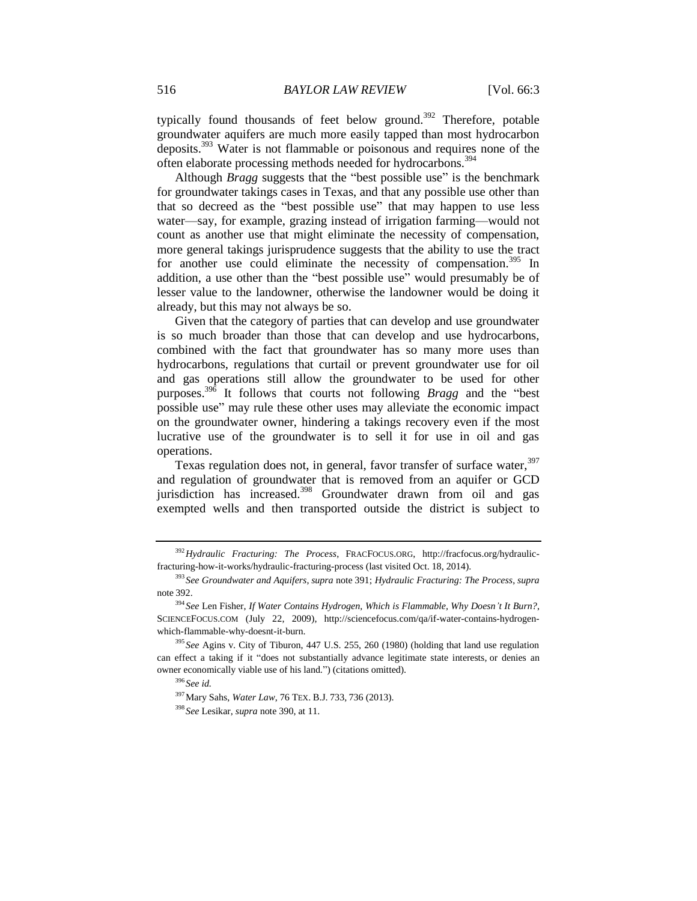<span id="page-45-0"></span>typically found thousands of feet below ground.<sup>392</sup> Therefore, potable groundwater aquifers are much more easily tapped than most hydrocarbon deposits.<sup>393</sup> Water is not flammable or poisonous and requires none of the often elaborate processing methods needed for hydrocarbons.<sup>394</sup>

Although *Bragg* suggests that the "best possible use" is the benchmark for groundwater takings cases in Texas, and that any possible use other than that so decreed as the "best possible use" that may happen to use less water—say, for example, grazing instead of irrigation farming—would not count as another use that might eliminate the necessity of compensation, more general takings jurisprudence suggests that the ability to use the tract for another use could eliminate the necessity of compensation.<sup>395</sup> In addition, a use other than the "best possible use" would presumably be of lesser value to the landowner, otherwise the landowner would be doing it already, but this may not always be so.

Given that the category of parties that can develop and use groundwater is so much broader than those that can develop and use hydrocarbons, combined with the fact that groundwater has so many more uses than hydrocarbons, regulations that curtail or prevent groundwater use for oil and gas operations still allow the groundwater to be used for other purposes.<sup>396</sup> It follows that courts not following *Bragg* and the "best possible use" may rule these other uses may alleviate the economic impact on the groundwater owner, hindering a takings recovery even if the most lucrative use of the groundwater is to sell it for use in oil and gas operations.

Texas regulation does not, in general, favor transfer of surface water,  $397$ and regulation of groundwater that is removed from an aquifer or GCD jurisdiction has increased.<sup>398</sup> Groundwater drawn from oil and gas exempted wells and then transported outside the district is subject to

<sup>392</sup>*Hydraulic Fracturing: The Process*, FRACFOCUS.ORG, http://fracfocus.org/hydraulicfracturing-how-it-works/hydraulic-fracturing-process (last visited Oct. 18, 2014).

<sup>393</sup> *See Groundwater and Aquifers*, *supra* note [391;](#page-44-0) *Hydraulic Fracturing: The Process*, *supra* note [392.](#page-45-0)

<sup>394</sup> *See* Len Fisher, *If Water Contains Hydrogen, Which is Flammable, Why Doesn't It Burn?*, SCIENCEFOCUS.COM (July 22, 2009), http://sciencefocus.com/qa/if-water-contains-hydrogenwhich-flammable-why-doesnt-it-burn.

<sup>395</sup> *See* Agins v. City of Tiburon, 447 U.S. 255, 260 (1980) (holding that land use regulation can effect a taking if it "does not substantially advance legitimate state interests, or denies an owner economically viable use of his land.") (citations omitted).

<sup>396</sup> *See id.*

<sup>397</sup>Mary Sahs, *Water Law*, 76 TEX. B.J. 733, 736 (2013).

<sup>398</sup> *See* Lesikar, *supra* not[e 390,](#page-44-1) at 11.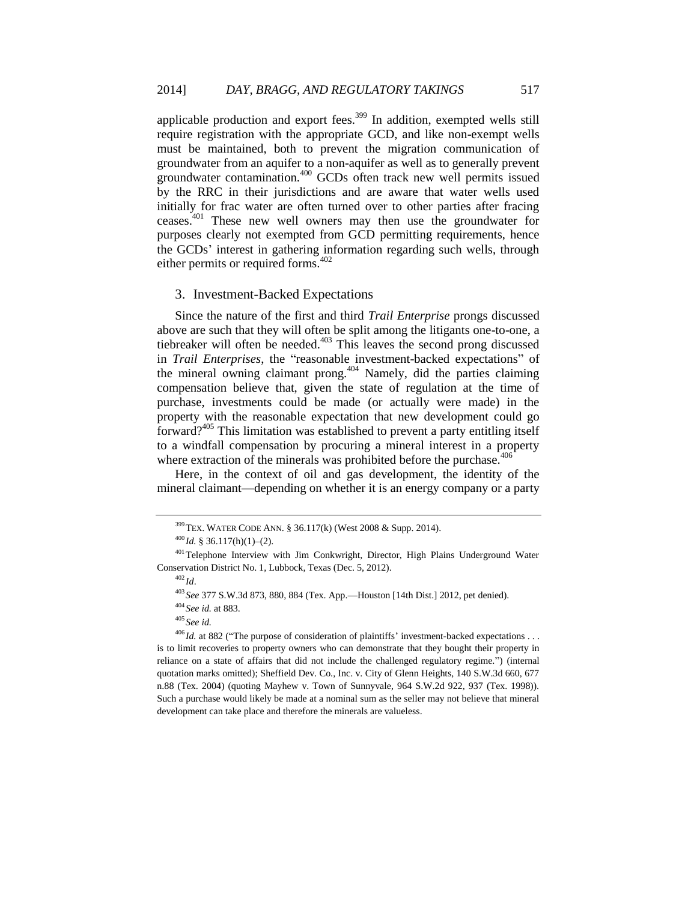applicable production and export fees.<sup>399</sup> In addition, exempted wells still require registration with the appropriate GCD, and like non-exempt wells must be maintained, both to prevent the migration communication of groundwater from an aquifer to a non-aquifer as well as to generally prevent groundwater contamination.<sup>400</sup> GCDs often track new well permits issued by the RRC in their jurisdictions and are aware that water wells used initially for frac water are often turned over to other parties after fracing ceases.<sup>401</sup> These new well owners may then use the groundwater for purposes clearly not exempted from GCD permitting requirements, hence the GCDs' interest in gathering information regarding such wells, through either permits or required forms.<sup>402</sup>

#### 3. Investment-Backed Expectations

Since the nature of the first and third *Trail Enterprise* prongs discussed above are such that they will often be split among the litigants one-to-one, a tiebreaker will often be needed.<sup>403</sup> This leaves the second prong discussed in *Trail Enterprises*, the "reasonable investment-backed expectations" of the mineral owning claimant prong.<sup>404</sup> Namely, did the parties claiming compensation believe that, given the state of regulation at the time of purchase, investments could be made (or actually were made) in the property with the reasonable expectation that new development could go forward?<sup>405</sup> This limitation was established to prevent a party entitling itself to a windfall compensation by procuring a mineral interest in a property where extraction of the minerals was prohibited before the purchase. $406$ 

Here, in the context of oil and gas development, the identity of the mineral claimant—depending on whether it is an energy company or a party

 $399$  TEX. WATER CODE ANN. § 36.117(k) (West 2008 & Supp. 2014).

<sup>400</sup> *Id.* § 36.117(h)(1)–(2).

<sup>&</sup>lt;sup>401</sup>Telephone Interview with Jim Conkwright, Director, High Plains Underground Water Conservation District No. 1, Lubbock, Texas (Dec. 5, 2012).

 $402$  *Id.* 

<sup>403</sup> *See* 377 S.W.3d 873, 880, 884 (Tex. App.—Houston [14th Dist.] 2012, pet denied).

<sup>404</sup> *See id.* at 883.

<sup>405</sup> *See id.*

<sup>&</sup>lt;sup>406</sup> *Id.* at 882 ("The purpose of consideration of plaintiffs' investment-backed expectations . . . is to limit recoveries to property owners who can demonstrate that they bought their property in reliance on a state of affairs that did not include the challenged regulatory regime.") (internal quotation marks omitted); Sheffield Dev. Co., Inc. v. City of Glenn Heights, 140 S.W.3d 660, 677 n.88 (Tex. 2004) (quoting Mayhew v. Town of Sunnyvale, 964 S.W.2d 922, 937 (Tex. 1998)). Such a purchase would likely be made at a nominal sum as the seller may not believe that mineral development can take place and therefore the minerals are valueless.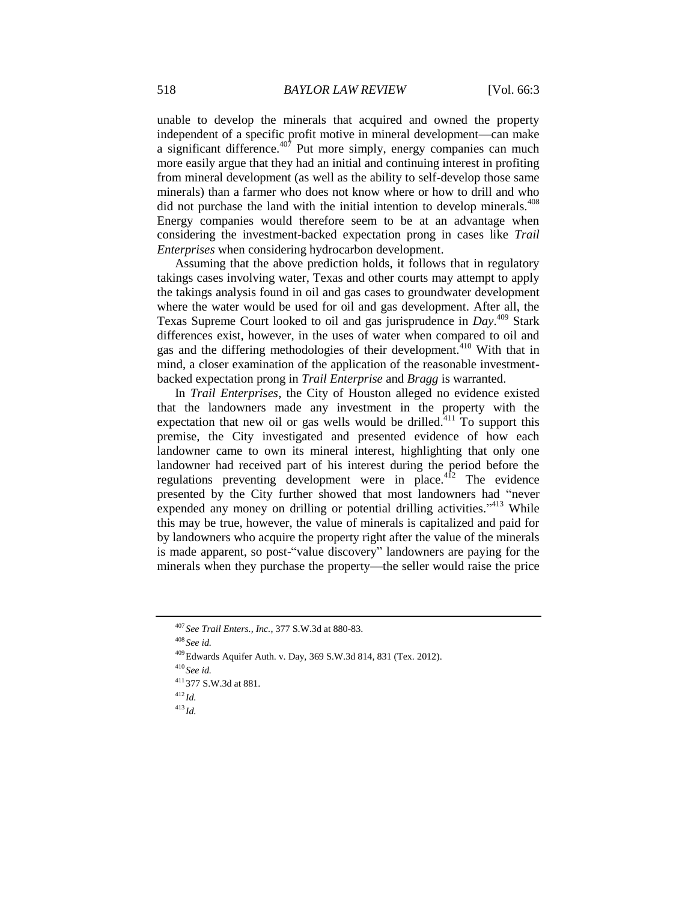unable to develop the minerals that acquired and owned the property independent of a specific profit motive in mineral development—can make a significant difference. $407$  Put more simply, energy companies can much more easily argue that they had an initial and continuing interest in profiting from mineral development (as well as the ability to self-develop those same minerals) than a farmer who does not know where or how to drill and who did not purchase the land with the initial intention to develop minerals.<sup>408</sup> Energy companies would therefore seem to be at an advantage when considering the investment-backed expectation prong in cases like *Trail Enterprises* when considering hydrocarbon development.

Assuming that the above prediction holds, it follows that in regulatory takings cases involving water, Texas and other courts may attempt to apply the takings analysis found in oil and gas cases to groundwater development where the water would be used for oil and gas development. After all, the Texas Supreme Court looked to oil and gas jurisprudence in *Day*. <sup>409</sup> Stark differences exist, however, in the uses of water when compared to oil and gas and the differing methodologies of their development.<sup>410</sup> With that in mind, a closer examination of the application of the reasonable investmentbacked expectation prong in *Trail Enterprise* and *Bragg* is warranted.

In *Trail Enterprises*, the City of Houston alleged no evidence existed that the landowners made any investment in the property with the expectation that new oil or gas wells would be drilled. $411$  To support this premise, the City investigated and presented evidence of how each landowner came to own its mineral interest, highlighting that only one landowner had received part of his interest during the period before the regulations preventing development were in place. $4\overline{12}$  The evidence presented by the City further showed that most landowners had "never expended any money on drilling or potential drilling activities."<sup>413</sup> While this may be true, however, the value of minerals is capitalized and paid for by landowners who acquire the property right after the value of the minerals is made apparent, so post-"value discovery" landowners are paying for the minerals when they purchase the property—the seller would raise the price

<sup>408</sup> *See id.*

<sup>410</sup> *See id.*

<sup>407</sup> *See Trail Enters., Inc.*, 377 S.W.3d at 880-83.

<sup>409</sup>Edwards Aquifer Auth. v. Day, 369 S.W.3d 814, 831 (Tex. 2012).

<sup>411</sup> 377 S.W.3d at 881.

 $^{412}$ *Id.* 

<sup>413</sup> *Id.*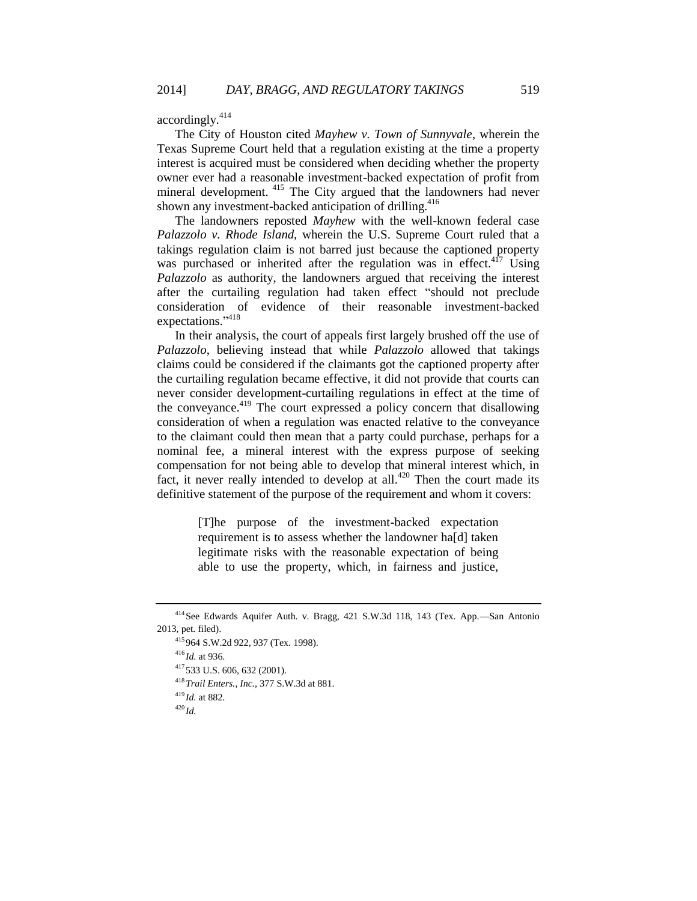accordingly.<sup>414</sup>

The City of Houston cited *Mayhew v. Town of Sunnyvale*, wherein the Texas Supreme Court held that a regulation existing at the time a property interest is acquired must be considered when deciding whether the property owner ever had a reasonable investment-backed expectation of profit from mineral development. <sup>415</sup> The City argued that the landowners had never shown any investment-backed anticipation of drilling.<sup>416</sup>

The landowners reposted *Mayhew* with the well-known federal case *Palazzolo v. Rhode Island*, wherein the U.S. Supreme Court ruled that a takings regulation claim is not barred just because the captioned property was purchased or inherited after the regulation was in effect.<sup>417</sup> Using *Palazzolo* as authority, the landowners argued that receiving the interest after the curtailing regulation had taken effect "should not preclude consideration of evidence of their reasonable investment-backed expectations."<sup>418</sup>

In their analysis, the court of appeals first largely brushed off the use of *Palazzolo*, believing instead that while *Palazzolo* allowed that takings claims could be considered if the claimants got the captioned property after the curtailing regulation became effective, it did not provide that courts can never consider development-curtailing regulations in effect at the time of the conveyance. $419$  The court expressed a policy concern that disallowing consideration of when a regulation was enacted relative to the conveyance to the claimant could then mean that a party could purchase, perhaps for a nominal fee, a mineral interest with the express purpose of seeking compensation for not being able to develop that mineral interest which, in fact, it never really intended to develop at all.<sup>420</sup> Then the court made its definitive statement of the purpose of the requirement and whom it covers:

> [T]he purpose of the investment-backed expectation requirement is to assess whether the landowner ha[d] taken legitimate risks with the reasonable expectation of being able to use the property, which, in fairness and justice,

<sup>414</sup>See Edwards Aquifer Auth. v. Bragg, 421 S.W.3d 118, 143 (Tex. App.—San Antonio 2013, pet. filed).

<sup>415</sup> 964 S.W.2d 922, 937 (Tex. 1998).

<sup>416</sup> *Id.* at 936.

<sup>417</sup> 533 U.S. 606, 632 (2001).

<sup>418</sup>*Trail Enters., Inc.*, 377 S.W.3d at 881.

<sup>419</sup> *Id.* at 882.

 $^{420}$ *Id.*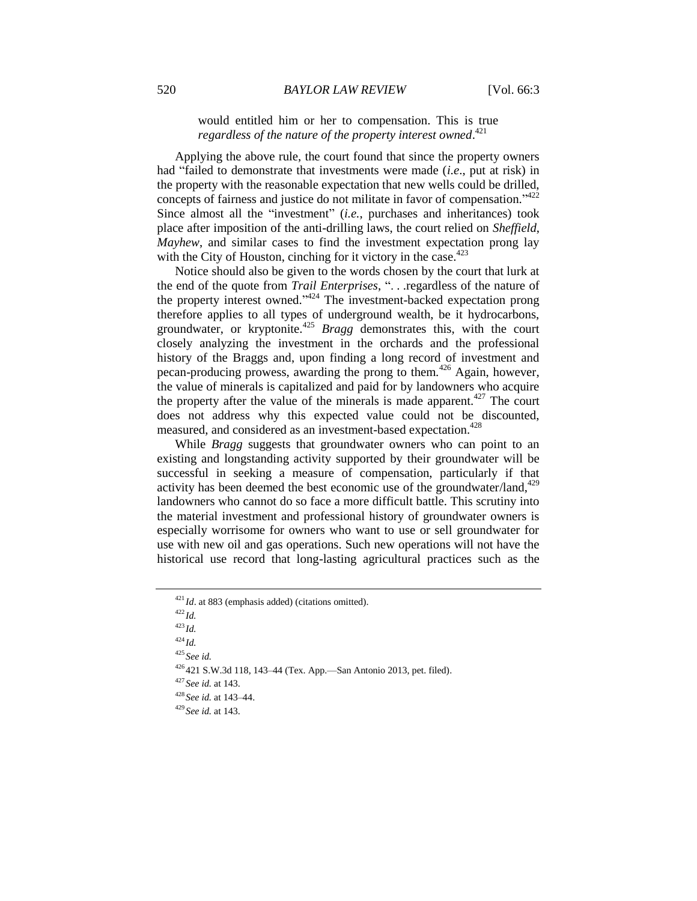would entitled him or her to compensation. This is true *regardless of the nature of the property interest owned*. 421

Applying the above rule, the court found that since the property owners had "failed to demonstrate that investments were made (*i.e*., put at risk) in the property with the reasonable expectation that new wells could be drilled, concepts of fairness and justice do not militate in favor of compensation." 422 Since almost all the "investment" *(i.e.*, purchases and inheritances) took place after imposition of the anti-drilling laws, the court relied on *Sheffield*, *Mayhew*, and similar cases to find the investment expectation prong lay with the City of Houston, cinching for it victory in the case. $423$ 

Notice should also be given to the words chosen by the court that lurk at the end of the quote from *Trail Enterprises*, ". . .regardless of the nature of the property interest owned."<sup>424</sup> The investment-backed expectation prong therefore applies to all types of underground wealth, be it hydrocarbons, groundwater, or kryptonite.<sup>425</sup> *Bragg* demonstrates this, with the court closely analyzing the investment in the orchards and the professional history of the Braggs and, upon finding a long record of investment and pecan-producing prowess, awarding the prong to them.<sup>426</sup> Again, however, the value of minerals is capitalized and paid for by landowners who acquire the property after the value of the minerals is made apparent.<sup> $427$ </sup> The court does not address why this expected value could not be discounted, measured, and considered as an investment-based expectation.<sup>428</sup>

While *Bragg* suggests that groundwater owners who can point to an existing and longstanding activity supported by their groundwater will be successful in seeking a measure of compensation, particularly if that activity has been deemed the best economic use of the groundwater/land,<sup>429</sup> landowners who cannot do so face a more difficult battle. This scrutiny into the material investment and professional history of groundwater owners is especially worrisome for owners who want to use or sell groundwater for use with new oil and gas operations. Such new operations will not have the historical use record that long-lasting agricultural practices such as the

<sup>423</sup> *Id.*

 $424$  *Id.* 

<sup>425</sup> *See id.*

<sup>426</sup> 421 S.W.3d 118, 143–44 (Tex. App.—San Antonio 2013, pet. filed).

<sup>427</sup> *See id.* at 143.

<sup>428</sup> *See id.* at 143–44.

<sup>429</sup> *See id.* at 143.

<sup>421</sup> *Id*. at 883 (emphasis added) (citations omitted).

<sup>422</sup> *Id.*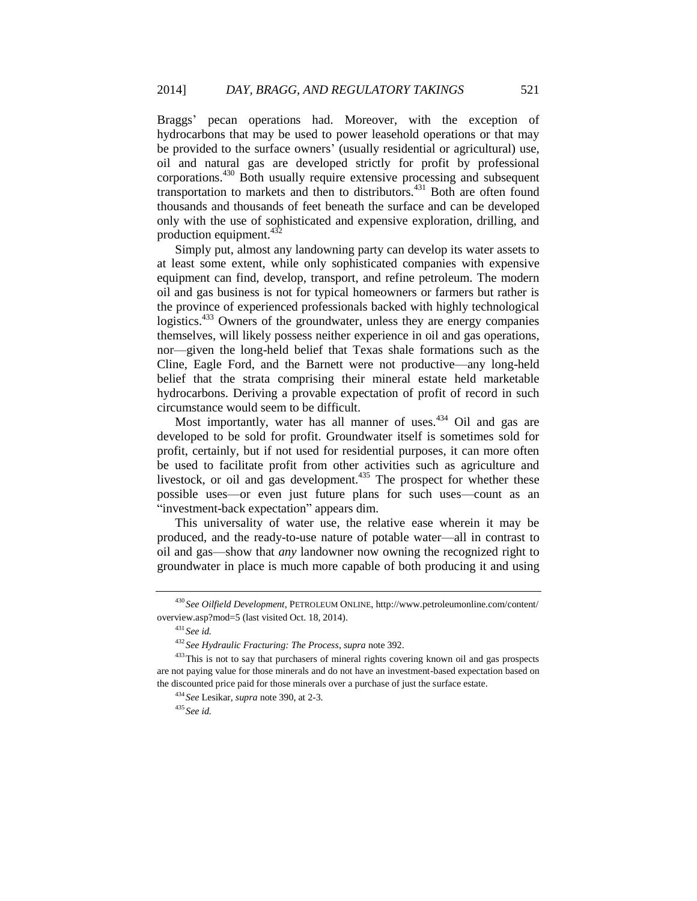Braggs' pecan operations had. Moreover, with the exception of hydrocarbons that may be used to power leasehold operations or that may be provided to the surface owners' (usually residential or agricultural) use, oil and natural gas are developed strictly for profit by professional corporations.<sup>430</sup> Both usually require extensive processing and subsequent transportation to markets and then to distributors.<sup>431</sup> Both are often found thousands and thousands of feet beneath the surface and can be developed only with the use of sophisticated and expensive exploration, drilling, and production equipment.<sup>432</sup>

Simply put, almost any landowning party can develop its water assets to at least some extent, while only sophisticated companies with expensive equipment can find, develop, transport, and refine petroleum. The modern oil and gas business is not for typical homeowners or farmers but rather is the province of experienced professionals backed with highly technological logistics.<sup>433</sup> Owners of the groundwater, unless they are energy companies themselves, will likely possess neither experience in oil and gas operations, nor—given the long-held belief that Texas shale formations such as the Cline, Eagle Ford, and the Barnett were not productive—any long-held belief that the strata comprising their mineral estate held marketable hydrocarbons. Deriving a provable expectation of profit of record in such circumstance would seem to be difficult.

Most importantly, water has all manner of uses.<sup>434</sup> Oil and gas are developed to be sold for profit. Groundwater itself is sometimes sold for profit, certainly, but if not used for residential purposes, it can more often be used to facilitate profit from other activities such as agriculture and livestock, or oil and gas development.<sup>435</sup> The prospect for whether these possible uses—or even just future plans for such uses—count as an "investment-back expectation" appears dim.

This universality of water use, the relative ease wherein it may be produced, and the ready-to-use nature of potable water—all in contrast to oil and gas—show that *any* landowner now owning the recognized right to groundwater in place is much more capable of both producing it and using

<sup>430</sup> *See Oilfield Development*, PETROLEUM ONLINE, http://www.petroleumonline.com/content/ overview.asp?mod=5 (last visited Oct. 18, 2014).

<sup>431</sup> *See id.*

<sup>432</sup> *See Hydraulic Fracturing: The Process*, *supra* not[e 392.](#page-45-0)

<sup>&</sup>lt;sup>433</sup>This is not to say that purchasers of mineral rights covering known oil and gas prospects are not paying value for those minerals and do not have an investment-based expectation based on the discounted price paid for those minerals over a purchase of just the surface estate.

<sup>434</sup> *See* Lesikar, *supra* not[e 390,](#page-44-1) at 2-3.

<sup>435</sup> *See id.*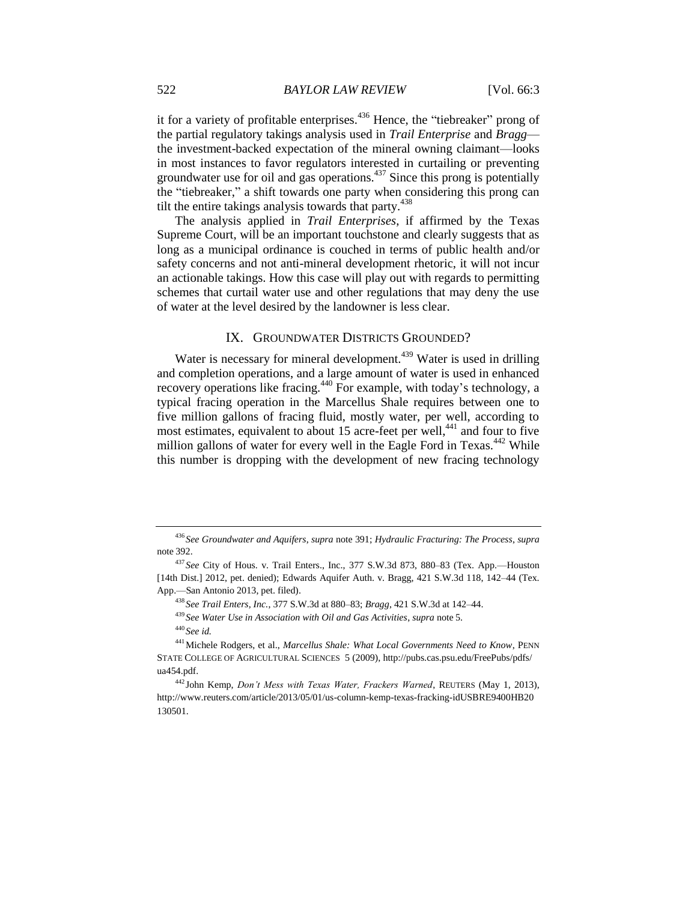it for a variety of profitable enterprises.<sup>436</sup> Hence, the "tiebreaker" prong of the partial regulatory takings analysis used in *Trail Enterprise* and *Bragg* the investment-backed expectation of the mineral owning claimant—looks in most instances to favor regulators interested in curtailing or preventing groundwater use for oil and gas operations.<sup>437</sup> Since this prong is potentially the "tiebreaker," a shift towards one party when considering this prong can tilt the entire takings analysis towards that party. $438$ 

The analysis applied in *Trail Enterprises*, if affirmed by the Texas Supreme Court, will be an important touchstone and clearly suggests that as long as a municipal ordinance is couched in terms of public health and/or safety concerns and not anti-mineral development rhetoric, it will not incur an actionable takings. How this case will play out with regards to permitting schemes that curtail water use and other regulations that may deny the use of water at the level desired by the landowner is less clear.

# <span id="page-51-0"></span>IX. GROUNDWATER DISTRICTS GROUNDED?

Water is necessary for mineral development.<sup>439</sup> Water is used in drilling and completion operations, and a large amount of water is used in enhanced recovery operations like fracing.<sup>440</sup> For example, with today's technology, a typical fracing operation in the Marcellus Shale requires between one to five million gallons of fracing fluid, mostly water, per well, according to most estimates, equivalent to about 15 acre-feet per well,<sup>441</sup> and four to five million gallons of water for every well in the Eagle Ford in Texas. $442$  While this number is dropping with the development of new fracing technology

<sup>436</sup> *See Groundwater and Aquifers*, *supra* note [391;](#page-44-0) *Hydraulic Fracturing: The Process*, *supra* note [392.](#page-45-0)

<sup>437</sup> *See* City of Hous. v. Trail Enters., Inc., 377 S.W.3d 873, 880–83 (Tex. App.—Houston [14th Dist.] 2012, pet. denied); Edwards Aquifer Auth. v. Bragg, 421 S.W.3d 118, 142–44 (Tex. App.—San Antonio 2013, pet. filed).

<sup>438</sup> *See Trail Enters, Inc.*, 377 S.W.3d at 880–83; *Bragg*, 421 S.W.3d at 142–44.

<sup>439</sup> *See Water Use in Association with Oil and Gas Activities*, *supra* note [5.](#page-3-0)

<sup>440</sup> *See id.*

<sup>441</sup>Michele Rodgers, et al., *Marcellus Shale: What Local Governments Need to Know*, PENN STATE COLLEGE OF AGRICULTURAL SCIENCES 5 (2009), http://pubs.cas.psu.edu/FreePubs/pdfs/ ua454.pdf.

<sup>442</sup> John Kemp, *Don't Mess with Texas Water, Frackers Warned*, REUTERS (May 1, 2013), http://www.reuters.com/article/2013/05/01/us-column-kemp-texas-fracking-idUSBRE9400HB20 130501.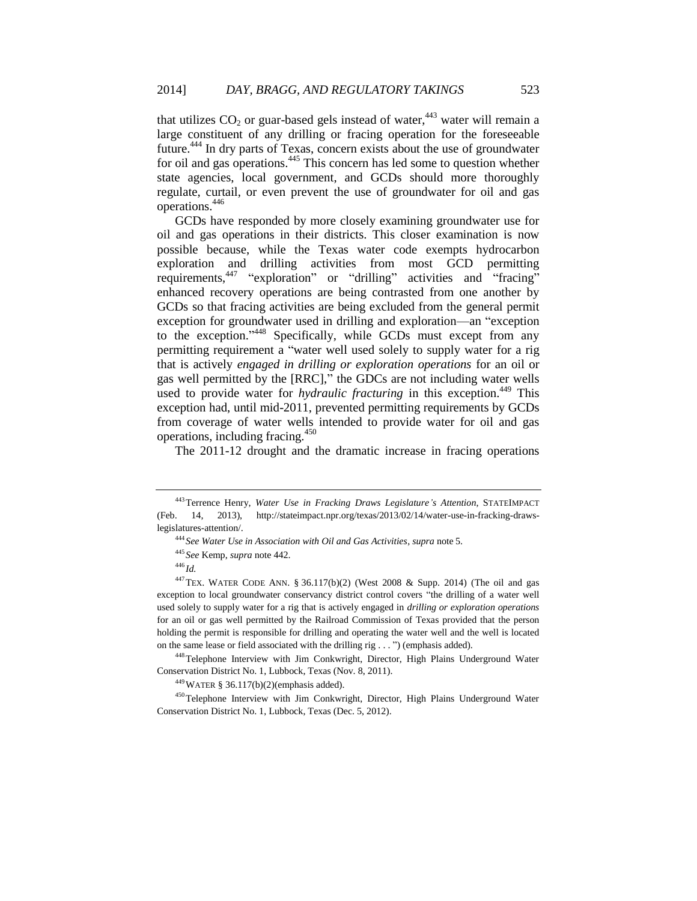that utilizes  $CO<sub>2</sub>$  or guar-based gels instead of water,<sup>443</sup> water will remain a large constituent of any drilling or fracing operation for the foreseeable future.<sup>444</sup> In dry parts of Texas, concern exists about the use of groundwater for oil and gas operations.<sup>445</sup> This concern has led some to question whether state agencies, local government, and GCDs should more thoroughly regulate, curtail, or even prevent the use of groundwater for oil and gas operations.<sup>446</sup>

GCDs have responded by more closely examining groundwater use for oil and gas operations in their districts. This closer examination is now possible because, while the Texas water code exempts hydrocarbon exploration and drilling activities from most GCD permitting requirements,<sup>447</sup> "exploration" or "drilling" activities and "fracing" enhanced recovery operations are being contrasted from one another by GCDs so that fracing activities are being excluded from the general permit exception for groundwater used in drilling and exploration—an "exception to the exception."<sup>448</sup> Specifically, while GCDs must except from any permitting requirement a "water well used solely to supply water for a rig that is actively *engaged in drilling or exploration operations* for an oil or gas well permitted by the [RRC]," the GDCs are not including water wells used to provide water for *hydraulic fracturing* in this exception.<sup>449</sup> This exception had, until mid-2011, prevented permitting requirements by GCDs from coverage of water wells intended to provide water for oil and gas operations, including fracing.<sup>450</sup>

The 2011-12 drought and the dramatic increase in fracing operations

<sup>448</sup>Telephone Interview with Jim Conkwright, Director, High Plains Underground Water Conservation District No. 1, Lubbock, Texas (Nov. 8, 2011).

<sup>449</sup>WATER § 36.117(b)(2)(emphasis added).

<sup>450</sup>Telephone Interview with Jim Conkwright, Director, High Plains Underground Water Conservation District No. 1, Lubbock, Texas (Dec. 5, 2012).

<sup>443</sup>Terrence Henry, *Water Use in Fracking Draws Legislature's Attention*, STATEIMPACT (Feb. 14, 2013), http://stateimpact.npr.org/texas/2013/02/14/water-use-in-fracking-drawslegislatures-attention/.

<sup>444</sup> *See Water Use in Association with Oil and Gas Activities*, *supra* note [5.](#page-3-0)

<sup>445</sup> *See* Kemp, *supra* not[e 442.](#page-51-0)

<sup>446</sup> *Id.*

<sup>447</sup>TEX. WATER CODE ANN. § 36.117(b)(2) (West 2008 & Supp. 2014) (The oil and gas exception to local groundwater conservancy district control covers "the drilling of a water well used solely to supply water for a rig that is actively engaged in *drilling or exploration operations* for an oil or gas well permitted by the Railroad Commission of Texas provided that the person holding the permit is responsible for drilling and operating the water well and the well is located on the same lease or field associated with the drilling rig . . . ") (emphasis added).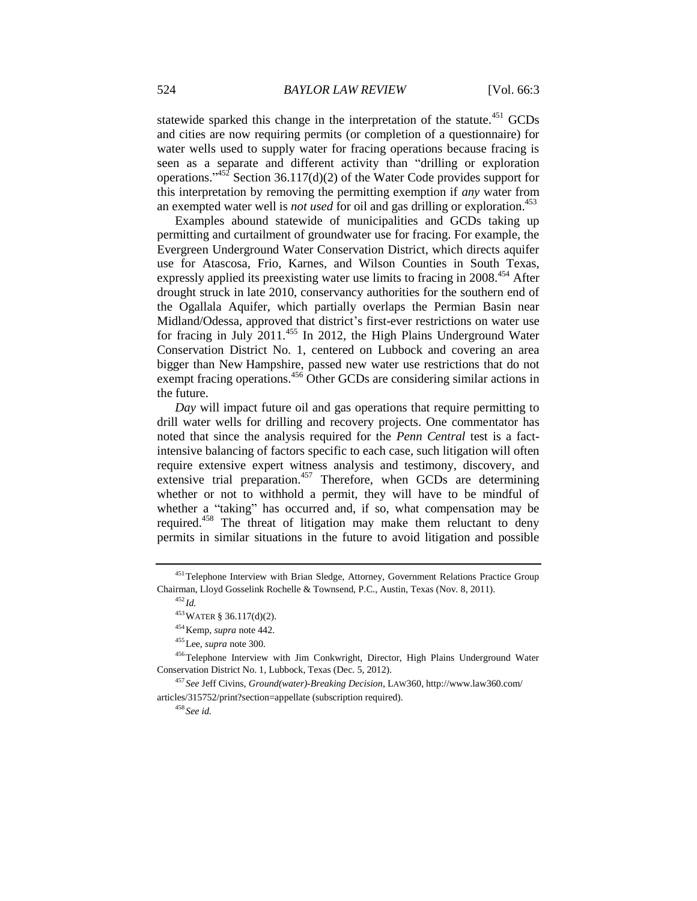statewide sparked this change in the interpretation of the statute.<sup> $451$ </sup> GCDs and cities are now requiring permits (or completion of a questionnaire) for water wells used to supply water for fracing operations because fracing is seen as a separate and different activity than "drilling or exploration operations."<sup>452</sup> Section 36.117(d)(2) of the Water Code provides support for this interpretation by removing the permitting exemption if *any* water from an exempted water well is *not used* for oil and gas drilling or exploration.<sup>453</sup>

Examples abound statewide of municipalities and GCDs taking up permitting and curtailment of groundwater use for fracing. For example, the Evergreen Underground Water Conservation District, which directs aquifer use for Atascosa, Frio, Karnes, and Wilson Counties in South Texas, expressly applied its preexisting water use limits to fracing in 2008.<sup>454</sup> After drought struck in late 2010, conservancy authorities for the southern end of the Ogallala Aquifer, which partially overlaps the Permian Basin near Midland/Odessa, approved that district's first-ever restrictions on water use for fracing in July 2011.<sup>455</sup> In 2012, the High Plains Underground Water Conservation District No. 1, centered on Lubbock and covering an area bigger than New Hampshire, passed new water use restrictions that do not exempt fracing operations.<sup>456</sup> Other GCDs are considering similar actions in the future.

<span id="page-53-0"></span>*Day* will impact future oil and gas operations that require permitting to drill water wells for drilling and recovery projects. One commentator has noted that since the analysis required for the *Penn Central* test is a factintensive balancing of factors specific to each case, such litigation will often require extensive expert witness analysis and testimony, discovery, and extensive trial preparation.<sup>457</sup> Therefore, when GCDs are determining whether or not to withhold a permit, they will have to be mindful of whether a "taking" has occurred and, if so, what compensation may be required.<sup>458</sup> The threat of litigation may make them reluctant to deny permits in similar situations in the future to avoid litigation and possible

<sup>455</sup>Lee, *supra* not[e 300.](#page-34-0)

<sup>458</sup> *See id.*

<sup>&</sup>lt;sup>451</sup>Telephone Interview with Brian Sledge, Attorney, Government Relations Practice Group Chairman, Lloyd Gosselink Rochelle & Townsend, P.C., Austin, Texas (Nov. 8, 2011).

<sup>452</sup> *Id.*

<sup>453</sup>WATER § 36.117(d)(2).

<sup>454</sup>Kemp, *supra* not[e 442.](#page-51-0)

<sup>456</sup>Telephone Interview with Jim Conkwright, Director, High Plains Underground Water Conservation District No. 1, Lubbock, Texas (Dec. 5, 2012).

<sup>457</sup> *See* Jeff Civins, *Ground(water)-Breaking Decision*, LAW360, http://www.law360.com/ articles/315752/print?section=appellate (subscription required).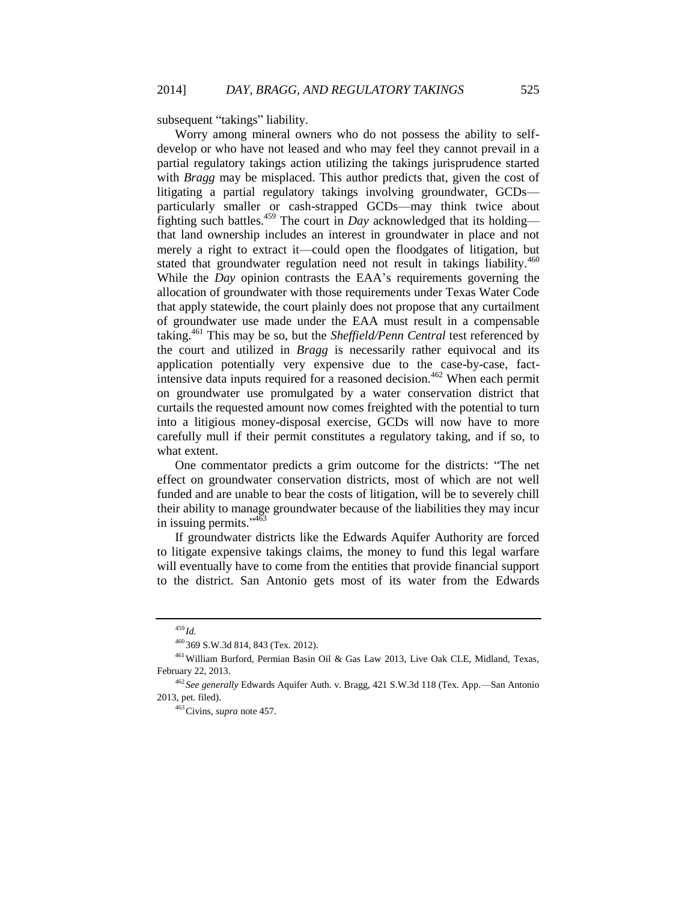subsequent "takings" liability.

Worry among mineral owners who do not possess the ability to selfdevelop or who have not leased and who may feel they cannot prevail in a partial regulatory takings action utilizing the takings jurisprudence started with *Bragg* may be misplaced. This author predicts that, given the cost of litigating a partial regulatory takings involving groundwater, GCDs particularly smaller or cash-strapped GCDs—may think twice about fighting such battles.<sup>459</sup> The court in *Day* acknowledged that its holding that land ownership includes an interest in groundwater in place and not merely a right to extract it—could open the floodgates of litigation, but stated that groundwater regulation need not result in takings liability.<sup>460</sup> While the *Day* opinion contrasts the EAA's requirements governing the allocation of groundwater with those requirements under Texas Water Code that apply statewide, the court plainly does not propose that any curtailment of groundwater use made under the EAA must result in a compensable taking.<sup>461</sup> This may be so, but the *Sheffield/Penn Central* test referenced by the court and utilized in *Bragg* is necessarily rather equivocal and its application potentially very expensive due to the case-by-case, factintensive data inputs required for a reasoned decision.<sup>462</sup> When each permit on groundwater use promulgated by a water conservation district that curtails the requested amount now comes freighted with the potential to turn into a litigious money-disposal exercise, GCDs will now have to more carefully mull if their permit constitutes a regulatory taking, and if so, to what extent.

One commentator predicts a grim outcome for the districts: "The net effect on groundwater conservation districts, most of which are not well funded and are unable to bear the costs of litigation, will be to severely chill their ability to manage groundwater because of the liabilities they may incur in issuing permits."<sup>463</sup>

If groundwater districts like the Edwards Aquifer Authority are forced to litigate expensive takings claims, the money to fund this legal warfare will eventually have to come from the entities that provide financial support to the district. San Antonio gets most of its water from the Edwards

<sup>459</sup> *Id.*

<sup>460</sup> 369 S.W.3d 814, 843 (Tex. 2012).

<sup>461</sup>William Burford, Permian Basin Oil & Gas Law 2013, Live Oak CLE, Midland, Texas, February 22, 2013.

<sup>462</sup> *See generally* Edwards Aquifer Auth. v. Bragg, 421 S.W.3d 118 (Tex. App.—San Antonio 2013, pet. filed).

<sup>463</sup>Civins, *supra* note [457.](#page-53-0)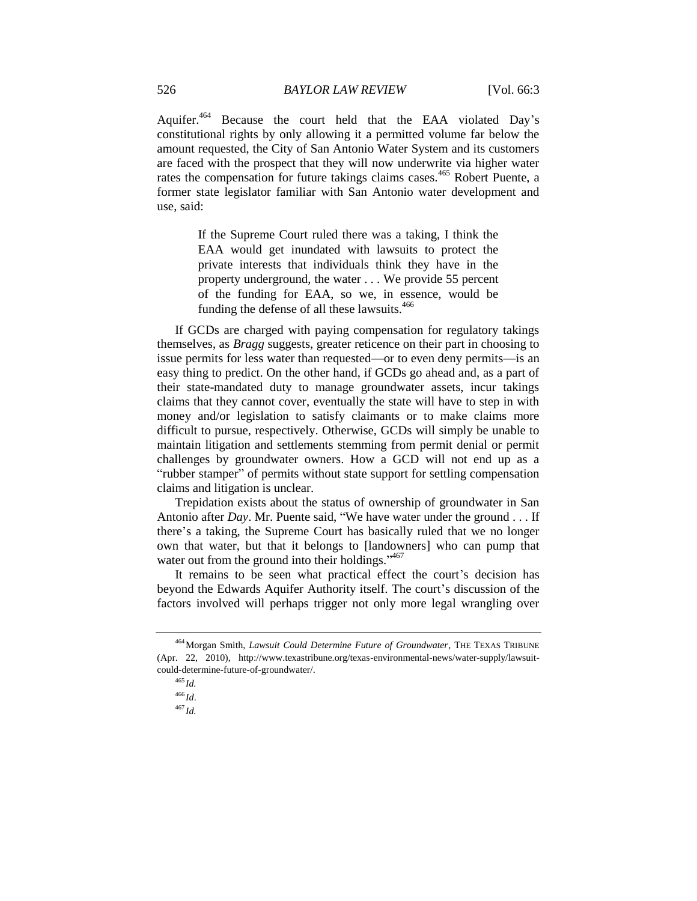Aquifer.<sup>464</sup> Because the court held that the EAA violated Day's constitutional rights by only allowing it a permitted volume far below the amount requested, the City of San Antonio Water System and its customers are faced with the prospect that they will now underwrite via higher water rates the compensation for future takings claims cases.<sup>465</sup> Robert Puente, a former state legislator familiar with San Antonio water development and use, said:

> If the Supreme Court ruled there was a taking, I think the EAA would get inundated with lawsuits to protect the private interests that individuals think they have in the property underground, the water . . . We provide 55 percent of the funding for EAA, so we, in essence, would be funding the defense of all these lawsuits.<sup>466</sup>

If GCDs are charged with paying compensation for regulatory takings themselves, as *Bragg* suggests, greater reticence on their part in choosing to issue permits for less water than requested—or to even deny permits—is an easy thing to predict. On the other hand, if GCDs go ahead and, as a part of their state-mandated duty to manage groundwater assets, incur takings claims that they cannot cover, eventually the state will have to step in with money and/or legislation to satisfy claimants or to make claims more difficult to pursue, respectively. Otherwise, GCDs will simply be unable to maintain litigation and settlements stemming from permit denial or permit challenges by groundwater owners. How a GCD will not end up as a "rubber stamper" of permits without state support for settling compensation claims and litigation is unclear.

Trepidation exists about the status of ownership of groundwater in San Antonio after *Day*. Mr. Puente said, "We have water under the ground . . . If there's a taking, the Supreme Court has basically ruled that we no longer own that water, but that it belongs to [landowners] who can pump that water out from the ground into their holdings."<sup>467</sup>

It remains to be seen what practical effect the court's decision has beyond the Edwards Aquifer Authority itself. The court's discussion of the factors involved will perhaps trigger not only more legal wrangling over

<sup>464</sup>Morgan Smith, *Lawsuit Could Determine Future of Groundwater*, THE TEXAS TRIBUNE (Apr. 22, 2010), http://www.texastribune.org/texas-environmental-news/water-supply/lawsuitcould-determine-future-of-groundwater/.

<sup>465</sup> *Id.*

<sup>466</sup> *Id*.

<sup>467</sup> *Id.*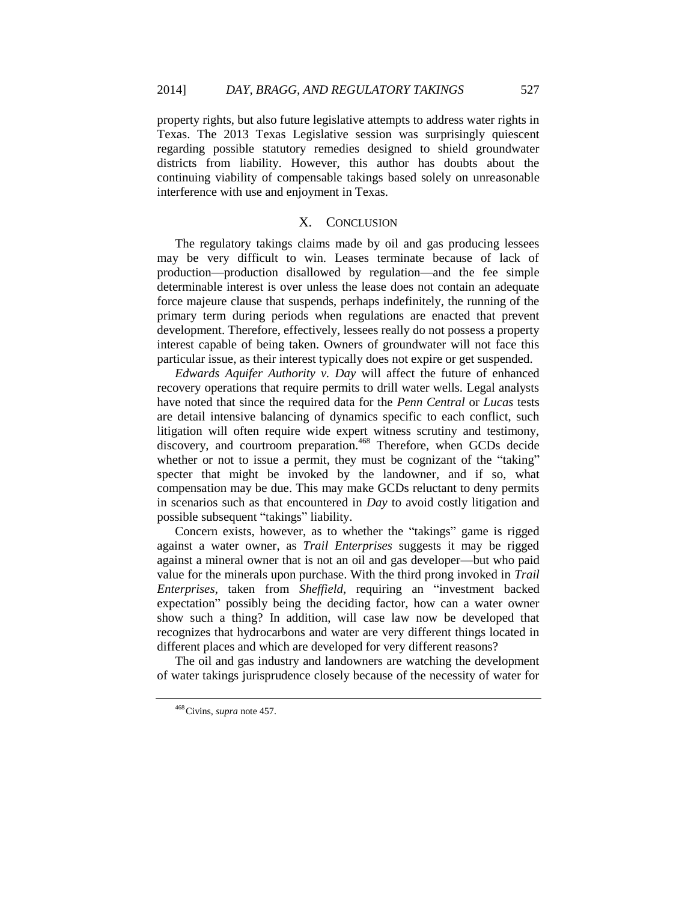property rights, but also future legislative attempts to address water rights in Texas. The 2013 Texas Legislative session was surprisingly quiescent regarding possible statutory remedies designed to shield groundwater districts from liability. However, this author has doubts about the continuing viability of compensable takings based solely on unreasonable interference with use and enjoyment in Texas.

#### X. CONCLUSION

The regulatory takings claims made by oil and gas producing lessees may be very difficult to win. Leases terminate because of lack of production—production disallowed by regulation—and the fee simple determinable interest is over unless the lease does not contain an adequate force majeure clause that suspends, perhaps indefinitely, the running of the primary term during periods when regulations are enacted that prevent development. Therefore, effectively, lessees really do not possess a property interest capable of being taken. Owners of groundwater will not face this particular issue, as their interest typically does not expire or get suspended.

*Edwards Aquifer Authority v. Day* will affect the future of enhanced recovery operations that require permits to drill water wells. Legal analysts have noted that since the required data for the *Penn Central* or *Lucas* tests are detail intensive balancing of dynamics specific to each conflict, such litigation will often require wide expert witness scrutiny and testimony, discovery, and courtroom preparation.<sup>468</sup> Therefore, when GCDs decide whether or not to issue a permit, they must be cognizant of the "taking" specter that might be invoked by the landowner, and if so, what compensation may be due. This may make GCDs reluctant to deny permits in scenarios such as that encountered in *Day* to avoid costly litigation and possible subsequent "takings" liability.

Concern exists, however, as to whether the "takings" game is rigged against a water owner, as *Trail Enterprises* suggests it may be rigged against a mineral owner that is not an oil and gas developer—but who paid value for the minerals upon purchase. With the third prong invoked in *Trail Enterprises*, taken from *Sheffield*, requiring an "investment backed expectation" possibly being the deciding factor, how can a water owner show such a thing? In addition, will case law now be developed that recognizes that hydrocarbons and water are very different things located in different places and which are developed for very different reasons?

The oil and gas industry and landowners are watching the development of water takings jurisprudence closely because of the necessity of water for

<sup>468</sup>Civins, *supra* note [457.](#page-53-0)